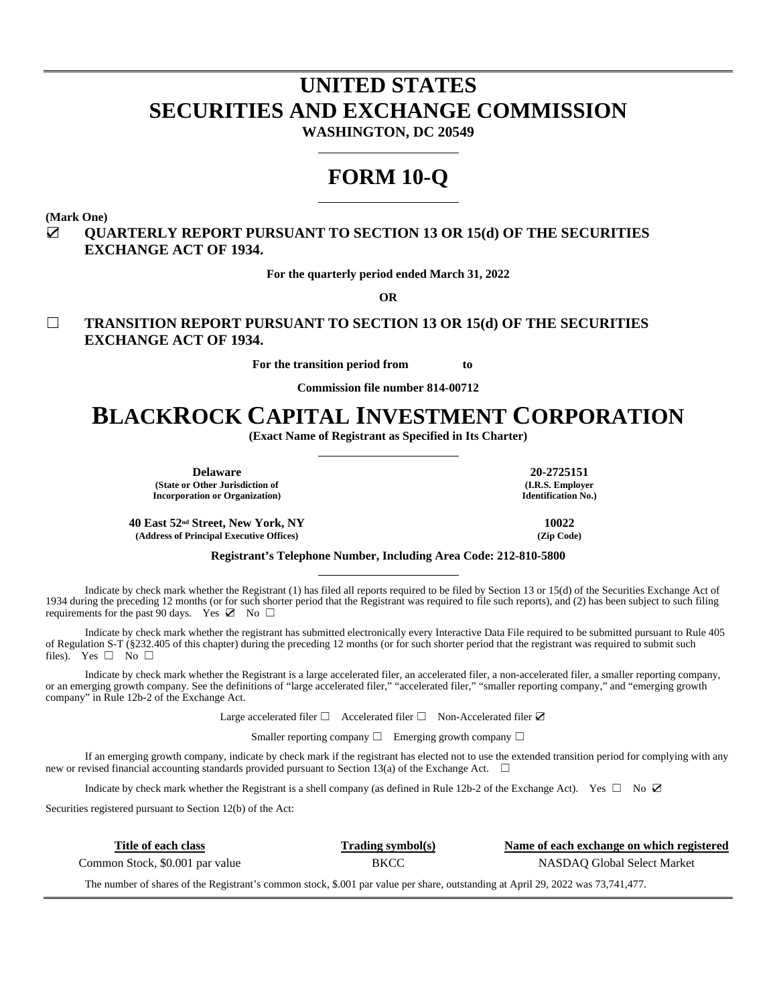# **UNITED STATES SECURITIES AND EXCHANGE COMMISSION**

**WASHINGTON, DC 20549** 

## **FORM 10-Q**

**(Mark One)** 

## ☑ **QUARTERLY REPORT PURSUANT TO SECTION 13 OR 15(d) OF THE SECURITIES EXCHANGE ACT OF 1934.**

**For the quarterly period ended March 31, 2022** 

**OR**

☐ **TRANSITION REPORT PURSUANT TO SECTION 13 OR 15(d) OF THE SECURITIES EXCHANGE ACT OF 1934.**

**For the transition period from to** 

**Commission file number 814-00712** 

## **BLACKROCK CAPITAL INVESTMENT CORPORATION**

**(Exact Name of Registrant as Specified in Its Charter)** 

**Delaware 20-2725151 (State or Other Jurisdiction of Incorporation or Organization)**

**(I.R.S. Employer Identification No.)**

**40 East 52nd Street, New York, NY 10022 (Address of Principal Executive Offices)** 

**Registrant's Telephone Number, Including Area Code: 212-810-5800** 

 Indicate by check mark whether the Registrant (1) has filed all reports required to be filed by Section 13 or 15(d) of the Securities Exchange Act of 1934 during the preceding 12 months (or for such shorter period that the Registrant was required to file such reports), and (2) has been subject to such filing requirements for the past 90 days. Yes  $\boxtimes$  No  $\Box$ 

Indicate by check mark whether the registrant has submitted electronically every Interactive Data File required to be submitted pursuant to Rule 405 of Regulation S-T (§232.405 of this chapter) during the preceding 12 months (or for such shorter period that the registrant was required to submit such files). Yes  $\Box$  No  $\Box$ 

Indicate by check mark whether the Registrant is a large accelerated filer, an accelerated filer, a non-accelerated filer, a smaller reporting company, or an emerging growth company. See the definitions of "large accelerated filer," "accelerated filer," "smaller reporting company," and "emerging growth company" in Rule 12b-2 of the Exchange Act.

Large accelerated filer □ Accelerated filer □ Non-Accelerated filer ☑

Smaller reporting company  $\Box$  Emerging growth company  $\Box$ 

If an emerging growth company, indicate by check mark if the registrant has elected not to use the extended transition period for complying with any new or revised financial accounting standards provided pursuant to Section 13(a) of the Exchange Act.  $\Box$ 

Indicate by check mark whether the Registrant is a shell company (as defined in Rule 12b-2 of the Exchange Act). Yes  $\Box$  No  $\Box$ 

Securities registered pursuant to Section 12(b) of the Act:

| Title of each class                                                                                                              | Trading symbol(s) | Name of each exchange on which registered |
|----------------------------------------------------------------------------------------------------------------------------------|-------------------|-------------------------------------------|
| Common Stock, \$0.001 par value                                                                                                  | <b>BKCC</b>       | NASDAO Global Select Market               |
| The number of shares of the Registrant's common stock, \$.001 par value per share, outstanding at April 29, 2022 was 73,741,477. |                   |                                           |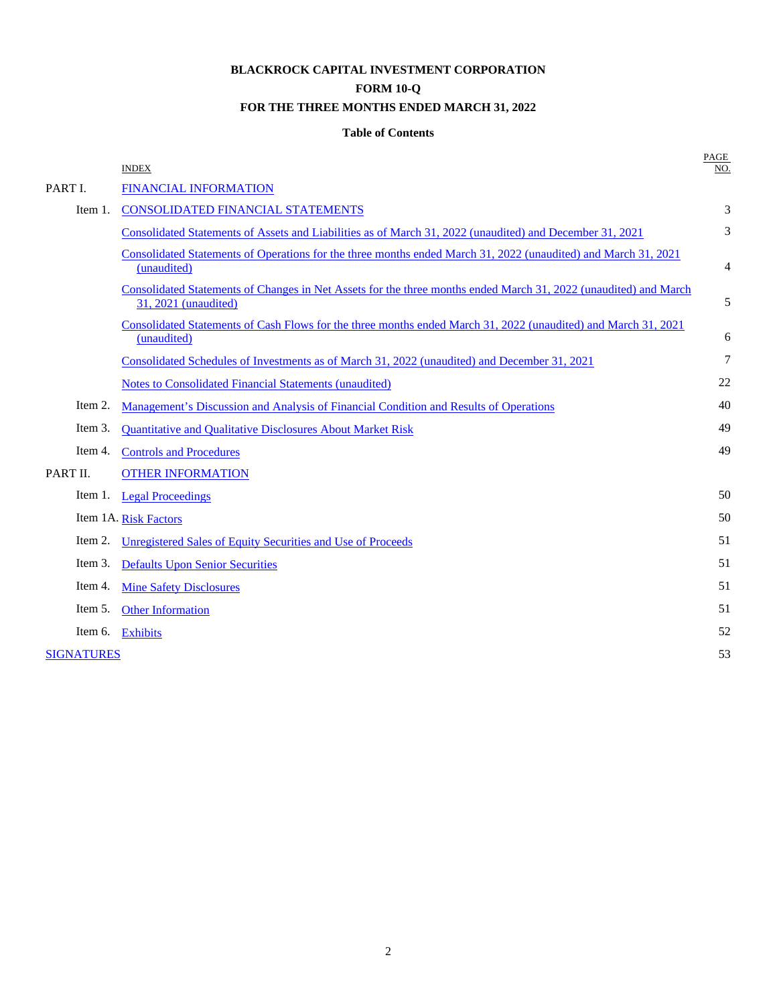## **BLACKROCK CAPITAL INVESTMENT CORPORATION FORM 10-Q FOR THE THREE MONTHS ENDED MARCH 31, 2022**

## **Table of Contents**

|                   | <b>INDEX</b>                                                                                                                             | PAGE<br>NO.    |
|-------------------|------------------------------------------------------------------------------------------------------------------------------------------|----------------|
| PART I.           | <b>FINANCIAL INFORMATION</b>                                                                                                             |                |
| Item 1.           | <b>CONSOLIDATED FINANCIAL STATEMENTS</b>                                                                                                 | 3              |
|                   | Consolidated Statements of Assets and Liabilities as of March 31, 2022 (unaudited) and December 31, 2021                                 | 3              |
|                   | Consolidated Statements of Operations for the three months ended March 31, 2022 (unaudited) and March 31, 2021<br>(unaudited)            | $\overline{4}$ |
|                   | Consolidated Statements of Changes in Net Assets for the three months ended March 31, 2022 (unaudited) and March<br>31, 2021 (unaudited) | 5              |
|                   | Consolidated Statements of Cash Flows for the three months ended March 31, 2022 (unaudited) and March 31, 2021<br>(unaudited)            | 6              |
|                   | Consolidated Schedules of Investments as of March 31, 2022 (unaudited) and December 31, 2021                                             | $\overline{7}$ |
|                   | <b>Notes to Consolidated Financial Statements (unaudited)</b>                                                                            | 22             |
| Item 2.           | Management's Discussion and Analysis of Financial Condition and Results of Operations                                                    | 40             |
| Item 3.           | <b>Quantitative and Qualitative Disclosures About Market Risk</b>                                                                        | 49             |
| Item 4.           | <b>Controls and Procedures</b>                                                                                                           | 49             |
| PART II.          | <b>OTHER INFORMATION</b>                                                                                                                 |                |
|                   | Item 1. Legal Proceedings                                                                                                                | 50             |
|                   | Item 1A. Risk Factors                                                                                                                    | 50             |
| Item 2.           | Unregistered Sales of Equity Securities and Use of Proceeds                                                                              | 51             |
| Item 3.           | <b>Defaults Upon Senior Securities</b>                                                                                                   | 51             |
| Item 4.           | <b>Mine Safety Disclosures</b>                                                                                                           | 51             |
| Item 5.           | <b>Other Information</b>                                                                                                                 | 51             |
|                   | Item 6. Exhibits                                                                                                                         | 52             |
| <b>SIGNATURES</b> |                                                                                                                                          | 53             |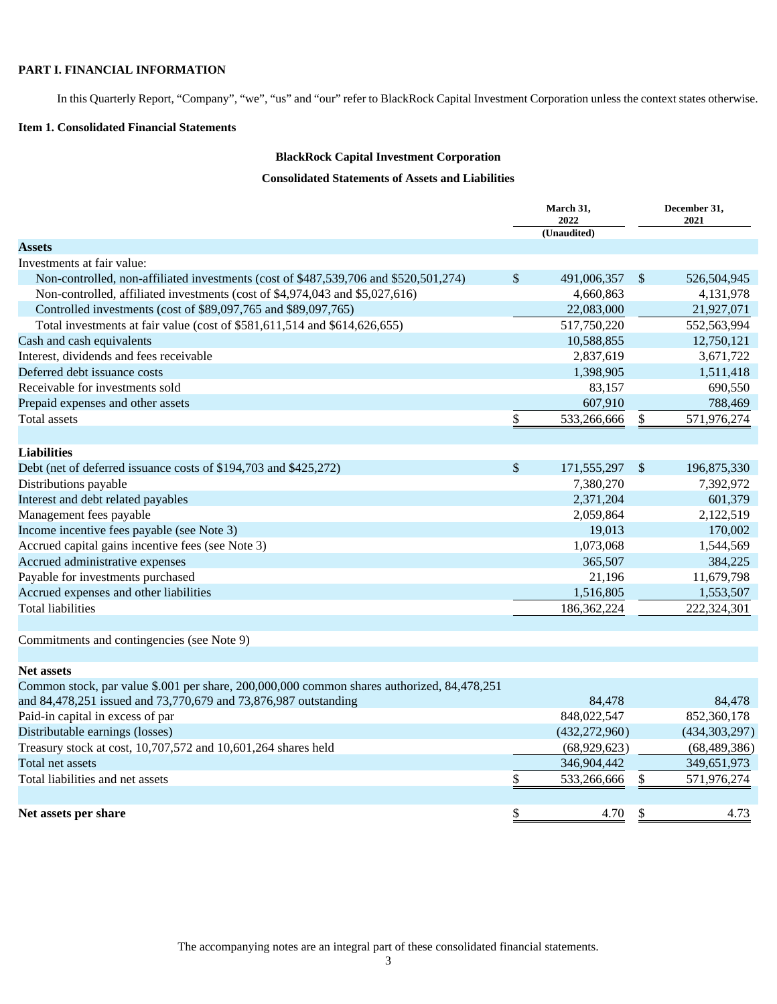## **PART I. FINANCIAL INFORMATION**

<span id="page-2-1"></span><span id="page-2-0"></span>In this Quarterly Report, "Company", "we", "us" and "our" refer to BlackRock Capital Investment Corporation unless the context states otherwise.

## **Item 1. Consolidated Financial Statements**

## <span id="page-2-2"></span>**BlackRock Capital Investment Corporation**

## **Consolidated Statements of Assets and Liabilities**

|                                                                                            |               | March 31,<br>2022 |               | December 31,<br>2021 |
|--------------------------------------------------------------------------------------------|---------------|-------------------|---------------|----------------------|
| <b>Assets</b>                                                                              |               | (Unaudited)       |               |                      |
| Investments at fair value:                                                                 |               |                   |               |                      |
| Non-controlled, non-affiliated investments (cost of \$487,539,706 and \$520,501,274)       | <sup>\$</sup> | 491,006,357       | \$            | 526,504,945          |
| Non-controlled, affiliated investments (cost of \$4,974,043 and \$5,027,616)               |               | 4,660,863         |               | 4,131,978            |
| Controlled investments (cost of \$89,097,765 and \$89,097,765)                             |               | 22,083,000        |               | 21,927,071           |
| Total investments at fair value (cost of \$581,611,514 and \$614,626,655)                  |               | 517,750,220       |               | 552,563,994          |
| Cash and cash equivalents                                                                  |               | 10,588,855        |               | 12,750,121           |
| Interest, dividends and fees receivable                                                    |               | 2,837,619         |               | 3,671,722            |
| Deferred debt issuance costs                                                               |               | 1,398,905         |               | 1,511,418            |
| Receivable for investments sold                                                            |               | 83,157            |               | 690,550              |
| Prepaid expenses and other assets                                                          |               | 607,910           |               | 788,469              |
| Total assets                                                                               | \$            | 533,266,666       | \$            | 571,976,274          |
|                                                                                            |               |                   |               |                      |
| <b>Liabilities</b>                                                                         |               |                   |               |                      |
| Debt (net of deferred issuance costs of \$194,703 and \$425,272)                           | $\mathbb{S}$  | 171,555,297       | $\mathcal{S}$ | 196,875,330          |
| Distributions payable                                                                      |               | 7,380,270         |               | 7,392,972            |
| Interest and debt related payables                                                         |               | 2,371,204         |               | 601,379              |
| Management fees payable                                                                    |               | 2,059,864         |               | 2,122,519            |
| Income incentive fees payable (see Note 3)                                                 |               | 19,013            |               | 170,002              |
| Accrued capital gains incentive fees (see Note 3)                                          |               | 1,073,068         |               | 1,544,569            |
| Accrued administrative expenses                                                            |               | 365,507           |               | 384,225              |
| Payable for investments purchased                                                          |               | 21,196            |               | 11,679,798           |
| Accrued expenses and other liabilities                                                     |               | 1,516,805         |               | 1,553,507            |
| <b>Total liabilities</b>                                                                   |               | 186, 362, 224     |               | 222,324,301          |
|                                                                                            |               |                   |               |                      |
| Commitments and contingencies (see Note 9)                                                 |               |                   |               |                      |
| <b>Net assets</b>                                                                          |               |                   |               |                      |
| Common stock, par value \$.001 per share, 200,000,000 common shares authorized, 84,478,251 |               |                   |               |                      |
| and 84,478,251 issued and 73,770,679 and 73,876,987 outstanding                            |               | 84,478            |               | 84,478               |
| Paid-in capital in excess of par                                                           |               | 848,022,547       |               | 852,360,178          |
| Distributable earnings (losses)                                                            |               | (432, 272, 960)   |               | (434, 303, 297)      |
| Treasury stock at cost, 10,707,572 and 10,601,264 shares held                              |               | (68,929,623)      |               | (68, 489, 386)       |
| Total net assets                                                                           |               | 346,904,442       |               | 349,651,973          |
| Total liabilities and net assets                                                           | \$            | 533,266,666       | \$            | 571,976,274          |
|                                                                                            |               |                   |               |                      |
| Net assets per share                                                                       | \$            | 4.70              | \$            | 4.73                 |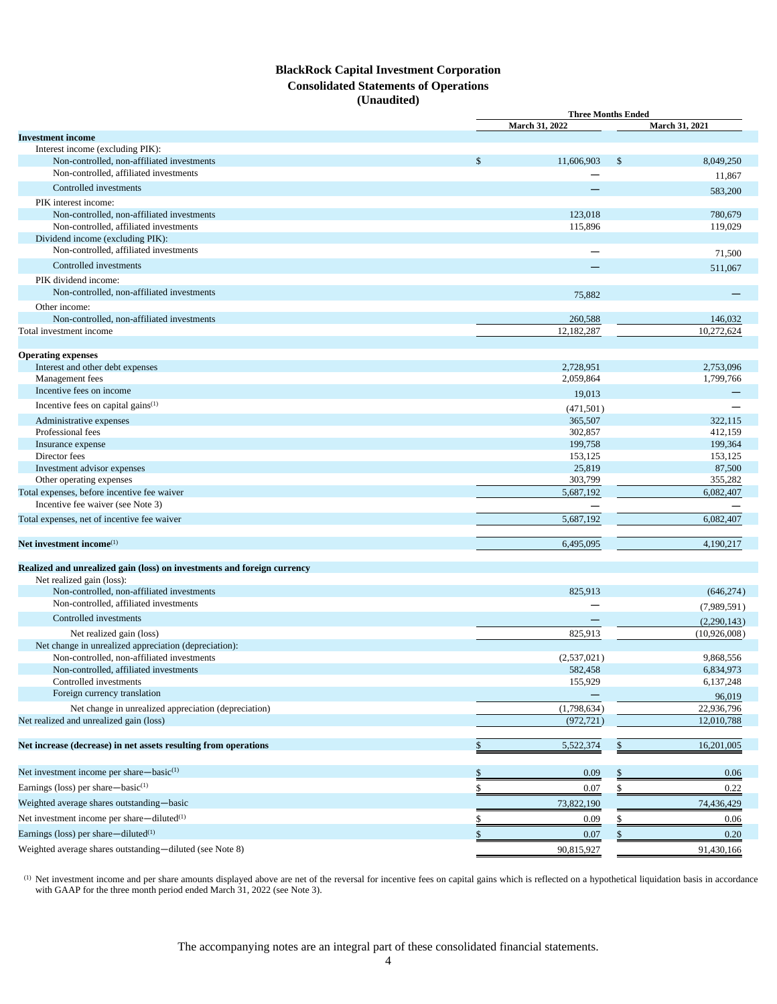## <span id="page-3-0"></span>**BlackRock Capital Investment Corporation Consolidated Statements of Operations (Unaudited)**

|                                                                         | <b>Three Months Ended</b>         |                |  |  |  |  |  |  |  |  |
|-------------------------------------------------------------------------|-----------------------------------|----------------|--|--|--|--|--|--|--|--|
|                                                                         | March 31, 2022                    | March 31, 2021 |  |  |  |  |  |  |  |  |
| <b>Investment</b> income                                                |                                   |                |  |  |  |  |  |  |  |  |
| Interest income (excluding PIK):                                        |                                   |                |  |  |  |  |  |  |  |  |
| Non-controlled, non-affiliated investments                              | \$<br>11,606,903<br>$\frac{1}{2}$ | 8,049,250      |  |  |  |  |  |  |  |  |
| Non-controlled, affiliated investments                                  |                                   | 11,867         |  |  |  |  |  |  |  |  |
| Controlled investments                                                  |                                   | 583,200        |  |  |  |  |  |  |  |  |
| PIK interest income:                                                    |                                   |                |  |  |  |  |  |  |  |  |
| Non-controlled, non-affiliated investments                              | 123,018                           | 780,679        |  |  |  |  |  |  |  |  |
| Non-controlled, affiliated investments                                  | 115,896                           | 119,029        |  |  |  |  |  |  |  |  |
| Dividend income (excluding PIK):                                        |                                   |                |  |  |  |  |  |  |  |  |
| Non-controlled, affiliated investments                                  |                                   | 71,500         |  |  |  |  |  |  |  |  |
| Controlled investments                                                  |                                   | 511,067        |  |  |  |  |  |  |  |  |
| PIK dividend income:                                                    |                                   |                |  |  |  |  |  |  |  |  |
| Non-controlled, non-affiliated investments                              | 75,882                            |                |  |  |  |  |  |  |  |  |
| Other income:                                                           |                                   |                |  |  |  |  |  |  |  |  |
| Non-controlled, non-affiliated investments                              | 260,588                           | 146,032        |  |  |  |  |  |  |  |  |
| Total investment income                                                 | 12,182,287                        | 10,272,624     |  |  |  |  |  |  |  |  |
|                                                                         |                                   |                |  |  |  |  |  |  |  |  |
| <b>Operating expenses</b>                                               |                                   |                |  |  |  |  |  |  |  |  |
| Interest and other debt expenses                                        | 2,728,951                         | 2,753,096      |  |  |  |  |  |  |  |  |
| Management fees                                                         | 2,059,864                         | 1,799,766      |  |  |  |  |  |  |  |  |
| Incentive fees on income                                                | 19,013                            |                |  |  |  |  |  |  |  |  |
| Incentive fees on capital gains $(1)$                                   | (471, 501)                        |                |  |  |  |  |  |  |  |  |
| Administrative expenses                                                 | 365,507                           | 322,115        |  |  |  |  |  |  |  |  |
| Professional fees                                                       | 302,857                           | 412.159        |  |  |  |  |  |  |  |  |
| Insurance expense                                                       | 199,758                           | 199,364        |  |  |  |  |  |  |  |  |
| Director fees                                                           | 153,125                           | 153,125        |  |  |  |  |  |  |  |  |
| Investment advisor expenses                                             | 25,819                            | 87,500         |  |  |  |  |  |  |  |  |
| Other operating expenses                                                | 303,799                           | 355,282        |  |  |  |  |  |  |  |  |
| Total expenses, before incentive fee waiver                             | 5,687,192                         | 6,082,407      |  |  |  |  |  |  |  |  |
| Incentive fee waiver (see Note 3)                                       |                                   |                |  |  |  |  |  |  |  |  |
| Total expenses, net of incentive fee waiver                             | 5,687,192                         | 6,082,407      |  |  |  |  |  |  |  |  |
|                                                                         |                                   |                |  |  |  |  |  |  |  |  |
| Net investment income $^{(1)}$                                          | 6,495,095                         | 4,190,217      |  |  |  |  |  |  |  |  |
|                                                                         |                                   |                |  |  |  |  |  |  |  |  |
| Realized and unrealized gain (loss) on investments and foreign currency |                                   |                |  |  |  |  |  |  |  |  |
| Net realized gain (loss):                                               |                                   |                |  |  |  |  |  |  |  |  |
| Non-controlled, non-affiliated investments                              | 825,913                           | (646, 274)     |  |  |  |  |  |  |  |  |
| Non-controlled, affiliated investments                                  |                                   | (7,989,591)    |  |  |  |  |  |  |  |  |
| Controlled investments                                                  |                                   | (2,290,143)    |  |  |  |  |  |  |  |  |
| Net realized gain (loss)                                                | 825,913                           | (10,926,008)   |  |  |  |  |  |  |  |  |
| Net change in unrealized appreciation (depreciation):                   |                                   |                |  |  |  |  |  |  |  |  |
| Non-controlled, non-affiliated investments                              | (2,537,021)                       | 9,868,556      |  |  |  |  |  |  |  |  |
| Non-controlled, affiliated investments                                  | 582,458                           | 6,834,973      |  |  |  |  |  |  |  |  |
| Controlled investments                                                  | 155,929                           | 6,137,248      |  |  |  |  |  |  |  |  |
| Foreign currency translation                                            |                                   | 96,019         |  |  |  |  |  |  |  |  |
| Net change in unrealized appreciation (depreciation)                    | (1,798,634)                       | 22,936,796     |  |  |  |  |  |  |  |  |
| Net realized and unrealized gain (loss)                                 | (972, 721)                        | 12,010,788     |  |  |  |  |  |  |  |  |
|                                                                         |                                   |                |  |  |  |  |  |  |  |  |
| Net increase (decrease) in net assets resulting from operations         | \$<br>\$<br>5,522,374             | 16,201,005     |  |  |  |  |  |  |  |  |
|                                                                         |                                   |                |  |  |  |  |  |  |  |  |
| Net investment income per share-basic(1)                                | 0.09<br>\$                        | 0.06           |  |  |  |  |  |  |  |  |
| Earnings (loss) per share-basic <sup>(1)</sup>                          | \$<br>0.07                        | 0.22           |  |  |  |  |  |  |  |  |
| Weighted average shares outstanding-basic                               | 73,822,190                        | 74,436,429     |  |  |  |  |  |  |  |  |
|                                                                         |                                   |                |  |  |  |  |  |  |  |  |
| Net investment income per share-diluted <sup>(1)</sup>                  | 0.09                              | 0.06           |  |  |  |  |  |  |  |  |
| Earnings (loss) per share—diluted $(1)$                                 | 0.07                              | 0.20           |  |  |  |  |  |  |  |  |
| Weighted average shares outstanding-diluted (see Note 8)                | 90,815,927                        | 91,430,166     |  |  |  |  |  |  |  |  |

(1) Net investment income and per share amounts displayed above are net of the reversal for incentive fees on capital gains which is reflected on a hypothetical liquidation basis in accordance with GAAP for the three month period ended March 31, 2022 (see Note 3).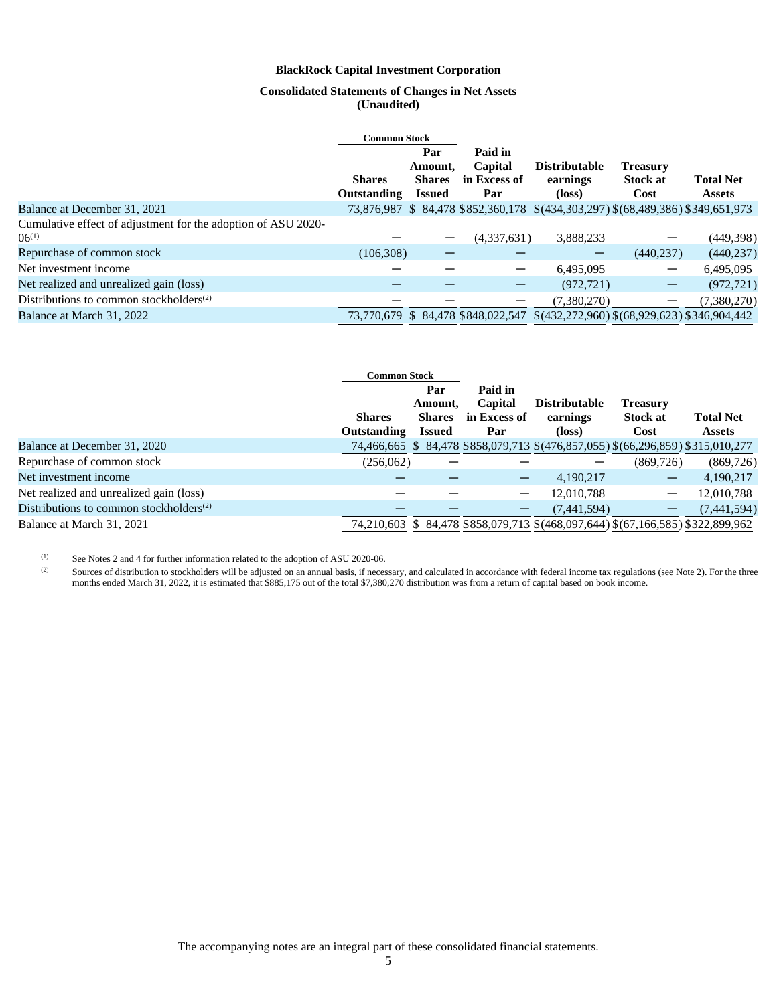## <span id="page-4-0"></span>**Consolidated Statements of Changes in Net Assets (Unaudited)**

|                                                                             | <b>Common Stock</b>                 |                                                  |                                           |                                                                          |                                            |                                   |
|-----------------------------------------------------------------------------|-------------------------------------|--------------------------------------------------|-------------------------------------------|--------------------------------------------------------------------------|--------------------------------------------|-----------------------------------|
|                                                                             | <b>Shares</b><br><b>Outstanding</b> | Par<br>Amount.<br><b>Shares</b><br><b>Issued</b> | Paid in<br>Capital<br>in Excess of<br>Par | <b>Distributable</b><br>earnings<br>(loss)                               | <b>Treasury</b><br><b>Stock at</b><br>Cost | <b>Total Net</b><br><b>Assets</b> |
| Balance at December 31, 2021                                                | 73.876.987                          |                                                  |                                           | $$84,478$ $$852,360,178$ $$(434,303,297)$ $$(68,489,386)$ $$349,651,973$ |                                            |                                   |
| Cumulative effect of adjustment for the adoption of ASU 2020-<br>$06^{(1)}$ |                                     |                                                  | (4,337,631)                               | 3,888,233                                                                |                                            | (449, 398)                        |
| Repurchase of common stock                                                  | (106, 308)                          |                                                  |                                           | -                                                                        | (440, 237)                                 | (440, 237)                        |
| Net investment income                                                       |                                     |                                                  |                                           | 6,495,095                                                                | $\qquad \qquad \  \  \, -$                 | 6,495,095                         |
| Net realized and unrealized gain (loss)                                     |                                     |                                                  |                                           | (972, 721)                                                               |                                            | (972, 721)                        |
| Distributions to common stockholders <sup><math>(2)</math></sup>            |                                     |                                                  |                                           | (7.380.270)                                                              |                                            | (7,380,270)                       |
| Balance at March 31, 2022                                                   | 73,770,679                          |                                                  | \$ 84,478 \$848,022,547                   | $$(432,272,960) $(68,929,623) $346,904,442$                              |                                            |                                   |

|                                                     | <b>Common Stock</b> |                |                    |                                                                                 |                 |                  |
|-----------------------------------------------------|---------------------|----------------|--------------------|---------------------------------------------------------------------------------|-----------------|------------------|
|                                                     |                     | Par<br>Amount, | Paid in<br>Capital | <b>Distributable</b>                                                            | <b>Treasury</b> |                  |
|                                                     | <b>Shares</b>       | <b>Shares</b>  | in Excess of       | earnings                                                                        | <b>Stock at</b> | <b>Total Net</b> |
|                                                     | <b>Outstanding</b>  | <b>Issued</b>  | Par                | (loss)                                                                          | Cost            | <b>Assets</b>    |
| Balance at December 31, 2020                        |                     |                |                    | 74,466,665 \$84,478 \$858,079,713 \$(476,857,055) \$(66,296,859) \$315,010,277  |                 |                  |
| Repurchase of common stock                          | (256,062)           |                |                    |                                                                                 | (869, 726)      | (869, 726)       |
| Net investment income                               |                     |                |                    | 4,190,217                                                                       | —               | 4,190,217        |
| Net realized and unrealized gain (loss)             |                     |                |                    | 12,010,788                                                                      |                 | 12,010,788       |
| Distributions to common stockholders <sup>(2)</sup> |                     |                |                    | (7,441,594)                                                                     |                 | (7,441,594)      |
| Balance at March 31, 2021                           |                     |                |                    | 74,210,603 \$ 84,478 \$858,079,713 \$(468,097,644) \$(67,166,585) \$322,899,962 |                 |                  |

(1) See Notes 2 and 4 for further information related to the adoption of ASU 2020-06.

(2) Sources of distribution to stockholders will be adjusted on an annual basis, if necessary, and calculated in accordance with federal income tax regulations (see Note 2). For the three months ended March 31, 2022, it is estimated that \$885,175 out of the total \$7,380,270 distribution was from a return of capital based on book income.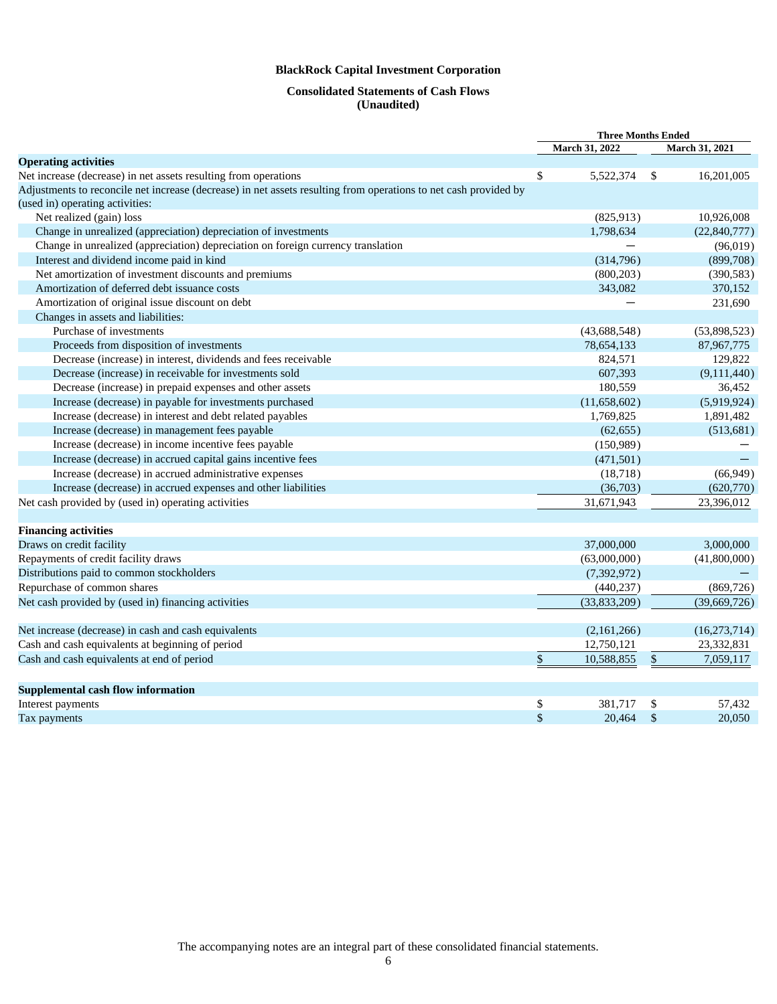## <span id="page-5-0"></span>**Consolidated Statements of Cash Flows (Unaudited)**

|                                                                                                                  | <b>Three Months Ended</b> |                       |    |                       |
|------------------------------------------------------------------------------------------------------------------|---------------------------|-----------------------|----|-----------------------|
|                                                                                                                  |                           | <b>March 31, 2022</b> |    | <b>March 31, 2021</b> |
| <b>Operating activities</b>                                                                                      |                           |                       |    |                       |
| Net increase (decrease) in net assets resulting from operations                                                  | \$                        | 5,522,374             | \$ | 16,201,005            |
| Adjustments to reconcile net increase (decrease) in net assets resulting from operations to net cash provided by |                           |                       |    |                       |
| (used in) operating activities:                                                                                  |                           |                       |    |                       |
| Net realized (gain) loss                                                                                         |                           | (825, 913)            |    | 10,926,008            |
| Change in unrealized (appreciation) depreciation of investments                                                  |                           | 1,798,634             |    | (22, 840, 777)        |
| Change in unrealized (appreciation) depreciation on foreign currency translation                                 |                           |                       |    | (96,019)              |
| Interest and dividend income paid in kind                                                                        |                           | (314,796)             |    | (899,708)             |
| Net amortization of investment discounts and premiums                                                            |                           | (800, 203)            |    | (390, 583)            |
| Amortization of deferred debt issuance costs                                                                     |                           | 343,082               |    | 370,152               |
| Amortization of original issue discount on debt                                                                  |                           |                       |    | 231,690               |
| Changes in assets and liabilities:                                                                               |                           |                       |    |                       |
| Purchase of investments                                                                                          |                           | (43, 688, 548)        |    | (53,898,523)          |
| Proceeds from disposition of investments                                                                         |                           | 78,654,133            |    | 87,967,775            |
| Decrease (increase) in interest, dividends and fees receivable                                                   |                           | 824,571               |    | 129,822               |
| Decrease (increase) in receivable for investments sold                                                           |                           | 607,393               |    | (9,111,440)           |
| Decrease (increase) in prepaid expenses and other assets                                                         |                           | 180,559               |    | 36,452                |
| Increase (decrease) in payable for investments purchased                                                         |                           | (11,658,602)          |    | (5,919,924)           |
| Increase (decrease) in interest and debt related payables                                                        |                           | 1,769,825             |    | 1,891,482             |
| Increase (decrease) in management fees payable                                                                   |                           | (62, 655)             |    | (513, 681)            |
| Increase (decrease) in income incentive fees payable                                                             |                           | (150,989)             |    |                       |
| Increase (decrease) in accrued capital gains incentive fees                                                      |                           | (471, 501)            |    |                       |
| Increase (decrease) in accrued administrative expenses                                                           |                           | (18, 718)             |    | (66,949)              |
| Increase (decrease) in accrued expenses and other liabilities                                                    |                           | (36,703)              |    | (620, 770)            |
| Net cash provided by (used in) operating activities                                                              |                           | 31,671,943            |    | 23,396,012            |
|                                                                                                                  |                           |                       |    |                       |
| <b>Financing activities</b>                                                                                      |                           |                       |    |                       |
| Draws on credit facility                                                                                         |                           | 37,000,000            |    | 3,000,000             |
| Repayments of credit facility draws                                                                              |                           | (63,000,000)          |    | (41,800,000)          |
| Distributions paid to common stockholders                                                                        |                           | (7, 392, 972)         |    |                       |
| Repurchase of common shares                                                                                      |                           | (440, 237)            |    | (869, 726)            |
| Net cash provided by (used in) financing activities                                                              |                           | (33,833,209)          |    | (39,669,726)          |
|                                                                                                                  |                           |                       |    |                       |
| Net increase (decrease) in cash and cash equivalents                                                             |                           | (2,161,266)           |    | (16, 273, 714)        |
| Cash and cash equivalents at beginning of period                                                                 |                           | 12,750,121            |    | 23,332,831            |
| Cash and cash equivalents at end of period                                                                       | \$                        | 10,588,855            | \$ | 7,059,117             |
|                                                                                                                  |                           |                       |    |                       |
| <b>Supplemental cash flow information</b>                                                                        |                           |                       |    |                       |
| Interest payments                                                                                                | \$                        | 381,717               | \$ | 57,432                |
| Tax payments                                                                                                     | \$                        | 20.464                | \$ | 20,050                |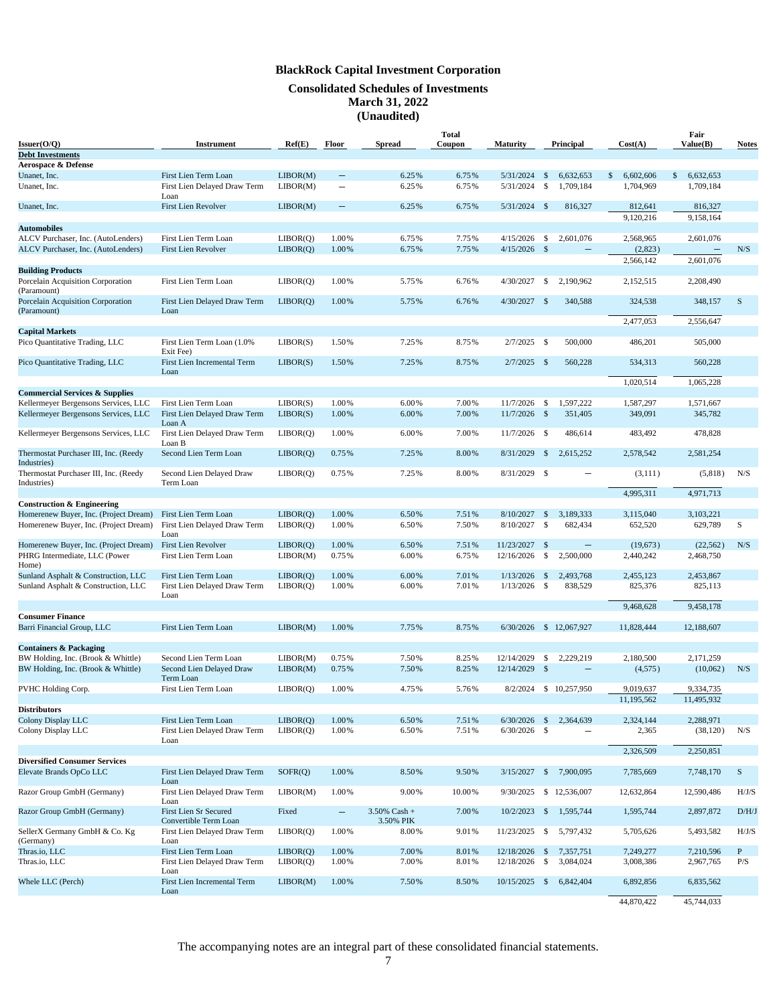## <span id="page-6-0"></span>**Consolidated Schedules of Investments March 31, 2022 (Unaudited)**

| Issuer(O/Q)                                                                     | Instrument                                           | Ref(E)               | Floor                    | <b>Spread</b>                | <b>Total</b><br>Coupon | <b>Maturity</b>          |                     | Principal                      | Cost(A)               | Fair<br>Value(B)       | Notes        |
|---------------------------------------------------------------------------------|------------------------------------------------------|----------------------|--------------------------|------------------------------|------------------------|--------------------------|---------------------|--------------------------------|-----------------------|------------------------|--------------|
| <b>Debt Investments</b>                                                         |                                                      |                      |                          |                              |                        |                          |                     |                                |                       |                        |              |
| Aerospace & Defense                                                             |                                                      |                      |                          |                              |                        |                          |                     |                                |                       |                        |              |
| Unanet, Inc.                                                                    | First Lien Term Loan                                 | LIBOR(M)             | $\qquad \qquad -$        | 6.25%                        | 6.75%                  | 5/31/2024                | \$                  | 6,632,653                      | 6,602,606<br>\$       | 6,632,653<br>\$        |              |
| Unanet, Inc.                                                                    | First Lien Delayed Draw Term<br>Loan                 | LIBOR(M)             | $\overline{\phantom{0}}$ | 6.25%                        | 6.75%                  | 5/31/2024                | \$                  | 1,709,184                      | 1,704,969             | 1,709,184              |              |
| Unanet, Inc.                                                                    | First Lien Revolver                                  | LIBOR(M)             | $\overline{\phantom{0}}$ | 6.25%                        | 6.75%                  | $5/31/2024$ \$           |                     | 816,327                        | 812,641               | 816,327                |              |
| Automobiles                                                                     |                                                      |                      |                          |                              |                        |                          |                     |                                | 9,120,216             | 9,158,164              |              |
| ALCV Purchaser, Inc. (AutoLenders)                                              | First Lien Term Loan                                 | LIBOR(Q)             | 1.00%                    | 6.75%                        | 7.75%                  | 4/15/2026                | \$                  | 2,601,076                      | 2,568,965             | 2,601,076              |              |
| ALCV Purchaser, Inc. (AutoLenders)                                              | First Lien Revolver                                  | LIBOR(Q)             | 1.00%                    | 6.75%                        | 7.75%                  | 4/15/2026                | $\mathbb{S}$        |                                | (2,823)<br>2,566,142  | 2,601,076              | N/S          |
| <b>Building Products</b>                                                        |                                                      |                      |                          |                              |                        |                          |                     |                                |                       |                        |              |
| Porcelain Acquisition Corporation<br>(Paramount)                                | First Lien Term Loan                                 | LIBOR(Q)             | 1.00%                    | 5.75%                        | 6.76%                  | 4/30/2027                | -\$                 | 2,190,962                      | 2,152,515             | 2,208,490              |              |
| Porcelain Acquisition Corporation<br>(Paramount)                                | First Lien Delayed Draw Term<br>Loan                 | LIBOR(Q)             | 1.00%                    | 5.75%                        | 6.76%                  | $4/30/2027$ \$           |                     | 340,588                        | 324,538               | 348,157                | S            |
|                                                                                 |                                                      |                      |                          |                              |                        |                          |                     |                                | 2,477,053             | 2,556,647              |              |
| <b>Capital Markets</b>                                                          |                                                      |                      |                          |                              |                        |                          |                     |                                |                       |                        |              |
| Pico Quantitative Trading, LLC                                                  | First Lien Term Loan (1.0%<br>Exit Fee)              | LIBOR(S)             | 1.50%                    | 7.25%                        | 8.75%                  | 2/7/2025                 | - \$                | 500,000                        | 486,201               | 505,000                |              |
| Pico Quantitative Trading, LLC                                                  | First Lien Incremental Term<br>Loan                  | LIBOR(S)             | 1.50%                    | 7.25%                        | 8.75%                  | $2/7/2025$ \$            |                     | 560,228                        | 534,313               | 560,228                |              |
|                                                                                 |                                                      |                      |                          |                              |                        |                          |                     |                                | 1,020,514             | 1,065,228              |              |
| <b>Commercial Services &amp; Supplies</b>                                       |                                                      |                      |                          |                              |                        | 11/7/2026                |                     |                                |                       |                        |              |
| Kellermeyer Bergensons Services, LLC<br>Kellermeyer Bergensons Services, LLC    | First Lien Term Loan<br>First Lien Delayed Draw Term | LIBOR(S)<br>LIBOR(S) | 1.00%<br>1.00%           | 6.00%<br>6.00%               | 7.00%<br>7.00%         | 11/7/2026 \$             | \$                  | 1,597,222<br>351,405           | 1,587,297<br>349,091  | 1,571,667<br>345,782   |              |
| Kellermeyer Bergensons Services, LLC                                            | Loan A<br>First Lien Delayed Draw Term               | LIBOR(Q)             | 1.00%                    | 6.00%                        | 7.00%                  | $11/7/2026$ \$           |                     | 486,614                        | 483,492               | 478,828                |              |
| Thermostat Purchaser III, Inc. (Reedy                                           | Loan B<br>Second Lien Term Loan                      | LIBOR(Q)             | 0.75%                    | 7.25%                        | 8.00%                  | 8/31/2029                | $\mathbb{S}$        | 2,615,252                      | 2,578,542             | 2,581,254              |              |
| Industries)<br>Thermostat Purchaser III, Inc. (Reedy                            | Second Lien Delayed Draw                             | LIBOR(Q)             | 0.75%                    | 7.25%                        | 8.00%                  | 8/31/2029 \$             |                     | $\qquad \qquad -$              | (3,111)               | (5,818)                | N/S          |
| Industries)                                                                     | Term Loan                                            |                      |                          |                              |                        |                          |                     |                                | 4,995,311             | 4,971,713              |              |
| <b>Construction &amp; Engineering</b>                                           |                                                      |                      |                          |                              |                        |                          |                     |                                |                       |                        |              |
| Homerenew Buyer, Inc. (Project Dream)                                           | First Lien Term Loan                                 | LIBOR(Q)             | 1.00%                    | 6.50%                        | 7.51%                  | 8/10/2027                | $\mathcal{S}$       | 3,189,333                      | 3,115,040             | 3,103,221              |              |
| Homerenew Buyer, Inc. (Project Dream)                                           | First Lien Delayed Draw Term<br>Loan                 | LIBOR(Q)             | 1.00%                    | 6.50%                        | 7.50%                  | 8/10/2027                | \$                  | 682,434                        | 652,520               | 629,789                | S            |
| Homerenew Buyer, Inc. (Project Dream)<br>PHRG Intermediate, LLC (Power<br>Home) | First Lien Revolver<br>First Lien Term Loan          | LIBOR(Q)<br>LIBOR(M) | 1.00%<br>0.75%           | 6.50%<br>6.00%               | 7.51%<br>6.75%         | 11/23/2027<br>12/16/2026 | $\mathcal{S}$<br>\$ | $\qquad \qquad -$<br>2,500,000 | (19,673)<br>2,440,242 | (22, 562)<br>2,468,750 | N/S          |
| Sunland Asphalt & Construction, LLC                                             | First Lien Term Loan                                 | LIBOR(Q)             | 1.00%                    | 6.00%                        | 7.01%                  | 1/13/2026                | -S                  | 2,493,768                      | 2,455,123             | 2,453,867              |              |
| Sunland Asphalt & Construction, LLC                                             | First Lien Delayed Draw Term<br>Loan                 | LIBOR(Q)             | 1.00%                    | 6.00%                        | 7.01%                  | 1/13/2026                | -\$                 | 838,529                        | 825,376               | 825,113                |              |
|                                                                                 |                                                      |                      |                          |                              |                        |                          |                     |                                | 9,468,628             | 9,458,178              |              |
| <b>Consumer Finance</b>                                                         |                                                      |                      |                          |                              |                        |                          |                     |                                |                       |                        |              |
| Barri Financial Group, LLC                                                      | First Lien Term Loan                                 | LIBOR(M)             | 1.00%                    | 7.75%                        | 8.75%                  | 6/30/2026 \$ 12,067,927  |                     |                                | 11,828,444            | 12,188,607             |              |
| <b>Containers &amp; Packaging</b>                                               |                                                      |                      |                          |                              |                        |                          |                     |                                |                       |                        |              |
| BW Holding, Inc. (Brook & Whittle)<br>BW Holding, Inc. (Brook & Whittle)        | Second Lien Term Loan<br>Second Lien Delayed Draw    | LIBOR(M)<br>LIBOR(M) | 0.75%<br>0.75%           | 7.50%<br>7.50%               | 8.25%<br>8.25%         | 12/14/2029<br>12/14/2029 | \$<br>$\mathcal{S}$ | 2,229,219                      | 2,180,500<br>(4,575)  | 2,171,259<br>(10,062)  | N/S          |
| PVHC Holding Corp.                                                              | Term Loan<br>First Lien Term Loan                    | LIBOR(Q)             | 1.00%                    | 4.75%                        | 5.76%                  |                          |                     | 8/2/2024 \$ 10,257,950         | 9,019,637             | 9,334,735              |              |
|                                                                                 |                                                      |                      |                          |                              |                        |                          |                     |                                | 11,195,562            | 11,495,932             |              |
| <b>Distributors</b><br>Colony Display LLC                                       | First Lien Term Loan                                 | LIBOR(Q)             | 1.00%                    | 6.50%                        | 7.51%                  | 6/30/2026                | $\mathcal{S}$       | 2,364,639                      | 2,324,144             | 2,288,971              |              |
| Colony Display LLC                                                              | First Lien Delayed Draw Term<br>Loan                 | LIBOR(Q)             | 1.00%                    | 6.50%                        | 7.51%                  | $6/30/2026$ \$           |                     | $\qquad \qquad -$              | 2,365                 | (38, 120)              | N/S          |
|                                                                                 |                                                      |                      |                          |                              |                        |                          |                     |                                | 2,326,509             | 2,250,851              |              |
| <b>Diversified Consumer Services</b>                                            |                                                      |                      |                          |                              |                        |                          |                     |                                |                       |                        |              |
| Elevate Brands OpCo LLC                                                         | First Lien Delayed Draw Term<br>Loan                 | SOFR(Q)              | 1.00%                    | 8.50%                        | 9.50%                  | 3/15/2027                | $\mathcal{S}$       | 7,900,095                      | 7,785,669             | 7,748,170              | ${\bf S}$    |
| Razor Group GmbH (Germany)                                                      | First Lien Delayed Draw Term<br>Loan                 | LIBOR(M)             | 1.00%                    | 9.00%                        | 10.00%                 | 9/30/2025 \$ 12,536,007  |                     |                                | 12,632,864            | 12,590,486             | H/J/S        |
| Razor Group GmbH (Germany)                                                      | First Lien Sr Secured<br>Convertible Term Loan       | Fixed                | $\overline{\phantom{m}}$ | $3.50\%$ Cash +<br>3.50% PIK | 7.00%                  | 10/2/2023                | $\mathsf{s}$        | 1,595,744                      | 1,595,744             | 2,897,872              | D/H/J        |
| SellerX Germany GmbH & Co. Kg<br>(Germany)                                      | First Lien Delayed Draw Term<br>Loan                 | LIBOR(Q)             | 1.00%                    | 8.00%                        | 9.01%                  | 11/23/2025 \$            |                     | 5,797,432                      | 5,705,626             | 5,493,582              | $\rm H/J/S$  |
| Thras.io, LLC                                                                   | First Lien Term Loan                                 | LIBOR(Q)             | 1.00%                    | 7.00%                        | 8.01%                  | 12/18/2026               | \$                  | 7,357,751                      | 7,249,277             | 7,210,596              | $\mathbf{P}$ |
| Thras.io, LLC                                                                   | First Lien Delayed Draw Term<br>Loan                 | LIBOR(Q)             | 1.00%                    | 7.00%                        | 8.01%                  | 12/18/2026 \$            |                     | 3,084,024                      | 3,008,386             | 2,967,765              | P/S          |
| Whele LLC (Perch)                                                               | First Lien Incremental Term<br>Loan                  | LIBOR(M)             | 1.00%                    | 7.50%                        | 8.50%                  | $10/15/2025$ \$          |                     | 6,842,404                      | 6,892,856             | 6,835,562              |              |
|                                                                                 |                                                      |                      |                          |                              |                        |                          |                     |                                | 44,870,422            | 45,744,033             |              |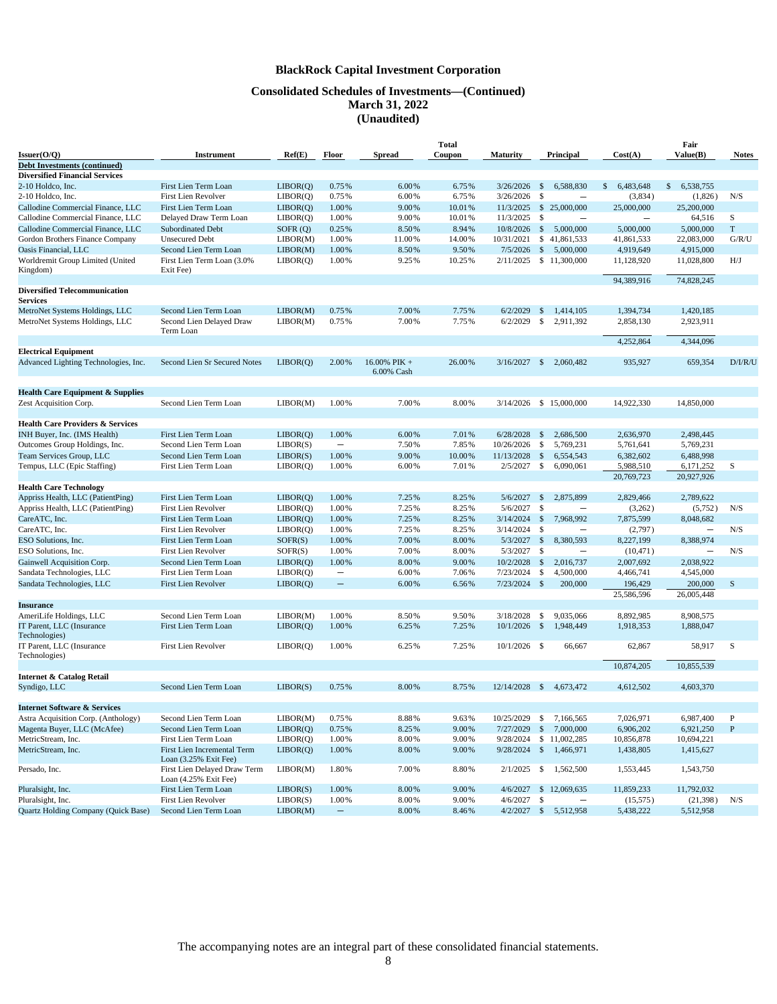## **Consolidated Schedules of Investments—(Continued) March 31, 2022 (Unaudited)**

|                                                                        |                                                       |                     |                          |                 | <b>Total</b>    |                 |               |                                                     |                                        | Fair                     |              |
|------------------------------------------------------------------------|-------------------------------------------------------|---------------------|--------------------------|-----------------|-----------------|-----------------|---------------|-----------------------------------------------------|----------------------------------------|--------------------------|--------------|
| Issuer(O/Q)                                                            | <b>Instrument</b>                                     | Ref(E)              | Floor                    | Spread          | Coupon          | <b>Maturity</b> |               | Principal                                           | Cost(A)                                | Value(B)                 | <b>Notes</b> |
| <b>Debt Investments (continued)</b>                                    |                                                       |                     |                          |                 |                 |                 |               |                                                     |                                        |                          |              |
| <b>Diversified Financial Services</b><br>2-10 Holdco, Inc.             | First Lien Term Loan                                  | LIBOR(Q)            | 0.75%                    | 6.00%           | 6.75%           | $3/26/2026$ \$  |               | 6,588,830                                           | 6,483,648<br>\$                        | 6,538,755<br>\$          |              |
| 2-10 Holdco, Inc.                                                      | First Lien Revolver                                   | LIBOR(Q)            | 0.75%                    | 6.00%           | 6.75%           | $3/26/2026$ \$  |               | $\qquad \qquad -$                                   | (3,834)                                | (1,826)                  | N/S          |
|                                                                        | First Lien Term Loan                                  |                     | 1.00%                    |                 | 10.01%          |                 |               |                                                     |                                        |                          |              |
| Callodine Commercial Finance, LLC<br>Callodine Commercial Finance, LLC | Delayed Draw Term Loan                                | LIBOR(Q)            |                          | 9.00%<br>9.00%  | 10.01%          | $11/3/2025$ \$  |               | 11/3/2025 \$ 25,000,000<br>$\overline{\phantom{0}}$ | 25,000,000<br>$\overline{\phantom{0}}$ | 25,200,000               | S            |
| Callodine Commercial Finance, LLC                                      | <b>Subordinated Debt</b>                              | LIBOR(Q)            | 1.00%                    |                 |                 |                 |               |                                                     |                                        | 64,516                   | $\mathbf T$  |
|                                                                        | <b>Unsecured Debt</b>                                 | SOFR(Q)<br>LIBOR(M) | 0.25%<br>1.00%           | 8.50%           | 8.94%<br>14.00% | 10/8/2026       | $\mathcal{S}$ | 5,000,000<br>\$41,861,533                           | 5,000,000<br>41,861,533                | 5,000,000<br>22,083,000  | G/R/U        |
| Gordon Brothers Finance Company<br>Oasis Financial, LLC                | Second Lien Term Loan                                 | LIBOR(M)            | 1.00%                    | 11.00%<br>8.50% | 9.50%           | 10/31/2021      |               | 7/5/2026 \$ 5,000,000                               | 4,919,649                              | 4,915,000                |              |
| Worldremit Group Limited (United                                       | First Lien Term Loan (3.0%                            | LIBOR(Q)            | 1.00%                    | 9.25%           | 10.25%          |                 |               | 2/11/2025 \$ 11,300,000                             | 11,128,920                             | 11,028,800               | H/J          |
| Kingdom)                                                               | Exit Fee)                                             |                     |                          |                 |                 |                 |               |                                                     |                                        |                          |              |
|                                                                        |                                                       |                     |                          |                 |                 |                 |               |                                                     | 94.389.916                             | 74,828,245               |              |
| <b>Diversified Telecommunication</b>                                   |                                                       |                     |                          |                 |                 |                 |               |                                                     |                                        |                          |              |
| <b>Services</b>                                                        |                                                       |                     |                          |                 |                 |                 |               |                                                     |                                        |                          |              |
| MetroNet Systems Holdings, LLC                                         | Second Lien Term Loan                                 | LIBOR(M)            | 0.75%                    | 7.00%           | 7.75%           | 6/2/2029        | $\mathbb{S}$  | 1,414,105                                           | 1.394.734                              | 1,420,185                |              |
| MetroNet Systems Holdings, LLC                                         | Second Lien Delayed Draw                              | LIBOR(M)            | 0.75%                    | 7.00%           | 7.75%           | 6/2/2029        | \$            | 2,911,392                                           | 2,858,130                              | 2,923,911                |              |
|                                                                        | Term Loan                                             |                     |                          |                 |                 |                 |               |                                                     |                                        |                          |              |
|                                                                        |                                                       |                     |                          |                 |                 |                 |               |                                                     | 4,252,864                              | 4,344,096                |              |
| <b>Electrical Equipment</b>                                            |                                                       |                     |                          |                 |                 |                 |               |                                                     |                                        |                          |              |
| Advanced Lighting Technologies, Inc.                                   | Second Lien Sr Secured Notes                          | LIBOR(Q)            | 2.00%                    | 16.00% PIK +    | 26.00%          | $3/16/2027$ \$  |               | 2,060,482                                           | 935,927                                | 659,354                  | D/I/R/U      |
|                                                                        |                                                       |                     |                          | 6.00% Cash      |                 |                 |               |                                                     |                                        |                          |              |
|                                                                        |                                                       |                     |                          |                 |                 |                 |               |                                                     |                                        |                          |              |
| <b>Health Care Equipment &amp; Supplies</b>                            |                                                       |                     |                          |                 |                 |                 |               |                                                     |                                        |                          |              |
| Zest Acquisition Corp.                                                 | Second Lien Term Loan                                 | LIBOR(M)            | 1.00%                    | 7.00%           | 8.00%           |                 |               | 3/14/2026 \$ 15,000,000                             | 14,922,330                             | 14,850,000               |              |
|                                                                        |                                                       |                     |                          |                 |                 |                 |               |                                                     |                                        |                          |              |
| <b>Health Care Providers &amp; Services</b>                            |                                                       |                     |                          |                 |                 |                 |               |                                                     |                                        |                          |              |
| INH Buyer, Inc. (IMS Health)                                           | First Lien Term Loan                                  | LIBOR(Q)            | 1.00%                    | 6.00%           | 7.01%           | 6/28/2028       | $\mathbb{S}$  | 2,686,500                                           | 2,636,970                              | 2,498,445                |              |
| Outcomes Group Holdings, Inc.                                          | Second Lien Term Loan                                 | LIBOR(S)            | $\qquad -$               | 7.50%           | 7.85%           | 10/26/2026      | \$            | 5,769,231                                           | 5,761,641                              | 5,769,231                |              |
| Team Services Group, LLC                                               | Second Lien Term Loan                                 | LIBOR(S)            | 1.00%                    | 9.00%           | 10.00%          | 11/13/2028      | $\mathcal{S}$ | 6,554,543                                           | 6,382,602                              | 6,488,998                |              |
| Tempus, LLC (Epic Staffing)                                            | First Lien Term Loan                                  | LIBOR(Q)            | 1.00%                    | 6.00%           | 7.01%           | $2/5/2027$ \$   |               | 6,090,061                                           | 5,988,510                              | 6,171,252                | S            |
|                                                                        |                                                       |                     |                          |                 |                 |                 |               |                                                     | 20,769,723                             | 20,927,926               |              |
| <b>Health Care Technology</b>                                          |                                                       |                     |                          |                 |                 |                 |               |                                                     |                                        |                          |              |
| Appriss Health, LLC (PatientPing)                                      | First Lien Term Loan                                  | LIBOR(Q)            | 1.00%                    | 7.25%           | 8.25%           | 5/6/2027        | $\mathcal{S}$ | 2,875,899                                           | 2,829,466                              | 2,789,622                |              |
| Appriss Health, LLC (PatientPing)                                      | First Lien Revolver                                   | LIBOR(Q)            | 1.00%                    | 7.25%           | 8.25%           | $5/6/2027$ \$   |               | $\overline{\phantom{0}}$                            | (3,262)                                | (5,752)                  | N/S          |
| CareATC, Inc.                                                          | First Lien Term Loan                                  | LIBOR(Q)            | 1.00%                    | 7.25%           | 8.25%           | $3/14/2024$ \$  |               | 7,968,992                                           | 7,875,599                              | 8,048,682                |              |
| CareATC, Inc.                                                          | First Lien Revolver                                   | LIBOR(Q)            | 1.00%                    | 7.25%           | 8.25%           | $3/14/2024$ \$  |               | $\qquad \qquad -$                                   | (2,797)                                | $\overline{\phantom{0}}$ | N/S          |
| ESO Solutions, Inc.                                                    | First Lien Term Loan                                  | SOFR(S)             | 1.00%                    | 7.00%           | 8.00%           | $5/3/2027$ \$   |               | 8,380,593                                           | 8,227,199                              | 8,388,974                |              |
| ESO Solutions, Inc.                                                    | First Lien Revolver                                   | SOFR(S)             | 1.00%                    | 7.00%           | 8.00%           | $5/3/2027$ \$   |               | $\overline{\phantom{0}}$                            | (10, 471)                              | $\qquad \qquad -$        | N/S          |
| Gainwell Acquisition Corp.                                             | Second Lien Term Loan                                 | LIBOR(Q)            | 1.00%                    | 8.00%           | 9.00%           | 10/2/2028       | $\mathbb{S}$  | 2,016,737                                           | 2,007,692                              | 2,038,922                |              |
| Sandata Technologies, LLC                                              | First Lien Term Loan                                  | LIBOR(Q)            | $\overline{\phantom{m}}$ | 6.00%           | 7.06%           | $7/23/2024$ \$  |               | 4,500,000                                           | 4,466,741                              | 4,545,000                |              |
| Sandata Technologies, LLC                                              | <b>First Lien Revolver</b>                            | LIBOR(Q)            | $\equiv$                 | 6.00%           | 6.56%           | $7/23/2024$ \$  |               | 200,000                                             | 196,429                                | 200,000                  | S            |
|                                                                        |                                                       |                     |                          |                 |                 |                 |               |                                                     | 25,586,596                             | 26,005,448               |              |
| <b>Insurance</b>                                                       |                                                       |                     |                          |                 |                 |                 |               |                                                     |                                        |                          |              |
| AmeriLife Holdings, LLC                                                | Second Lien Term Loan                                 | LIBOR(M)            | 1.00%                    | 8.50%           | 9.50%           | 3/18/2028       | \$            | 9,035,066                                           | 8,892,985                              | 8,908,575                |              |
| IT Parent, LLC (Insurance                                              | First Lien Term Loan                                  | LIBOR(Q)            | 1.00%                    | 6.25%           | 7.25%           | $10/1/2026$ \$  |               | 1,948,449                                           | 1,918,353                              | 1,888,047                |              |
| Technologies)                                                          |                                                       |                     |                          |                 |                 |                 |               |                                                     |                                        |                          |              |
| IT Parent, LLC (Insurance                                              | First Lien Revolver                                   | LIBOR(Q)            | 1.00%                    | 6.25%           | 7.25%           | $10/1/2026$ \$  |               | 66,667                                              | 62,867                                 | 58,917                   | S            |
| Technologies)                                                          |                                                       |                     |                          |                 |                 |                 |               |                                                     |                                        |                          |              |
|                                                                        |                                                       |                     |                          |                 |                 |                 |               |                                                     | 10,874,205                             | 10,855,539               |              |
| <b>Internet &amp; Catalog Retail</b>                                   |                                                       |                     |                          |                 |                 |                 |               |                                                     |                                        |                          |              |
| Syndigo, LLC                                                           | Second Lien Term Loan                                 | LIBOR(S)            | 0.75%                    | 8.00%           | 8.75%           | $12/14/2028$ \$ |               | 4,673,472                                           | 4,612,502                              | 4,603,370                |              |
|                                                                        |                                                       |                     |                          |                 |                 |                 |               |                                                     |                                        |                          |              |
| <b>Internet Software &amp; Services</b>                                |                                                       |                     |                          |                 |                 |                 |               |                                                     |                                        |                          |              |
| Astra Acquisition Corp. (Anthology)                                    | Second Lien Term Loan                                 | LIBOR(M)            | 0.75%                    | 8.88%           | 9.63%           |                 |               | 10/25/2029 \$ 7,166,565                             | 7,026,971                              | 6,987,400                | $\mathbf{P}$ |
| Magenta Buyer, LLC (McAfee)                                            | Second Lien Term Loan                                 | LIBOR(Q)            | 0.75%                    | 8.25%           | 9.00%           | $7/27/2029$ \$  |               | 7,000,000                                           | 6,906,202                              | 6,921,250                | $\mathbf{P}$ |
| MetricStream, Inc.                                                     | First Lien Term Loan                                  | LIBOR(Q)            | 1.00%                    | 8.00%           | 9.00%           |                 |               | 9/28/2024 \$ 11,002,285                             | 10,856,878                             | 10,694,221               |              |
| MetricStream, Inc.                                                     | First Lien Incremental Term<br>Loan (3.25% Exit Fee)  | LIBOR(Q)            | 1.00%                    | 8.00%           | 9.00%           |                 |               | 9/28/2024 \$ 1,466,971                              | 1,438,805                              | 1,415,627                |              |
|                                                                        |                                                       | LIBOR(M)            |                          |                 |                 |                 |               | 1,562,500                                           | 1,553,445                              |                          |              |
| Persado, Inc.                                                          | First Lien Delayed Draw Term<br>Loan (4.25% Exit Fee) |                     | 1.80%                    | 7.00%           | 8.80%           | $2/1/2025$ \$   |               |                                                     |                                        | 1,543,750                |              |
| Pluralsight, Inc.                                                      | First Lien Term Loan                                  | LIBOR(S)            | 1.00%                    | 8.00%           | 9.00%           |                 |               | 4/6/2027 \$ 12,069,635                              | 11,859,233                             | 11,792,032               |              |
| Pluralsight, Inc.                                                      | First Lien Revolver                                   | LIBOR(S)            | 1.00%                    | 8.00%           | 9.00%           | $4/6/2027$ \$   |               |                                                     | (15, 575)                              | (21,398)                 | N/S          |
| Quartz Holding Company (Quick Base)                                    | Second Lien Term Loan                                 | LIBOR(M)            | $\equiv$                 | 8.00%           | 8.46%           |                 |               | 4/2/2027 \$ 5,512,958                               | 5,438,222                              | 5,512,958                |              |
|                                                                        |                                                       |                     |                          |                 |                 |                 |               |                                                     |                                        |                          |              |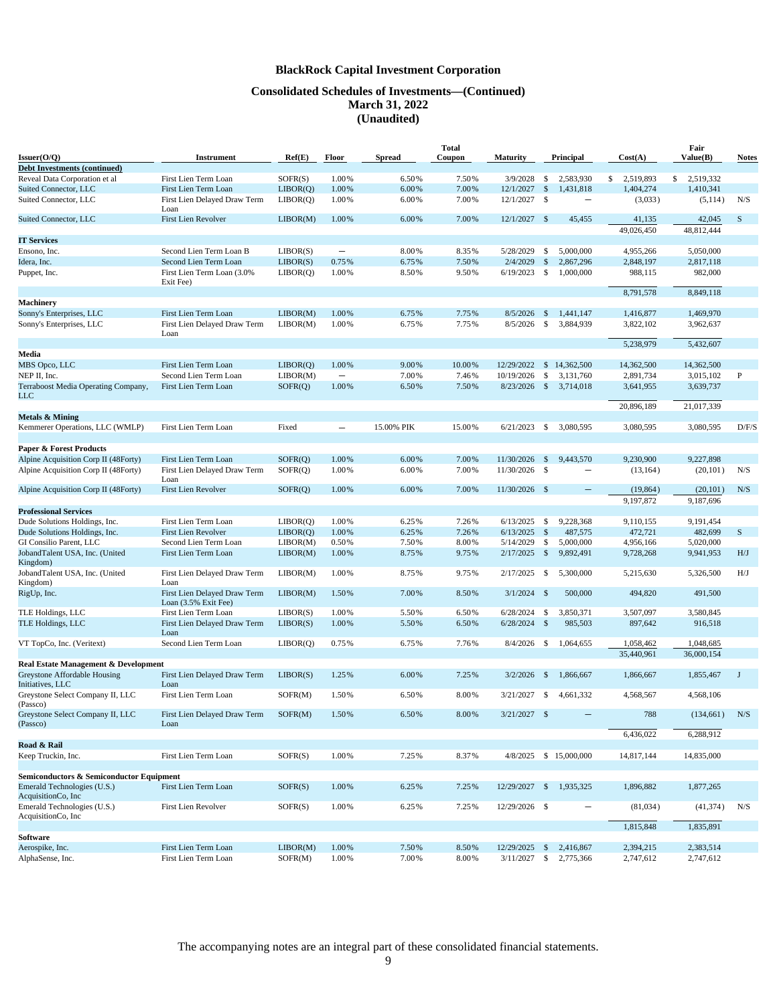## **Consolidated Schedules of Investments—(Continued) March 31, 2022 (Unaudited)**

| Issuer(O/Q)                                                                              | <b>Instrument</b>                                    | Ref(E)   | <b>Floor</b>      | <b>Spread</b> | <b>Total</b><br>Coupon | <b>Maturity</b> |               | Principal                | Cost(A)                | Fair<br>Value(B)       | <b>Notes</b> |
|------------------------------------------------------------------------------------------|------------------------------------------------------|----------|-------------------|---------------|------------------------|-----------------|---------------|--------------------------|------------------------|------------------------|--------------|
| <b>Debt Investments (continued)</b>                                                      |                                                      |          |                   |               |                        |                 |               |                          |                        |                        |              |
| Reveal Data Corporation et al                                                            | First Lien Term Loan                                 | SOFR(S)  | 1.00%             | 6.50%         | 7.50%                  | 3/9/2028        | \$            | 2,583,930                | \$<br>2,519,893        | \$2,519,332            |              |
| Suited Connector, LLC                                                                    | First Lien Term Loan                                 | LIBOR(O) | 1.00%             | 6.00%         | 7.00%                  | 12/1/2027       | $\mathbb{S}$  | 1,431,818                | 1,404,274              | 1,410,341              |              |
| Suited Connector, LLC                                                                    | First Lien Delayed Draw Term<br>Loan                 | LIBOR(Q) | 1.00%             | 6.00%         | 7.00%                  | $12/1/2027$ \$  |               | $\qquad \qquad -$        | (3,033)                | (5,114)                | N/S          |
| Suited Connector, LLC                                                                    | First Lien Revolver                                  | LIBOR(M) | 1.00%             | 6.00%         | 7.00%                  | $12/1/2027$ \$  |               | 45,455                   | 41,135<br>49,026,450   | 42,045<br>48,812,444   | S            |
| <b>IT Services</b>                                                                       |                                                      |          |                   |               |                        |                 |               |                          |                        |                        |              |
| Ensono, Inc.                                                                             | Second Lien Term Loan B                              | LIBOR(S) | $\qquad \qquad -$ | 8.00%         | 8.35%                  | 5/28/2029       | \$            | 5,000,000                | 4,955,266              | 5,050,000              |              |
| Idera, Inc.                                                                              | Second Lien Term Loan                                | LIBOR(S) | 0.75%             | 6.75%         | 7.50%                  | 2/4/2029        | $\mathcal{S}$ | 2,867,296                | 2,848,197              | 2,817,118              |              |
| Puppet, Inc.                                                                             | First Lien Term Loan (3.0%<br>Exit Fee)              | LIBOR(Q) | 1.00%             | 8.50%         | 9.50%                  | $6/19/2023$ \$  |               | 1,000,000                | 988,115                | 982,000                |              |
| <b>Machinery</b>                                                                         |                                                      |          |                   |               |                        |                 |               |                          | 8,791,578              | 8,849,118              |              |
| Sonny's Enterprises, LLC                                                                 | First Lien Term Loan                                 | LIBOR(M) | 1.00%             | 6.75%         | 7.75%                  | 8/5/2026        | $\mathbb{S}$  | 1,441,147                | 1,416,877              | 1,469,970              |              |
| Sonny's Enterprises, LLC                                                                 | First Lien Delayed Draw Term<br>Loan                 | LIBOR(M) | 1.00%             | 6.75%         | 7.75%                  | 8/5/2026        | \$            | 3,884,939                | 3,822,102              | 3,962,637              |              |
| Media                                                                                    |                                                      |          |                   |               |                        |                 |               |                          | 5,238,979              | 5,432,607              |              |
| MBS Opco, LLC                                                                            | First Lien Term Loan                                 | LIBOR(Q) | 1.00%             | 9.00%         | 10.00%                 | 12/29/2022      |               | \$14,362,500             | 14,362,500             | 14,362,500             |              |
| NEP II, Inc.                                                                             | Second Lien Term Loan                                | LIBOR(M) | $\qquad \qquad -$ | 7.00%         | 7.46%                  | 10/19/2026      | \$            | 3,131,760                | 2,891,734              | 3,015,102              | P            |
| Terraboost Media Operating Company,                                                      | First Lien Term Loan                                 | SOFR(Q)  | 1.00%             | 6.50%         | 7.50%                  | $8/23/2026$ \$  |               | 3,714,018                | 3,641,955              | 3,639,737              |              |
| LLC                                                                                      |                                                      |          |                   |               |                        |                 |               |                          |                        |                        |              |
| <b>Metals &amp; Mining</b>                                                               |                                                      |          |                   |               |                        |                 |               |                          | 20,896,189             | 21,017,339             |              |
| Kemmerer Operations, LLC (WMLP)                                                          | First Lien Term Loan                                 | Fixed    | $\qquad \qquad -$ | 15.00% PIK    | 15.00%                 | $6/21/2023$ \$  |               | 3,080,595                | 3,080,595              | 3,080,595              | D/F/S        |
| <b>Paper &amp; Forest Products</b>                                                       |                                                      |          |                   |               |                        |                 |               |                          |                        |                        |              |
| Alpine Acquisition Corp II (48Forty)                                                     | First Lien Term Loan                                 | SOFR(Q)  | 1.00%             | 6.00%         | 7.00%                  | 11/30/2026      | $\mathbb{S}$  | 9,443,570                | 9,230,900              | 9,227,898              |              |
| Alpine Acquisition Corp II (48Forty)                                                     | First Lien Delayed Draw Term<br>Loan                 | SOFR(Q)  | 1.00%             | 6.00%         | 7.00%                  | 11/30/2026 \$   |               |                          | (13, 164)              | (20, 101)              | N/S          |
| Alpine Acquisition Corp II (48Forty)                                                     | First Lien Revolver                                  | SOFR(Q)  | 1.00%             | 6.00%         | 7.00%                  | 11/30/2026 \$   |               | $\overline{\phantom{m}}$ | (19, 864)<br>9,197,872 | (20, 101)<br>9,187,696 | N/S          |
| <b>Professional Services</b>                                                             |                                                      |          |                   |               |                        |                 |               |                          |                        |                        |              |
| Dude Solutions Holdings, Inc.                                                            | First Lien Term Loan                                 | LIBOR(Q) | 1.00%             | 6.25%         | 7.26%                  | 6/13/2025       | \$            | 9,228,368                | 9,110,155              | 9,191,454              |              |
| Dude Solutions Holdings, Inc.                                                            | <b>First Lien Revolver</b>                           | LIBOR(Q) | 1.00%             | 6.25%         | 7.26%                  | 6/13/2025       | $\mathbb{S}$  | 487,575                  | 472,721                | 482,699                | S.           |
| GI Consilio Parent, LLC                                                                  | Second Lien Term Loan                                | LIBOR(M) | 0.50%             | 7.50%         | 8.00%                  | 5/14/2029       | \$            | 5,000,000                | 4,956,166              | 5,020,000              |              |
| JobandTalent USA, Inc. (United<br>Kingdom)                                               | First Lien Term Loan                                 | LIBOR(M) | 1.00%             | 8.75%         | 9.75%                  | 2/17/2025       | $\sqrt{s}$    | 9,892,491                | 9,728,268              | 9,941,953              | H/J          |
| JobandTalent USA, Inc. (United<br>Kingdom)                                               | First Lien Delayed Draw Term<br>Loan                 | LIBOR(M) | 1.00%             | 8.75%         | 9.75%                  | $2/17/2025$ \$  |               | 5,300,000                | 5,215,630              | 5,326,500              | H/J          |
| RigUp, Inc.                                                                              | First Lien Delayed Draw Term<br>Loan (3.5% Exit Fee) | LIBOR(M) | 1.50%             | 7.00%         | 8.50%                  | $3/1/2024$ \$   |               | 500,000                  | 494,820                | 491,500                |              |
| TLE Holdings, LLC                                                                        | First Lien Term Loan                                 | LIBOR(S) | 1.00%             | 5.50%         | 6.50%                  | 6/28/2024       | \$            | 3,850,371                | 3,507,097              | 3,580,845              |              |
| TLE Holdings, LLC                                                                        | First Lien Delayed Draw Term<br>Loan                 | LIBOR(S) | 1.00%             | 5.50%         | 6.50%                  | $6/28/2024$ \$  |               | 985,503                  | 897,642                | 916,518                |              |
| VT TopCo, Inc. (Veritext)                                                                | Second Lien Term Loan                                | LIBOR(Q) | 0.75%             | 6.75%         | 7.76%                  | $8/4/2026$ \$   |               | 1,064,655                | 1,058,462              | 1,048,685              |              |
|                                                                                          |                                                      |          |                   |               |                        |                 |               |                          | 35,440,961             | 36,000,154             |              |
| Real Estate Management & Development<br>Greystone Affordable Housing<br>Initiatives, LLC | First Lien Delayed Draw Term<br>Loan                 | LIBOR(S) | 1.25%             | 6.00%         | 7.25%                  | 3/2/2026        | $\mathbb{S}$  | 1,866,667                | 1,866,667              | 1,855,467              | J            |
| Greystone Select Company II, LLC<br>(Passco)                                             | First Lien Term Loan                                 | SOFR(M)  | 1.50%             | 6.50%         | 8.00%                  | $3/21/2027$ \$  |               | 4,661,332                | 4,568,567              | 4,568,106              |              |
| Greystone Select Company II, LLC<br>(Passco)                                             | First Lien Delayed Draw Term<br>Loan                 | SOFR(M)  | 1.50%             | 6.50%         | 8.00%                  | $3/21/2027$ \$  |               |                          | 788                    | (134, 661)             | N/S          |
|                                                                                          |                                                      |          |                   |               |                        |                 |               |                          | 6,436,022              | 6,288,912              |              |
| Road & Rail<br>Keep Truckin, Inc.                                                        | First Lien Term Loan                                 | SOFR(S)  | 1.00%             | 7.25%         | 8.37%                  |                 |               | 4/8/2025 \$ 15,000,000   | 14,817,144             | 14,835,000             |              |
|                                                                                          |                                                      |          |                   |               |                        |                 |               |                          |                        |                        |              |
| <b>Semiconductors &amp; Semiconductor Equipment</b>                                      |                                                      |          |                   |               |                        |                 |               |                          |                        |                        |              |
| Emerald Technologies (U.S.)<br>AcquisitionCo, Inc                                        | First Lien Term Loan                                 | SOFR(S)  | 1.00%             | 6.25%         | 7.25%                  | 12/29/2027 \$   |               | 1,935,325                | 1,896,882              | 1,877,265              |              |
| Emerald Technologies (U.S.)<br>AcquisitionCo, Inc                                        | First Lien Revolver                                  | SOFR(S)  | 1.00%             | 6.25%         | 7.25%                  | 12/29/2026 \$   |               | $\qquad \qquad -$        | (81,034)               | (41, 374)              | N/S          |
|                                                                                          |                                                      |          |                   |               |                        |                 |               |                          | 1,815,848              | 1,835,891              |              |
| Software<br>Aerospike, Inc.                                                              | First Lien Term Loan                                 | LIBOR(M) | 1.00%             | 7.50%         | 8.50%                  | 12/29/2025      | $\mathcal{S}$ | 2,416,867                | 2,394,215              | 2,383,514              |              |
| AlphaSense, Inc.                                                                         | First Lien Term Loan                                 | SOFR(M)  | 1.00%             | 7.00%         | 8.00%                  | 3/11/2027       | \$            | 2,775,366                | 2,747,612              | 2,747,612              |              |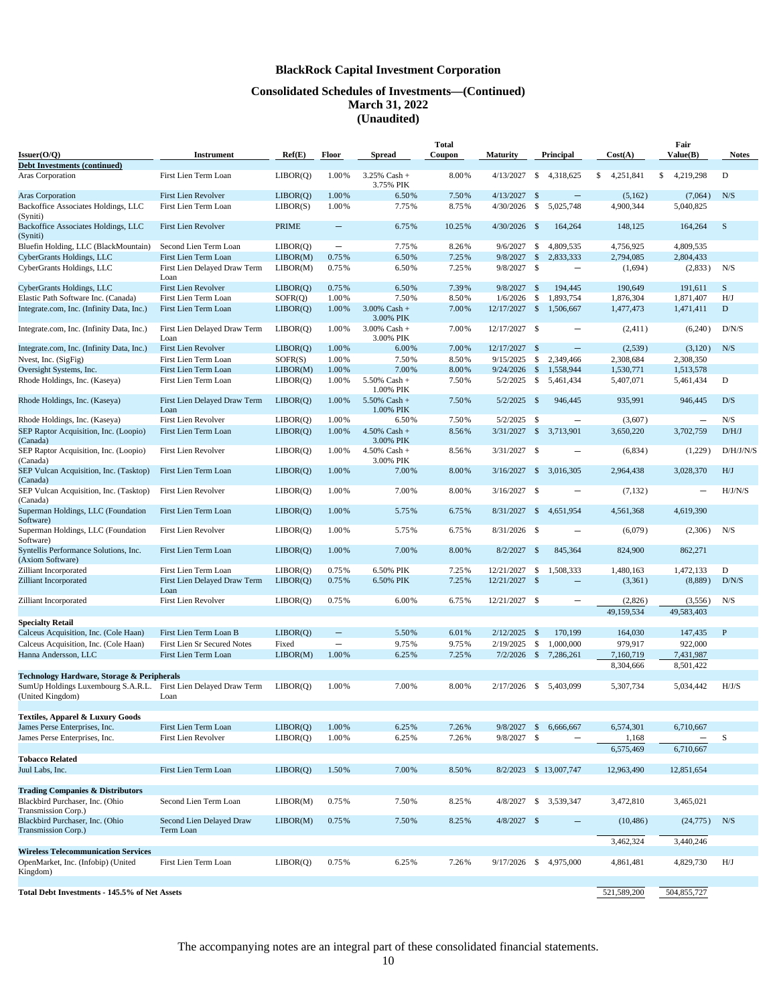## **Consolidated Schedules of Investments—(Continued) March 31, 2022 (Unaudited)**

| Issuer(O/Q)                                               | Instrument                                                   | Ref(E)               | Floor                    | <b>Spread</b>                         | <b>Total</b><br>Coupon | <b>Maturity</b>            |               | Principal                             | Cost(A)                   | Fair<br>Value(B)          | <b>Notes</b> |
|-----------------------------------------------------------|--------------------------------------------------------------|----------------------|--------------------------|---------------------------------------|------------------------|----------------------------|---------------|---------------------------------------|---------------------------|---------------------------|--------------|
| <b>Debt Investments (continued)</b>                       |                                                              |                      |                          |                                       |                        |                            |               |                                       |                           |                           |              |
| Aras Corporation                                          | First Lien Term Loan                                         | LIBOR(Q)             | 1.00%                    | $3.25\%$ Cash +<br>3.75% PIK          | 8.00%                  | 4/13/2027                  | \$            | 4,318,625                             | $\mathbb{S}$<br>4,251,841 | $\mathbb{S}$<br>4,219,298 | D            |
| Aras Corporation                                          | <b>First Lien Revolver</b>                                   | LIBOR(O)             | 1.00%                    | 6.50%                                 | 7.50%                  | 4/13/2027                  | $\mathbb{S}$  | $\equiv$                              | (5,162)                   | (7,064)                   | N/S          |
| Backoffice Associates Holdings, LLC<br>(Syniti)           | First Lien Term Loan                                         | LIBOR(S)             | 1.00%                    | 7.75%                                 | 8.75%                  | 4/30/2026                  | $\mathbb{S}$  | 5,025,748                             | 4,900,344                 | 5,040,825                 |              |
| Backoffice Associates Holdings, LLC<br>(Syniti)           | <b>First Lien Revolver</b>                                   | <b>PRIME</b>         | $\qquad \qquad -$        | 6.75%                                 | 10.25%                 | 4/30/2026                  | \$            | 164,264                               | 148,125                   | 164,264                   | S            |
| Bluefin Holding, LLC (BlackMountain)                      | Second Lien Term Loan                                        | LIBOR(Q)             | $\qquad \qquad -$        | 7.75%                                 | 8.26%                  | 9/6/2027                   | \$            | 4,809,535                             | 4,756,925                 | 4,809,535                 |              |
| CyberGrants Holdings, LLC<br>CyberGrants Holdings, LLC    | First Lien Term Loan<br>First Lien Delayed Draw Term<br>Loan | LIBOR(M)<br>LIBOR(M) | 0.75%<br>0.75%           | 6.50%<br>6.50%                        | 7.25%<br>7.25%         | 9/8/2027<br>9/8/2027 \$    | $\mathbb{S}$  | 2,833,333<br>$\overline{\phantom{0}}$ | 2,794,085<br>(1,694)      | 2,804,433<br>(2,833)      | N/S          |
| CyberGrants Holdings, LLC                                 | <b>First Lien Revolver</b>                                   | LIBOR(O)             | 0.75%                    | 6.50%                                 | 7.39%                  | 9/8/2027                   | $\mathbb{S}$  | 194,445                               | 190,649                   | 191,611                   | S.           |
| Elastic Path Software Inc. (Canada)                       | First Lien Term Loan                                         | SOFR(Q)              | 1.00%                    | 7.50%                                 | 8.50%                  | 1/6/2026                   | $\mathbb{S}$  | 1,893,754                             | 1,876,304                 | 1,871,407                 | H/J          |
| Integrate.com, Inc. (Infinity Data, Inc.)                 | First Lien Term Loan                                         | LIBOR(Q)             | 1.00%                    | $3.00\%$ Cash +<br>3.00% PIK          | 7.00%                  | 12/17/2027                 | $\mathcal{S}$ | 1,506,667                             | 1,477,473                 | 1,471,411                 | D            |
| Integrate.com, Inc. (Infinity Data, Inc.)                 | First Lien Delayed Draw Term<br>Loan                         | LIBOR(Q)             | 1.00%                    | $3.00\%$ Cash +<br>3.00% PIK          | 7.00%                  | 12/17/2027 \$              |               | $\overline{\phantom{0}}$              | (2,411)                   | (6,240)                   | D/N/S        |
| Integrate.com, Inc. (Infinity Data, Inc.)                 | First Lien Revolver                                          | LIBOR(Q)             | 1.00%                    | 6.00%                                 | 7.00%                  | 12/17/2027                 | $\mathbb{S}$  | $\qquad \qquad -$                     | (2,539)                   | (3,120)                   | N/S          |
| Nvest, Inc. (SigFig)                                      | First Lien Term Loan                                         | SOFR(S)              | 1.00%                    | 7.50%                                 | 8.50%                  | 9/15/2025                  | \$            | 2,349,466                             | 2,308,684                 | 2,308,350                 |              |
| Oversight Systems, Inc.<br>Rhode Holdings, Inc. (Kaseya)  | First Lien Term Loan<br>First Lien Term Loan                 | LIBOR(M)<br>LIBOR(Q) | 1.00%<br>1.00%           | 7.00%<br>$5.50\%$ Cash +<br>1.00% PIK | 8.00%<br>7.50%         | 9/24/2026<br>$5/2/2025$ \$ | $\mathcal{S}$ | 1,558,944<br>5,461,434                | 1,530,771<br>5,407,071    | 1,513,578<br>5,461,434    | D            |
| Rhode Holdings, Inc. (Kaseya)                             | First Lien Delayed Draw Term<br>Loan                         | LIBOR(Q)             | 1.00%                    | 5.50% Cash $+$<br>1.00% PIK           | 7.50%                  | 5/2/2025                   | - \$          | 946,445                               | 935,991                   | 946,445                   | D/S          |
| Rhode Holdings, Inc. (Kaseya)                             | <b>First Lien Revolver</b>                                   | LIBOR(Q)             | 1.00%                    | 6.50%                                 | 7.50%                  | 5/2/2025                   | -\$           | $\overline{\phantom{0}}$              | (3,607)                   | $\overline{\phantom{0}}$  | N/S          |
| SEP Raptor Acquisition, Inc. (Loopio)<br>(Canada)         | First Lien Term Loan                                         | LIBOR(Q)             | 1.00%                    | $4.50\%$ Cash +<br>3.00% PIK          | 8.56%                  | 3/31/2027                  | $\mathcal{S}$ | 3,713,901                             | 3,650,220                 | 3,702,759                 | D/H/J        |
| SEP Raptor Acquisition, Inc. (Loopio)<br>(Canada)         | First Lien Revolver                                          | LIBOR(Q)             | 1.00%                    | $4.50\%$ Cash +<br>3.00% PIK          | 8.56%                  | $3/31/2027$ \$             |               | $\overline{\phantom{0}}$              | (6,834)                   | (1,229)                   | D/H/J/N/S    |
| SEP Vulcan Acquisition, Inc. (Tasktop)<br>(Canada)        | First Lien Term Loan                                         | LIBOR(Q)             | 1.00%                    | 7.00%                                 | 8.00%                  | 3/16/2027                  | $\mathcal{S}$ | 3,016,305                             | 2,964,438                 | 3,028,370                 | H/J          |
| SEP Vulcan Acquisition, Inc. (Tasktop)<br>(Canada)        | First Lien Revolver                                          | LIBOR(Q)             | 1.00%                    | 7.00%                                 | 8.00%                  | $3/16/2027$ \$             |               | $\overline{\phantom{0}}$              | (7, 132)                  | $\overline{\phantom{0}}$  | H/J/N/S      |
| Superman Holdings, LLC (Foundation<br>Software)           | First Lien Term Loan                                         | LIBOR(Q)             | 1.00%                    | 5.75%                                 | 6.75%                  | 8/31/2027                  | <sup>\$</sup> | 4,651,954                             | 4,561,368                 | 4,619,390                 |              |
| Superman Holdings, LLC (Foundation<br>Software)           | First Lien Revolver                                          | LIBOR(Q)             | 1.00%                    | 5.75%                                 | 6.75%                  | $8/31/2026$ \$             |               | $\overline{\phantom{0}}$              | (6,079)                   | (2,306)                   | N/S          |
| Syntellis Performance Solutions, Inc.<br>(Axiom Software) | First Lien Term Loan                                         | LIBOR(Q)             | 1.00%                    | 7.00%                                 | 8.00%                  | 8/2/2027                   | $\mathbb{S}$  | 845,364                               | 824,900                   | 862,271                   |              |
| Zilliant Incorporated                                     | First Lien Term Loan                                         | LIBOR(Q)             | 0.75%                    | 6.50% PIK                             | 7.25%                  | 12/21/2027                 | \$            | 1,508,333                             | 1,480,163                 | 1,472,133                 | D            |
| Zilliant Incorporated                                     | First Lien Delayed Draw Term<br>Loan                         | LIBOR(Q)             | 0.75%                    | 6.50% PIK                             | 7.25%                  | 12/21/2027 \$              |               |                                       | (3,361)                   | (8,889)                   | D/N/S        |
| Zilliant Incorporated                                     | First Lien Revolver                                          | LIBOR(Q)             | 0.75%                    | 6.00%                                 | 6.75%                  | 12/21/2027 \$              |               | $\qquad \qquad -$                     | (2,826)<br>49,159,534     | (3,556)<br>49,583,403     | N/S          |
| <b>Specialty Retail</b>                                   |                                                              |                      |                          |                                       |                        |                            |               |                                       |                           |                           |              |
| Calceus Acquisition, Inc. (Cole Haan)                     | First Lien Term Loan B                                       | LIBOR(O)             | $\equiv$                 | 5.50%                                 | 6.01%                  | 2/12/2025                  | $\mathbb{S}$  | 170.199                               | 164,030                   | 147,435                   | $\mathbf{P}$ |
| Calceus Acquisition, Inc. (Cole Haan)                     | First Lien Sr Secured Notes                                  | Fixed                | $\overline{\phantom{0}}$ | 9.75%                                 | 9.75%                  | 2/19/2025                  | \$            | 1,000,000                             | 979,917                   | 922,000                   |              |
| Hanna Andersson, LLC                                      | First Lien Term Loan                                         | LIBOR(M)             | 1.00%                    | 6.25%                                 | 7.25%                  |                            |               | 7/2/2026 \$ 7,286,261                 | 7,160,719<br>8,304,666    | 7,431,987<br>8,501,422    |              |
| <b>Technology Hardware, Storage &amp; Peripherals</b>     |                                                              | LIBOR(O)             | 1.00%                    | 7.00%                                 | 8.00%                  |                            |               |                                       | 5,307,734                 |                           | H/J/S        |
| SumUp Holdings Luxembourg S.A.R.L.<br>(United Kingdom)    | First Lien Delayed Draw Term<br>Loan                         |                      |                          |                                       |                        | $2/17/2026$ \$             |               | 5,403,099                             |                           | 5,034,442                 |              |
| Textiles, Apparel & Luxury Goods                          |                                                              |                      |                          |                                       |                        |                            |               |                                       |                           |                           |              |
| James Perse Enterprises, Inc.                             | First Lien Term Loan                                         | LIBOR(Q)             | 1.00%                    | 6.25%                                 | 7.26%                  | 9/8/2027                   | $\mathcal{S}$ | 6,666,667                             | 6,574,301                 | 6,710,667                 |              |
| James Perse Enterprises, Inc.                             | First Lien Revolver                                          | LIBOR(Q)             | 1.00%                    | 6.25%                                 | 7.26%                  | 9/8/2027 \$                |               |                                       | 1,168                     | $\qquad \qquad -$         | S            |
| <b>Tobacco Related</b>                                    |                                                              |                      |                          |                                       |                        |                            |               |                                       | 6,575,469                 | 6,710,667                 |              |
| Juul Labs, Inc.                                           | First Lien Term Loan                                         | LIBOR(Q)             | 1.50%                    | 7.00%                                 | 8.50%                  |                            |               | 8/2/2023 \$ 13,007,747                | 12,963,490                | 12,851,654                |              |
|                                                           |                                                              |                      |                          |                                       |                        |                            |               |                                       |                           |                           |              |
| <b>Trading Companies &amp; Distributors</b>               |                                                              |                      |                          |                                       |                        |                            |               |                                       |                           |                           |              |
| Blackbird Purchaser, Inc. (Ohio<br>Transmission Corp.)    | Second Lien Term Loan                                        | LIBOR(M)             | 0.75%                    | 7.50%                                 | 8.25%                  | 4/8/2027                   | S.            | 3,539,347                             | 3,472,810                 | 3,465,021                 |              |
| Blackbird Purchaser, Inc. (Ohio<br>Transmission Corp.)    | Second Lien Delayed Draw<br>Term Loan                        | LIBOR(M)             | 0.75%                    | 7.50%                                 | 8.25%                  | $4/8/2027$ \$              |               | $\overline{\phantom{m}}$              | (10, 486)                 | (24, 775)                 | N/S          |
| <b>Wireless Telecommunication Services</b>                |                                                              |                      |                          |                                       |                        |                            |               |                                       | 3,462,324                 | 3,440,246                 |              |
| OpenMarket, Inc. (Infobip) (United<br>Kingdom)            | First Lien Term Loan                                         | LIBOR(Q)             | 0.75%                    | 6.25%                                 | 7.26%                  | $9/17/2026$ \$             |               | 4,975,000                             | 4,861,481                 | 4,829,730                 | H/J          |
| Total Debt Investments - 145.5% of Net Assets             |                                                              |                      |                          |                                       |                        |                            |               |                                       |                           | 504,855,727               |              |
|                                                           |                                                              |                      |                          |                                       |                        |                            |               |                                       | 521,589,200               |                           |              |

The accompanying notes are an integral part of these consolidated financial statements.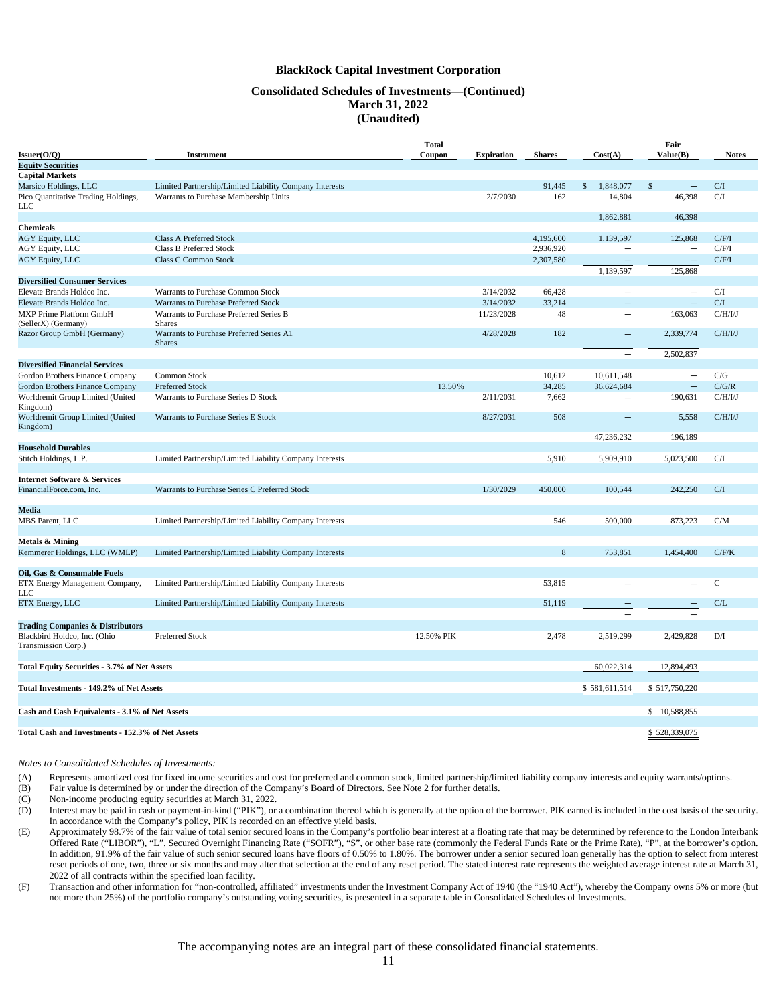## **Consolidated Schedules of Investments—(Continued) March 31, 2022 (Unaudited)**

|                                                     |                                                           | <b>Total</b> |                   |               |                           | Fair                     |               |  |
|-----------------------------------------------------|-----------------------------------------------------------|--------------|-------------------|---------------|---------------------------|--------------------------|---------------|--|
| Issuer(O/Q)                                         | <b>Instrument</b>                                         | Coupon       | <b>Expiration</b> | <b>Shares</b> | Cost(A)                   | Value(B)                 | <b>Notes</b>  |  |
| <b>Equity Securities</b>                            |                                                           |              |                   |               |                           |                          |               |  |
| <b>Capital Markets</b>                              |                                                           |              |                   |               |                           |                          |               |  |
| Marsico Holdings, LLC                               | Limited Partnership/Limited Liability Company Interests   |              |                   | 91,445        | 1,848,077<br>$\mathbb{S}$ | \$<br>$\qquad \qquad -$  | C/I           |  |
| Pico Quantitative Trading Holdings,<br><b>LLC</b>   | Warrants to Purchase Membership Units                     |              | 2/7/2030          | 162           | 14,804                    | 46,398                   | C/I           |  |
|                                                     |                                                           |              |                   |               | 1,862,881                 | 46,398                   |               |  |
| <b>Chemicals</b>                                    |                                                           |              |                   |               |                           |                          |               |  |
| <b>AGY Equity, LLC</b>                              | <b>Class A Preferred Stock</b>                            |              |                   | 4,195,600     | 1,139,597                 | 125,868                  | C/F/I         |  |
| AGY Equity, LLC                                     | <b>Class B Preferred Stock</b>                            |              |                   | 2,936,920     | $\overline{\phantom{0}}$  | $\overline{\phantom{0}}$ | C/F/I         |  |
| <b>AGY Equity, LLC</b>                              | <b>Class C Common Stock</b>                               |              |                   | 2,307,580     | $\qquad \qquad -$         | $\qquad \qquad -$        | C/F/I         |  |
|                                                     |                                                           |              |                   |               | 1,139,597                 | 125,868                  |               |  |
| <b>Diversified Consumer Services</b>                |                                                           |              |                   |               |                           |                          |               |  |
| Elevate Brands Holdco Inc.                          | Warrants to Purchase Common Stock                         |              | 3/14/2032         | 66,428        | $\overline{\phantom{0}}$  | $\overline{\phantom{0}}$ | C/I           |  |
| Elevate Brands Holdco Inc.                          | Warrants to Purchase Preferred Stock                      |              | 3/14/2032         | 33,214        | $\overline{\phantom{m}}$  | $\overline{\phantom{0}}$ | C/I           |  |
| MXP Prime Platform GmbH                             | Warrants to Purchase Preferred Series B                   |              | 11/23/2028        | 48            |                           | 163,063                  | C/H/JJ        |  |
| (SellerX) (Germany)                                 | <b>Shares</b>                                             |              |                   |               |                           |                          |               |  |
| Razor Group GmbH (Germany)                          | Warrants to Purchase Preferred Series A1<br><b>Shares</b> |              | 4/28/2028         | 182           | $\equiv$                  | 2,339,774                | C/H/JJ        |  |
|                                                     |                                                           |              |                   |               |                           | 2.502.837                |               |  |
| <b>Diversified Financial Services</b>               |                                                           |              |                   |               |                           |                          |               |  |
| Gordon Brothers Finance Company                     | Common Stock                                              |              |                   | 10,612        | 10,611,548                | $\qquad \qquad$          | C/G           |  |
| Gordon Brothers Finance Company                     | <b>Preferred Stock</b>                                    | 13.50%       |                   | 34,285        | 36,624,684                | $\equiv$                 | C/G/R         |  |
| Worldremit Group Limited (United<br>Kingdom)        | Warrants to Purchase Series D Stock                       |              | 2/11/2031         | 7,662         | $\overline{\phantom{0}}$  | 190,631                  | C/H/I/J       |  |
| Worldremit Group Limited (United<br>Kingdom)        | Warrants to Purchase Series E Stock                       |              | 8/27/2031         | 508           | $\overline{\phantom{0}}$  | 5,558                    | C/H/JJ        |  |
|                                                     |                                                           |              |                   |               | 47,236,232                | 196,189                  |               |  |
| <b>Household Durables</b>                           |                                                           |              |                   |               |                           |                          |               |  |
| Stitch Holdings, L.P.                               | Limited Partnership/Limited Liability Company Interests   |              |                   | 5,910         | 5,909,910                 | 5,023,500                | C/I           |  |
|                                                     |                                                           |              |                   |               |                           |                          |               |  |
| <b>Internet Software &amp; Services</b>             |                                                           |              |                   |               |                           |                          |               |  |
| FinancialForce.com, Inc.                            | Warrants to Purchase Series C Preferred Stock             |              | 1/30/2029         | 450,000       | 100,544                   | 242,250                  | C/I           |  |
|                                                     |                                                           |              |                   |               |                           |                          |               |  |
| Media                                               |                                                           |              |                   |               |                           |                          |               |  |
| MBS Parent, LLC                                     | Limited Partnership/Limited Liability Company Interests   |              |                   | 546           | 500,000                   | 873,223                  | C/M           |  |
|                                                     |                                                           |              |                   |               |                           |                          |               |  |
| <b>Metals &amp; Mining</b>                          |                                                           |              |                   |               |                           |                          |               |  |
| Kemmerer Holdings, LLC (WMLP)                       | Limited Partnership/Limited Liability Company Interests   |              |                   | $\,$ 8 $\,$   | 753,851                   | 1,454,400                | C/F/K         |  |
|                                                     |                                                           |              |                   |               |                           |                          |               |  |
| Oil, Gas & Consumable Fuels                         |                                                           |              |                   |               |                           |                          |               |  |
| ETX Energy Management Company,<br>LLC               | Limited Partnership/Limited Liability Company Interests   |              |                   | 53,815        | $\overline{\phantom{0}}$  | $\overline{\phantom{0}}$ | $\mathcal{C}$ |  |
| ETX Energy, LLC                                     | Limited Partnership/Limited Liability Company Interests   |              |                   | 51,119        |                           |                          | C/L           |  |
|                                                     |                                                           |              |                   |               |                           | $\overline{\phantom{0}}$ |               |  |
| <b>Trading Companies &amp; Distributors</b>         |                                                           |              |                   |               |                           |                          |               |  |
| Blackbird Holdco, Inc. (Ohio<br>Transmission Corp.) | Preferred Stock                                           | 12.50% PIK   |                   | 2,478         | 2,519,299                 | 2,429,828                | D/I           |  |
|                                                     |                                                           |              |                   |               |                           |                          |               |  |
| Total Equity Securities - 3.7% of Net Assets        |                                                           |              |                   |               | 60,022,314                | 12,894,493               |               |  |
|                                                     |                                                           |              |                   |               |                           |                          |               |  |
| Total Investments - 149.2% of Net Assets            |                                                           |              |                   |               | \$581,611,514             | \$517,750,220            |               |  |
|                                                     |                                                           |              |                   |               |                           |                          |               |  |
| Cash and Cash Equivalents - 3.1% of Net Assets      |                                                           |              |                   |               |                           | \$10,588,855             |               |  |
| Total Cash and Investments - 152.3% of Net Assets   |                                                           |              |                   |               |                           | \$528,339,075            |               |  |

*Notes to Consolidated Schedules of Investments:*

(A) Represents amortized cost for fixed income securities and cost for preferred and common stock, limited partnership/limited liability company interests and equity warrants/options.<br>
(B) Fair value is determined by or un

Fair value is determined by or under the direction of the Company's Board of Directors. See Note 2 for further details.

(C) Non-income producing equity securities at March 31, 2022.<br>(D) Interest may be paid in cash or payment-in-kind ("PIK"), or

Interest may be paid in cash or payment-in-kind ("PIK"), or a combination thereof which is generally at the option of the borrower. PIK earned is included in the cost basis of the security. In accordance with the Company's policy, PIK is recorded on an effective yield basis.

- (E) Approximately 98.7% of the fair value of total senior secured loans in the Company's portfolio bear interest at a floating rate that may be determined by reference to the London Interbank Offered Rate ("LIBOR"), "L", Secured Overnight Financing Rate ("SOFR"), "S", or other base rate (commonly the Federal Funds Rate or the Prime Rate), "P", at the borrower's option. In addition, 91.9% of the fair value of such senior secured loans have floors of 0.50% to 1.80%. The borrower under a senior secured loan generally has the option to select from interest reset periods of one, two, three or six months and may alter that selection at the end of any reset period. The stated interest rate represents the weighted average interest rate at March 31, 2022 of all contracts within the specified loan facility.
- (F) Transaction and other information for "non-controlled, affiliated" investments under the Investment Company Act of 1940 (the "1940 Act"), whereby the Company owns 5% or more (but not more than 25%) of the portfolio company's outstanding voting securities, is presented in a separate table in Consolidated Schedules of Investments.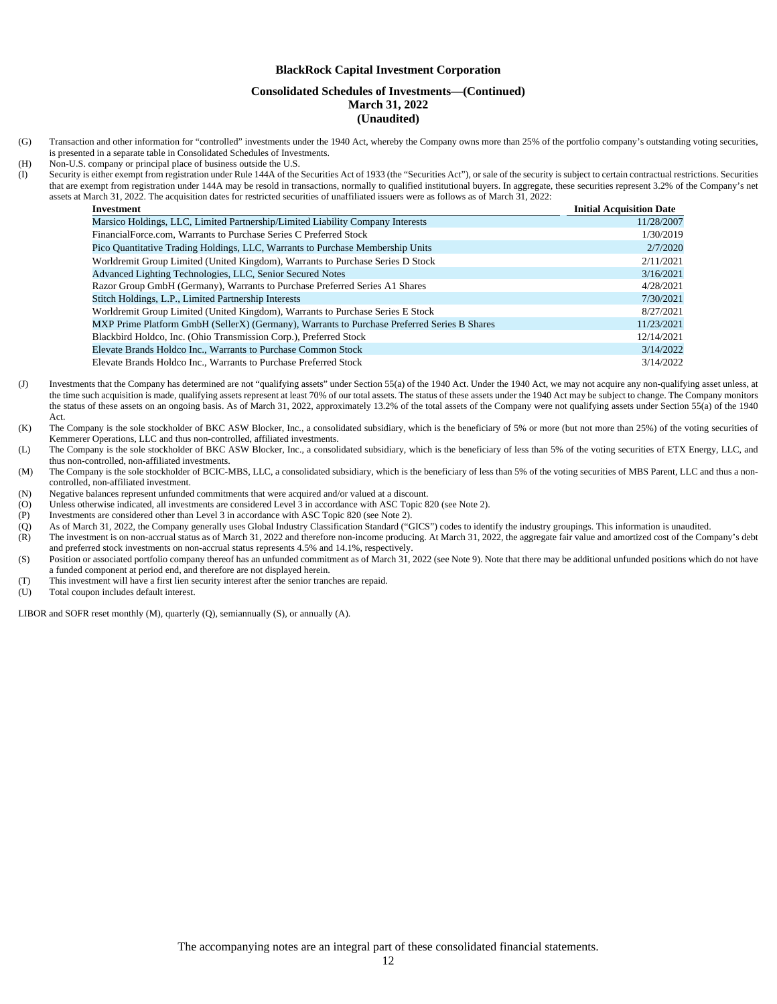#### **Consolidated Schedules of Investments—(Continued) March 31, 2022 (Unaudited)**

- (G) Transaction and other information for "controlled" investments under the 1940 Act, whereby the Company owns more than 25% of the portfolio company's outstanding voting securities, is presented in a separate table in Consolidated Schedules of Investments.
- (H) Non-U.S. company or principal place of business outside the U.S.
- (I) Security is either exempt from registration under Rule 144A of the Securities Act of 1933 (the "Securities Act"), or sale of the security is subject to certain contractual restrictions. Securities that are exempt from registration under 144A may be resold in transactions, normally to qualified institutional buyers. In aggregate, these securities represent 3.2% of the Company's net assets at March 31, 2022. The acquisition dates for restricted securities of unaffiliated issuers were as follows as of March 31, 2022:

| Investment                                                                                  | <b>Initial Acquisition Date</b> |
|---------------------------------------------------------------------------------------------|---------------------------------|
| Marsico Holdings, LLC, Limited Partnership/Limited Liability Company Interests              | 11/28/2007                      |
| FinancialForce.com, Warrants to Purchase Series C Preferred Stock                           | 1/30/2019                       |
| Pico Quantitative Trading Holdings, LLC, Warrants to Purchase Membership Units              | 2/7/2020                        |
| Worldremit Group Limited (United Kingdom), Warrants to Purchase Series D Stock              | 2/11/2021                       |
| Advanced Lighting Technologies, LLC, Senior Secured Notes                                   | 3/16/2021                       |
| Razor Group GmbH (Germany), Warrants to Purchase Preferred Series A1 Shares                 | 4/28/2021                       |
| Stitch Holdings, L.P., Limited Partnership Interests                                        | 7/30/2021                       |
| Worldremit Group Limited (United Kingdom), Warrants to Purchase Series E Stock              | 8/27/2021                       |
| MXP Prime Platform GmbH (SellerX) (Germany), Warrants to Purchase Preferred Series B Shares | 11/23/2021                      |
| Blackbird Holdco, Inc. (Ohio Transmission Corp.), Preferred Stock                           | 12/14/2021                      |
| Elevate Brands Holdco Inc., Warrants to Purchase Common Stock                               | 3/14/2022                       |
| Elevate Brands Holdco Inc., Warrants to Purchase Preferred Stock                            | 3/14/2022                       |

- (J) Investments that the Company has determined are not "qualifying assets" under Section 55(a) of the 1940 Act. Under the 1940 Act, we may not acquire any non-qualifying asset unless, at the time such acquisition is made, qualifying assets represent at least 70% of our total assets. The status of these assets under the 1940 Act may be subject to change. The Company monitors the status of these assets on an ongoing basis. As of March 31, 2022, approximately 13.2% of the total assets of the Company were not qualifying assets under Section 55(a) of the 1940 Act.
- (K) The Company is the sole stockholder of BKC ASW Blocker, Inc., a consolidated subsidiary, which is the beneficiary of 5% or more (but not more than 25%) of the voting securities of Kemmerer Operations, LLC and thus non-controlled, affiliated investments.
- (L) The Company is the sole stockholder of BKC ASW Blocker, Inc., a consolidated subsidiary, which is the beneficiary of less than 5% of the voting securities of ETX Energy, LLC, and thus non-controlled, non-affiliated investments.
- (M) The Company is the sole stockholder of BCIC-MBS, LLC, a consolidated subsidiary, which is the beneficiary of less than 5% of the voting securities of MBS Parent, LLC and thus a noncontrolled, non-affiliated investment.
- (N) Negative balances represent unfunded commitments that were acquired and/or valued at a discount.
- (O) Unless otherwise indicated, all investments are considered Level 3 in accordance with ASC Topic 820 (see Note 2).
- (P) Investments are considered other than Level 3 in accordance with ASC Topic 820 (see Note 2).
- (Q) As of March 31, 2022, the Company generally uses Global Industry Classification Standard ("GICS") codes to identify the industry groupings. This information is unaudited.
- (R) The investment is on non-accrual status as of March 31, 2022 and therefore non-income producing. At March 31, 2022, the aggregate fair value and amortized cost of the Company's debt and preferred stock investments on non-accrual status represents 4.5% and 14.1%, respectively.
- (S) Position or associated portfolio company thereof has an unfunded commitment as of March 31, 2022 (see Note 9). Note that there may be additional unfunded positions which do not have a funded component at period end, and therefore are not displayed herein.
- (T) This investment will have a first lien security interest after the senior tranches are repaid.
- (U) Total coupon includes default interest.

LIBOR and SOFR reset monthly (M), quarterly (Q), semiannually (S), or annually (A).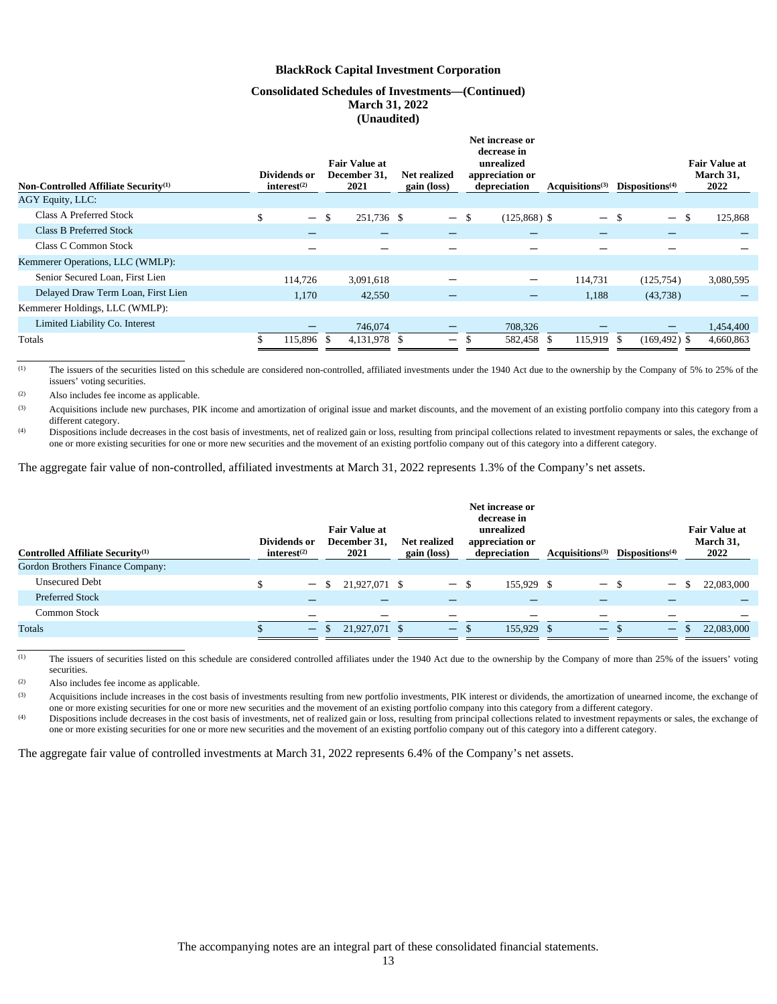#### **Consolidated Schedules of Investments—(Continued) March 31, 2022 (Unaudited)**

**Net increase or** 

| Non-Controlled Affiliate Security <sup>(1)</sup><br>AGY Equity, LLC: | <b>Dividends or</b><br>interest <sup>(2)</sup> |      | <b>Fair Value at</b><br>December 31,<br>2021 | Net realized<br>gain (loss) | тее шегезе от<br>decrease in<br>unrealized<br>appreciation or<br>depreciation | Acquisitions <sup>(3)</sup> |      | Dispositions <sup>(4)</sup> | <b>Fair Value at</b><br>March 31,<br>2022 |
|----------------------------------------------------------------------|------------------------------------------------|------|----------------------------------------------|-----------------------------|-------------------------------------------------------------------------------|-----------------------------|------|-----------------------------|-------------------------------------------|
| Class A Preferred Stock                                              | \$<br>$\qquad \qquad -$                        | - \$ | 251,736 \$                                   | $-$ \$                      | $(125,868)$ \$                                                                | $\qquad \qquad -$           | - \$ | $\qquad \qquad -$           | \$<br>125,868                             |
| Class B Preferred Stock                                              |                                                |      |                                              |                             |                                                                               |                             |      |                             |                                           |
| Class C Common Stock                                                 |                                                |      |                                              |                             |                                                                               |                             |      |                             |                                           |
| Kemmerer Operations, LLC (WMLP):                                     |                                                |      |                                              |                             |                                                                               |                             |      |                             |                                           |
| Senior Secured Loan, First Lien                                      | 114.726                                        |      | 3,091,618                                    |                             | —                                                                             | 114,731                     |      | (125, 754)                  | 3,080,595                                 |
| Delayed Draw Term Loan, First Lien                                   | 1,170                                          |      | 42,550                                       |                             | —                                                                             | 1,188                       |      | (43,738)                    |                                           |
| Kemmerer Holdings, LLC (WMLP):                                       |                                                |      |                                              |                             |                                                                               |                             |      |                             |                                           |
| Limited Liability Co. Interest                                       |                                                |      | 746,074                                      |                             | 708,326                                                                       |                             |      |                             | 1,454,400                                 |
| Totals                                                               | 115,896 \$                                     |      | 4,131,978 \$                                 | —                           | 582,458 \$                                                                    | 115,919 \$                  |      | $(169, 492)$ \$             | 4,660,863                                 |

(1) The issuers of the securities listed on this schedule are considered non-controlled, affiliated investments under the 1940 Act due to the ownership by the Company of 5% to 25% of the issuers' voting securities.

(2) Also includes fee income as applicable.

(3) Acquisitions include new purchases, PIK income and amortization of original issue and market discounts, and the movement of an existing portfolio company into this category from a different category.

(4) Dispositions include decreases in the cost basis of investments, net of realized gain or loss, resulting from principal collections related to investment repayments or sales, the exchange of one or more existing securities for one or more new securities and the movement of an existing portfolio company out of this category into a different category.

The aggregate fair value of non-controlled, affiliated investments at March 31, 2022 represents 1.3% of the Company's net assets.

| Controlled Affiliate Security <sup>(1)</sup><br>Gordon Brothers Finance Company: | Dividends or<br>interest <sup>(2)</sup> |                          | <b>Fair Value at</b><br>December 31,<br>2021 | Net realized<br>gain (loss) | Net increase or<br>decrease in<br>unrealized<br>appreciation or<br>depreciation | Acquisitions $(3)$ | Dispositions <sup>(4)</sup> | <b>Fair Value at</b><br>March 31,<br>2022 |
|----------------------------------------------------------------------------------|-----------------------------------------|--------------------------|----------------------------------------------|-----------------------------|---------------------------------------------------------------------------------|--------------------|-----------------------------|-------------------------------------------|
| <b>Unsecured Debt</b>                                                            |                                         | $\qquad \qquad -$        | 21,927,071 \$<br>-8                          | $-$ \$                      | 155,929 \$                                                                      | $-$ S              | $\qquad \qquad -$           | 22,083,000                                |
| <b>Preferred Stock</b>                                                           |                                         |                          |                                              |                             |                                                                                 |                    |                             |                                           |
| Common Stock                                                                     |                                         |                          |                                              |                             |                                                                                 |                    |                             |                                           |
| Totals                                                                           |                                         | $\overline{\phantom{m}}$ | 21,927,071 \$                                | $-$ S                       | 155,929 \$                                                                      | $\qquad \qquad -$  | $\overline{\phantom{m}}$    | 22,083,000                                |

(1) The issuers of securities listed on this schedule are considered controlled affiliates under the 1940 Act due to the ownership by the Company of more than 25% of the issuers' voting securities.

(2) Also includes fee income as applicable.

(3) Acquisitions include increases in the cost basis of investments resulting from new portfolio investments, PIK interest or dividends, the amortization of unearned income, the exchange of one or more existing securities for one or more new securities and the movement of an existing portfolio company into this category from a different category.

(4) Dispositions include decreases in the cost basis of investments, net of realized gain or loss, resulting from principal collections related to investment repayments or sales, the exchange of one or more existing securities for one or more new securities and the movement of an existing portfolio company out of this category into a different category.

The aggregate fair value of controlled investments at March 31, 2022 represents 6.4% of the Company's net assets.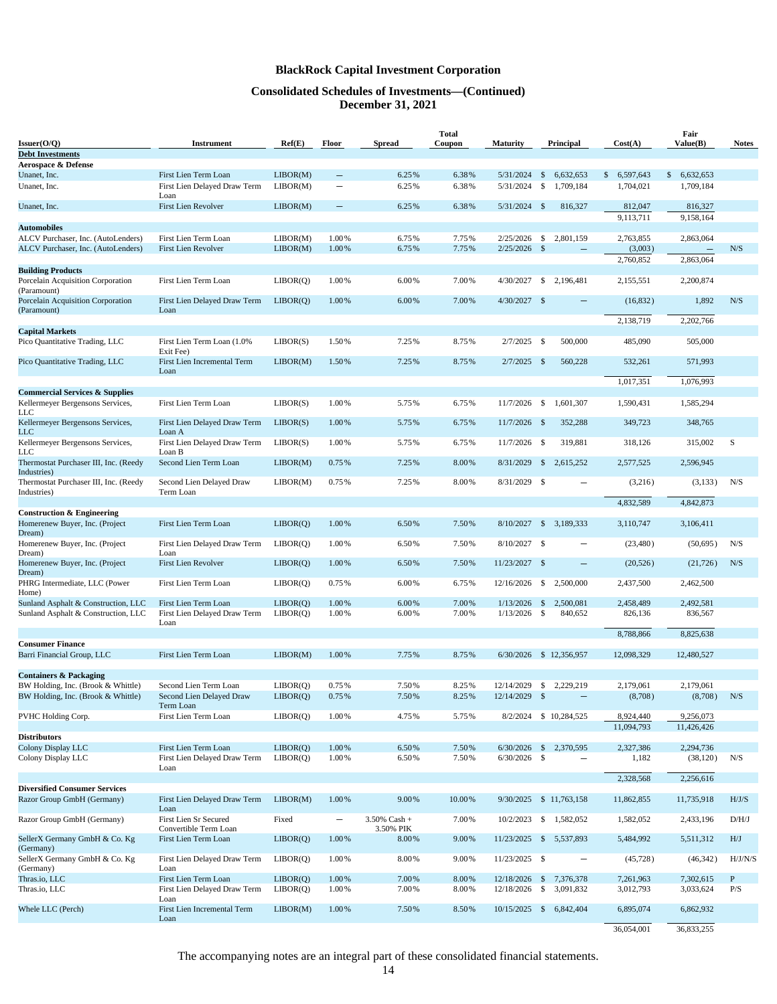## **Consolidated Schedules of Investments—(Continued) December 31, 2021**

| Issuer(O/Q)                                                                 | Instrument                                                             | Ref(E)               | Floor                    | Spread                       | <b>Total</b><br>Coupon | <b>Maturity</b>          | Principal                                     | Cost(A)                | Fair<br>Value(B)       | <b>Notes</b> |
|-----------------------------------------------------------------------------|------------------------------------------------------------------------|----------------------|--------------------------|------------------------------|------------------------|--------------------------|-----------------------------------------------|------------------------|------------------------|--------------|
| <b>Debt Investments</b>                                                     |                                                                        |                      |                          |                              |                        |                          |                                               |                        |                        |              |
| Aerospace & Defense                                                         |                                                                        |                      |                          |                              |                        |                          |                                               |                        |                        |              |
| Unanet, Inc.                                                                | First Lien Term Loan                                                   | LIBOR(M)             | $\overline{\phantom{0}}$ | 6.25%                        | 6.38%                  | 5/31/2024                | \$<br>6,632,653                               | 6,597,643<br>\$        | 6,632,653<br>\$        |              |
| Unanet, Inc.                                                                | First Lien Delayed Draw Term<br>Loan                                   | LIBOR(M)             | $\qquad \qquad -$        | 6.25%                        | 6.38%                  | 5/31/2024                | \$<br>1,709,184                               | 1,704,021              | 1,709,184              |              |
| Unanet, Inc.                                                                | First Lien Revolver                                                    | LIBOR(M)             | $\qquad \qquad -$        | 6.25%                        | 6.38%                  | $5/31/2024$ \$           | 816,327                                       | 812,047<br>9,113,711   | 816,327<br>9,158,164   |              |
| <b>Automobiles</b>                                                          |                                                                        |                      |                          |                              |                        |                          |                                               |                        |                        |              |
| ALCV Purchaser, Inc. (AutoLenders)                                          | First Lien Term Loan                                                   | LIBOR(M)             | 1.00%                    | 6.75%                        | 7.75%                  | $2/25/2026$ \$           | 2,801,159                                     | 2,763,855              | 2,863,064              |              |
| ALCV Purchaser, Inc. (AutoLenders)                                          | First Lien Revolver                                                    | LIBOR(M)             | 1.00%                    | 6.75%                        | 7.75%                  | $2/25/2026$ \$           |                                               | (3,003)<br>2,760,852   | 2,863,064              | N/S          |
| <b>Building Products</b>                                                    |                                                                        |                      |                          |                              |                        |                          |                                               |                        |                        |              |
| Porcelain Acquisition Corporation<br>(Paramount)                            | First Lien Term Loan                                                   | LIBOR(O)             | 1.00%                    | 6.00%                        | 7.00%                  | 4/30/2027                | \$2,196,481                                   | 2,155,551              | 2,200,874              |              |
| Porcelain Acquisition Corporation<br>(Paramount)                            | First Lien Delayed Draw Term<br>Loan                                   | LIBOR(Q)             | 1.00%                    | 6.00%                        | 7.00%                  | $4/30/2027$ \$           | $\qquad \qquad -$                             | (16,832)               | 1,892                  | N/S          |
|                                                                             |                                                                        |                      |                          |                              |                        |                          |                                               | 2,138,719              | 2,202,766              |              |
| <b>Capital Markets</b>                                                      |                                                                        |                      |                          |                              |                        |                          |                                               |                        |                        |              |
| Pico Quantitative Trading, LLC                                              | First Lien Term Loan (1.0%<br>Exit Fee)<br>First Lien Incremental Term | LIBOR(S)             | 1.50%                    | 7.25%                        | 8.75%                  | 2/7/2025                 | 500,000<br>- \$                               | 485,090                | 505,000                |              |
| Pico Quantitative Trading, LLC                                              | Loan                                                                   | LIBOR(M)             | 1.50%                    | 7.25%                        | 8.75%                  | $2/7/2025$ \$            | 560,228                                       | 532,261<br>1,017,351   | 571,993<br>1,076,993   |              |
| <b>Commercial Services &amp; Supplies</b>                                   |                                                                        |                      |                          |                              |                        |                          |                                               |                        |                        |              |
| Kellermeyer Bergensons Services,<br>LLC                                     | First Lien Term Loan                                                   | LIBOR(S)             | 1.00%                    | 5.75%                        | 6.75%                  | 11/7/2026                | - S<br>1,601,307                              | 1,590,431              | 1,585,294              |              |
| Kellermeyer Bergensons Services,<br>LLC                                     | First Lien Delayed Draw Term<br>Loan A                                 | LIBOR(S)             | 1.00%                    | 5.75%                        | 6.75%                  | $11/7/2026$ \$           | 352,288                                       | 349,723                | 348,765                |              |
| Kellermeyer Bergensons Services,<br>LLC                                     | First Lien Delayed Draw Term<br>Loan B                                 | LIBOR(S)             | 1.00%                    | 5.75%                        | 6.75%                  | $11/7/2026$ \$           | 319,881                                       | 318,126                | 315,002                | S            |
| Thermostat Purchaser III, Inc. (Reedy<br>Industries)                        | Second Lien Term Loan                                                  | LIBOR(M)             | 0.75%                    | 7.25%                        | 8.00%                  | 8/31/2029                | $\mathcal{S}$<br>2,615,252                    | 2,577,525              | 2,596,945              |              |
| Thermostat Purchaser III, Inc. (Reedy<br>Industries)                        | Second Lien Delayed Draw<br>Term Loan                                  | LIBOR(M)             | 0.75%                    | 7.25%                        | 8.00%                  | 8/31/2029 \$             | $\overline{\phantom{0}}$                      | (3,216)                | (3, 133)               | N/S          |
|                                                                             |                                                                        |                      |                          |                              |                        |                          |                                               | 4,832,589              | 4,842,873              |              |
| <b>Construction &amp; Engineering</b>                                       |                                                                        |                      |                          |                              |                        |                          |                                               |                        |                        |              |
| Homerenew Buyer, Inc. (Project<br>Dream)                                    | First Lien Term Loan                                                   | LIBOR(Q)             | 1.00%                    | 6.50%                        | 7.50%                  |                          | 8/10/2027 \$ 3,189,333                        | 3,110,747              | 3,106,411              |              |
| Homerenew Buyer, Inc. (Project<br>Dream)                                    | First Lien Delayed Draw Term<br>Loan                                   | LIBOR(Q)             | 1.00%                    | 6.50%                        | 7.50%                  | $8/10/2027$ \$           | $\qquad \qquad -$                             | (23, 480)              | (50, 695)              | N/S          |
| Homerenew Buyer, Inc. (Project<br>Dream)                                    | First Lien Revolver                                                    | LIBOR(Q)             | 1.00%                    | 6.50%                        | 7.50%                  | 11/23/2027 \$            | $\qquad \qquad -$                             | (20, 526)              | (21, 726)              | N/S          |
| PHRG Intermediate, LLC (Power<br>Home)                                      | First Lien Term Loan                                                   | LIBOR(Q)             | 0.75%                    | 6.00%                        | 6.75%                  | 12/16/2026               | $\mathbb{S}$<br>2,500,000                     | 2,437,500              | 2,462,500              |              |
| Sunland Asphalt & Construction, LLC<br>Sunland Asphalt & Construction, LLC  | First Lien Term Loan<br>First Lien Delayed Draw Term                   | LIBOR(Q)<br>LIBOR(Q) | 1.00%<br>1.00%           | 6.00%<br>6.00%               | 7.00%<br>7.00%         | 1/13/2026<br>1/13/2026   | 2,500,081<br>- S<br>- \$<br>840,652           | 2,458,489<br>826,136   | 2,492,581<br>836,567   |              |
|                                                                             | Loan                                                                   |                      |                          |                              |                        |                          |                                               | 8,788,866              | 8,825,638              |              |
| <b>Consumer Finance</b>                                                     |                                                                        |                      |                          |                              |                        |                          |                                               |                        |                        |              |
| Barri Financial Group, LLC                                                  | First Lien Term Loan                                                   | LIBOR(M)             | 1.00%                    | 7.75%                        | 8.75%                  |                          | 6/30/2026 \$ 12,356,957                       | 12,098,329             | 12,480,527             |              |
| <b>Containers &amp; Packaging</b>                                           |                                                                        |                      |                          |                              |                        |                          |                                               |                        |                        |              |
| BW Holding, Inc. (Brook & Whittle)<br>BW Holding, Inc. (Brook & Whittle)    | Second Lien Term Loan<br>Second Lien Delayed Draw                      | LIBOR(O)<br>LIBOR(Q) | 0.75%<br>0.75%           | 7.50%<br>7.50%               | 8.25%<br>8.25%         | 12/14/2029 \$            | 12/14/2029 \$ 2,229,219                       | 2,179,061<br>(8,708)   | 2,179,061<br>(8,708)   | N/S          |
| PVHC Holding Corp.                                                          | Term Loan<br>First Lien Term Loan                                      | LIBOR(Q)             | 1.00%                    | 4.75%                        | 5.75%                  |                          | 8/2/2024 \$ 10,284,525                        | 8,924,440              | 9,256,073              |              |
|                                                                             |                                                                        |                      |                          |                              |                        |                          |                                               | 11,094,793             | 11,426,426             |              |
| <b>Distributors</b>                                                         |                                                                        |                      |                          |                              |                        |                          |                                               |                        |                        |              |
| Colony Display LLC<br>Colony Display LLC                                    | First Lien Term Loan<br>First Lien Delayed Draw Term                   | LIBOR(Q)<br>LIBOR(Q) | 1.00%<br>1.00%           | 6.50%<br>6.50%               | 7.50%<br>7.50%         | $6/30/2026$ \$           | 6/30/2026 \$ 2,370,595                        | 2,327,386<br>1,182     | 2,294,736<br>(38, 120) | N/S          |
|                                                                             | Loan                                                                   |                      |                          |                              |                        |                          |                                               | 2,328,568              | 2,256,616              |              |
| <b>Diversified Consumer Services</b><br>Razor Group GmbH (Germany)          | First Lien Delayed Draw Term                                           | LIBOR(M)             | 1.00%                    | 9.00%                        | 10.00%                 |                          | 9/30/2025 \$ 11,763,158                       |                        | 11,735,918             | H/J/S        |
|                                                                             | Loan                                                                   |                      |                          |                              |                        |                          |                                               | 11,862,855             |                        |              |
| Razor Group GmbH (Germany)                                                  | First Lien Sr Secured<br>Convertible Term Loan                         | Fixed                | $\overline{\phantom{m}}$ | $3.50\%$ Cash +<br>3.50% PIK | 7.00%                  |                          | 10/2/2023 \$ 1,582,052                        | 1,582,052              | 2,433,196              | D/H/J        |
| SellerX Germany GmbH & Co. Kg<br>(Germany)<br>SellerX Germany GmbH & Co. Kg | First Lien Term Loan                                                   | LIBOR(Q)             | 1.00%                    | 8.00%                        | 9.00%                  |                          | 11/23/2025 \$ 5,537,893                       | 5,484,992              | 5,511,312              | H/J          |
| (Germany)                                                                   | First Lien Delayed Draw Term<br>Loan                                   | LIBOR(Q)             | 1.00%                    | 8.00%                        | 9.00%                  | 11/23/2025 \$            | $\qquad \qquad -$                             | (45, 728)              | (46, 342)              | H/J/N/S      |
| Thras.io, LLC<br>Thras.io, LLC                                              | First Lien Term Loan<br>First Lien Delayed Draw Term<br>Loan           | LIBOR(Q)<br>LIBOR(Q) | 1.00%<br>1.00%           | 7.00%<br>7.00%               | 8.00%<br>8.00%         | 12/18/2026<br>12/18/2026 | S,<br>7,376,378<br>$\mathcal{S}$<br>3,091,832 | 7,261,963<br>3,012,793 | 7,302,615<br>3,033,624 | P<br>P/S     |
| Whele LLC (Perch)                                                           | First Lien Incremental Term<br>Loan                                    | LIBOR(M)             | 1.00%                    | 7.50%                        | 8.50%                  | 10/15/2025 \$            | 6,842,404                                     | 6,895,074              | 6,862,932              |              |
|                                                                             |                                                                        |                      |                          |                              |                        |                          |                                               | 36,054,001             | 36,833,255             |              |

The accompanying notes are an integral part of these consolidated financial statements.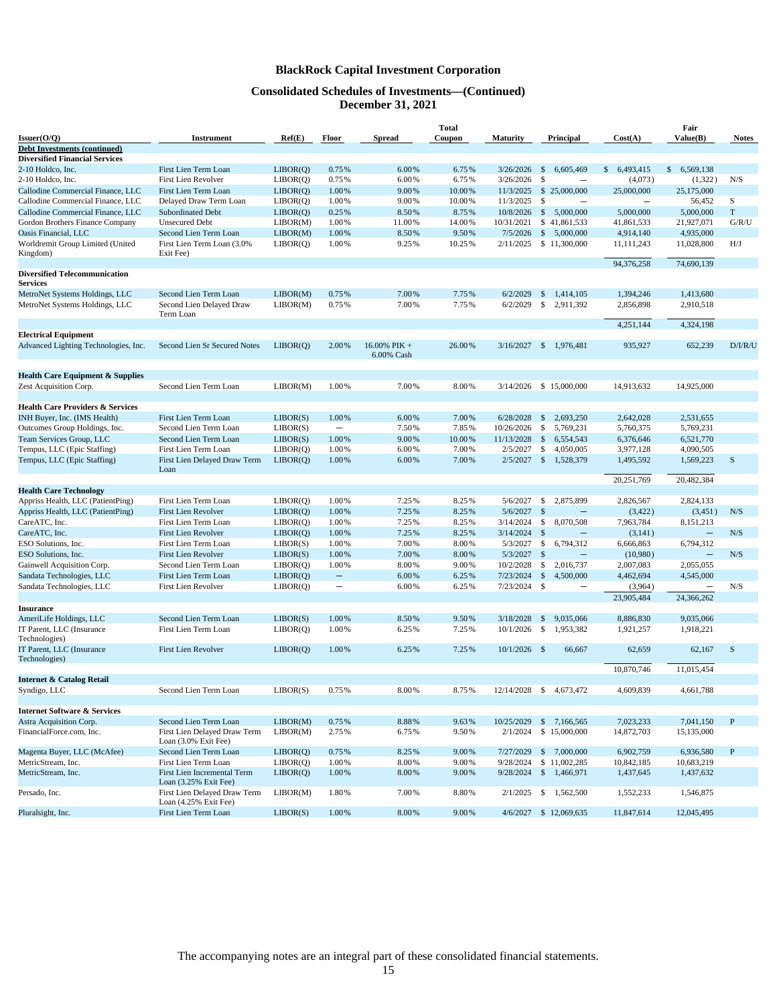## **Consolidated Schedules of Investments—(Continued) December 31, 2021**

|                                                                        |                                                       |          |                          |                            | Total  |                 |                                           |                           | Fair              |              |
|------------------------------------------------------------------------|-------------------------------------------------------|----------|--------------------------|----------------------------|--------|-----------------|-------------------------------------------|---------------------------|-------------------|--------------|
| Issuer(O/Q)                                                            | Instrument                                            | Ref(E)   | Floor                    | Spread                     | Coupon | <b>Maturity</b> | Principal                                 | Cost(A)                   | Value(B)          | <b>Notes</b> |
| <b>Debt Investments (continued)</b>                                    |                                                       |          |                          |                            |        |                 |                                           |                           |                   |              |
| <b>Diversified Financial Services</b>                                  |                                                       |          |                          |                            |        |                 |                                           |                           |                   |              |
| 2-10 Holdco, Inc.                                                      | First Lien Term Loan                                  | LIBOR(Q) | 0.75%                    | 6.00%                      | 6.75%  | 3/26/2026       | - \$<br>6,605,469                         | $\mathbb{S}$<br>6,493,415 | \$6,569,138       |              |
| 2-10 Holdco, Inc.                                                      | First Lien Revolver                                   | LIBOR(Q) | 0.75%                    | 6.00%                      | 6.75%  | 3/26/2026       | - \$                                      | (4,073)                   | (1,322)           | N/S          |
| Callodine Commercial Finance, LLC                                      | First Lien Term Loan                                  | LIBOR(Q) | 1.00%                    | 9.00%                      | 10.00% |                 | 11/3/2025 \$ 25,000,000                   | 25,000,000                | 25,175,000        |              |
| Callodine Commercial Finance, LLC                                      | Delayed Draw Term Loan                                | LIBOR(Q) | 1.00%                    | 9.00%                      | 10.00% | 11/3/2025       | - \$<br>$\overline{\phantom{0}}$          | $\qquad \qquad -$         | 56,452            | S            |
| Callodine Commercial Finance, LLC                                      | <b>Subordinated Debt</b>                              | LIBOR(O) | 0.25%                    | 8.50%                      | 8.75%  | 10/8/2026       | \$5,000,000                               | 5,000,000                 | 5,000,000         | $\mathbf T$  |
| Gordon Brothers Finance Company                                        | <b>Unsecured Debt</b>                                 | LIBOR(M) | 1.00%                    | 11.00%                     | 14.00% | 10/31/2021      | \$41,861,533                              | 41,861,533                | 21,927,071        | G/R/U        |
| Oasis Financial, LLC                                                   | Second Lien Term Loan                                 | LIBOR(M) | 1.00%                    | 8.50%                      | 9.50%  |                 | 7/5/2026 \$ 5,000,000                     | 4,914,140                 | 4,935,000         |              |
| Worldremit Group Limited (United<br>Kingdom)                           | First Lien Term Loan (3.0%<br>Exit Fee)               | LIBOR(Q) | 1.00%                    | 9.25%                      | 10.25% |                 | 2/11/2025 \$ 11,300,000                   | 11,111,243                | 11,028,800        | H/J          |
| <b>Diversified Telecommunication</b><br><b>Services</b>                |                                                       |          |                          |                            |        |                 |                                           | 94,376,258                | 74,690,139        |              |
| MetroNet Systems Holdings, LLC                                         | Second Lien Term Loan                                 | LIBOR(M) | 0.75%                    | 7.00%                      | 7.75%  | 6/2/2029        | $\mathcal{S}$<br>1,414,105                | 1,394,246                 | 1,413,680         |              |
| MetroNet Systems Holdings, LLC                                         | Second Lien Delayed Draw<br>Term Loan                 | LIBOR(M) | 0.75%                    | 7.00%                      | 7.75%  | 6/2/2029        | \$<br>2,911,392                           | 2,856,898                 | 2,910,518         |              |
|                                                                        |                                                       |          |                          |                            |        |                 |                                           | 4,251,144                 | 4,324,198         |              |
| <b>Electrical Equipment</b>                                            |                                                       |          |                          |                            |        |                 |                                           |                           |                   |              |
| Advanced Lighting Technologies, Inc.                                   | Second Lien Sr Secured Notes                          | LIBOR(Q) | 2.00%                    | 16.00% PIK +<br>6.00% Cash | 26.00% |                 | 3/16/2027 \$ 1,976,481                    | 935,927                   | 652,239           | D/I/R/U      |
| <b>Health Care Equipment &amp; Supplies</b>                            |                                                       |          |                          |                            |        |                 |                                           |                           |                   |              |
| Zest Acquisition Corp.                                                 | Second Lien Term Loan                                 | LIBOR(M) | 1.00%                    | 7.00%                      | 8.00%  |                 | 3/14/2026 \$ 15,000,000                   | 14,913,632                | 14,925,000        |              |
| <b>Health Care Providers &amp; Services</b>                            |                                                       |          |                          |                            |        |                 |                                           |                           |                   |              |
| INH Buyer, Inc. (IMS Health)                                           | First Lien Term Loan                                  | LIBOR(S) | 1.00%                    | 6.00%                      | 7.00%  | 6/28/2028       | 2,693,250<br>-\$                          | 2,642,028                 | 2,531,655         |              |
| Outcomes Group Holdings, Inc.                                          | Second Lien Term Loan                                 | LIBOR(S) | $\overline{\phantom{0}}$ | 7.50%                      | 7.85%  | 10/26/2026      | \$<br>5,769,231                           | 5,760,375                 | 5,769,231         |              |
| Team Services Group, LLC                                               | Second Lien Term Loan                                 | LIBOR(S) | 1.00%                    | 9.00%                      | 10.00% | 11/13/2028      | $\mathcal{S}$<br>6,554,543                | 6,376,646                 | 6,521,770         |              |
| Tempus, LLC (Epic Staffing)                                            | First Lien Term Loan                                  | LIBOR(O) | 1.00%                    | 6.00%                      | 7.00%  | 2/5/2027        | \$<br>4,050,005                           | 3,977,128                 | 4,090,505         |              |
| Tempus, LLC (Epic Staffing)                                            | First Lien Delayed Draw Term<br>Loan                  | LIBOR(O) | 1.00%                    | 6.00%                      | 7.00%  |                 | 2/5/2027 \$ 1,528,379                     | 1,495,592                 | 1,569,223         | ${\bf S}$    |
| <b>Health Care Technology</b>                                          |                                                       |          |                          |                            |        |                 |                                           | 20,251,769                | 20,482,384        |              |
|                                                                        |                                                       | LIBOR(Q) | 1.00%                    | 7.25%                      | 8.25%  |                 | 5/6/2027 \$ 2,875,899                     | 2,826,567                 | 2,824,133         |              |
| Appriss Health, LLC (PatientPing)<br>Appriss Health, LLC (PatientPing) | First Lien Term Loan<br>First Lien Revolver           | LIBOR(Q) | 1.00%                    | 7.25%                      | 8.25%  | 5/6/2027        | $\mathcal{S}$                             | (3, 422)                  | (3,451)           | N/S          |
| CareATC, Inc.                                                          | First Lien Term Loan                                  | LIBOR(Q) | 1.00%                    | 7.25%                      | 8.25%  | 3/14/2024       | \$<br>8,070,508                           | 7,963,784                 | 8,151,213         |              |
| CareATC, Inc.                                                          | First Lien Revolver                                   | LIBOR(Q) | 1.00%                    | 7.25%                      | 8.25%  | 3/14/2024       | $\mathcal{S}$<br>$\overline{\phantom{0}}$ | (3,141)                   |                   | N/S          |
| ESO Solutions, Inc.                                                    | First Lien Term Loan                                  | LIBOR(S) | 1.00%                    | 7.00%                      | 8.00%  | $5/3/2027$ \$   | 6,794,312                                 | 6,666,863                 | 6,794,312         |              |
| ESO Solutions, Inc.                                                    | First Lien Revolver                                   | LIBOR(S) | 1.00%                    | 7.00%                      | 8.00%  | $5/3/2027$ \$   | $\overline{\phantom{0}}$                  | (10,980)                  | -                 | N/S          |
| Gainwell Acquisition Corp.                                             | Second Lien Term Loan                                 | LIBOR(Q) | 1.00%                    | 8.00%                      | 9.00%  | 10/2/2028       | \$<br>2,016,737                           | 2,007,083                 | 2,055,055         |              |
| Sandata Technologies, LLC                                              | First Lien Term Loan                                  | LIBOR(Q) | $\qquad \qquad -$        | 6.00%                      | 6.25%  | 7/23/2024       | $\mathbf{\hat{s}}$<br>4,500,000           | 4,462,694                 | 4,545,000         |              |
| Sandata Technologies, LLC                                              | First Lien Revolver                                   | LIBOR(Q) | $\overline{\phantom{m}}$ | 6.00%                      | 6.25%  | $7/23/2024$ \$  | $\overline{\phantom{0}}$                  | (3,964)                   | $\qquad \qquad -$ | N/S          |
|                                                                        |                                                       |          |                          |                            |        |                 |                                           | 23,905,484                | 24,366,262        |              |
| <b>Insurance</b>                                                       |                                                       |          |                          |                            |        |                 |                                           |                           |                   |              |
| AmeriLife Holdings, LLC                                                | Second Lien Term Loan                                 | LIBOR(S) | 1.00%                    | 8.50%                      | 9.50%  | 3/18/2028       | $\mathcal{S}$<br>9,035,066                | 8,886,830                 | 9,035,066         |              |
| IT Parent, LLC (Insurance<br>Technologies)                             | First Lien Term Loan                                  | LIBOR(Q) | 1.00%                    | 6.25%                      | 7.25%  |                 | 10/1/2026 \$ 1,953,382                    | 1,921,257                 | 1,918,221         |              |
| IT Parent, LLC (Insurance<br>Technologies)                             | First Lien Revolver                                   | LIBOR(Q) | 1.00%                    | 6.25%                      | 7.25%  | $10/1/2026$ \$  | 66,667                                    | 62,659                    | 62,167            | S            |
| <b>Internet &amp; Catalog Retail</b>                                   |                                                       |          |                          |                            |        |                 |                                           | 10,870,746                | 11.015.454        |              |
| Syndigo, LLC                                                           | Second Lien Term Loan                                 | LIBOR(S) | 0.75%                    | 8.00%                      | 8.75%  | 12/14/2028      | - \$<br>4,673,472                         | 4,609,839                 | 4,661,788         |              |
|                                                                        |                                                       |          |                          |                            |        |                 |                                           |                           |                   |              |
| <b>Internet Software &amp; Services</b>                                |                                                       |          |                          |                            |        |                 |                                           |                           |                   |              |
| Astra Acquisition Corp.                                                | Second Lien Term Loan                                 | LIBOR(M) | 0.75%                    | 8.88%                      | 9.63%  |                 | 10/25/2029 \$ 7,166,565                   | 7,023,233                 | 7,041,150         | $\, {\bf P}$ |
| FinancialForce.com, Inc.                                               | First Lien Delayed Draw Term<br>Loan (3.0% Exit Fee)  | LIBOR(M) | 2.75%                    | 6.75%                      | 9.50%  | 2/1/2024        | \$15,000,000                              | 14,872,703                | 15,135,000        |              |
| Magenta Buyer, LLC (McAfee)                                            | Second Lien Term Loan                                 | LIBOR(Q) | 0.75%                    | 8.25%                      | 9.00%  | 7/27/2029       | \$7,000,000                               | 6,902,759                 | 6,936,580         | $\, {\bf P}$ |
| MetricStream, Inc.                                                     | First Lien Term Loan                                  | LIBOR(Q) | 1.00%                    | 8.00%                      | 9.00%  | 9/28/2024       | \$11,002,285                              | 10,842,185                | 10,683,219        |              |
| MetricStream, Inc.                                                     | First Lien Incremental Term<br>Loan (3.25% Exit Fee)  | LIBOR(Q) | 1.00%                    | 8.00%                      | 9.00%  |                 | 9/28/2024 \$ 1,466,971                    | 1,437,645                 | 1,437,632         |              |
| Persado, Inc.                                                          | First Lien Delayed Draw Term<br>Loan (4.25% Exit Fee) | LIBOR(M) | 1.80%                    | 7.00%                      | 8.80%  | 2/1/2025        | \$1,562,500                               | 1,552,233                 | 1,546,875         |              |
| Pluralsight, Inc.                                                      | First Lien Term Loan                                  | LIBOR(S) | 1.00%                    | 8.00%                      | 9.00%  | 4/6/2027        | \$12,069,635                              | 11,847,614                | 12,045,495        |              |

The accompanying notes are an integral part of these consolidated financial statements.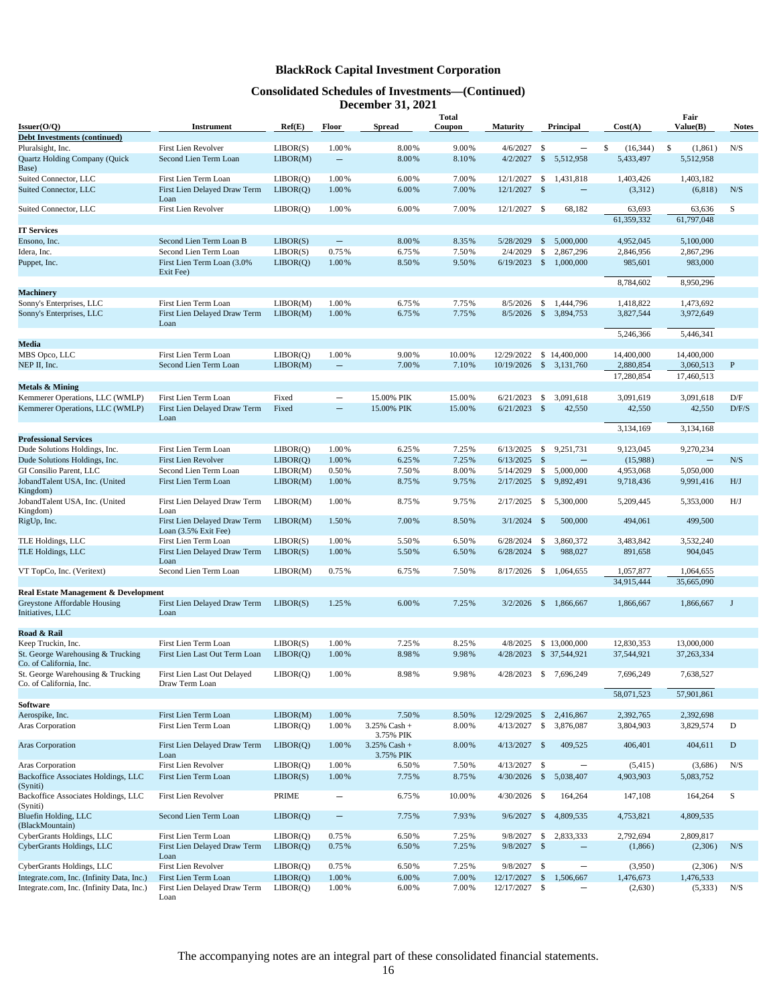## **Consolidated Schedules of Investments—(Continued) December 31, 2021**

|                                                              |                                                      |                      |                          |                           | <b>Total</b>   |                         |                    |                   |                         | Fair                    |              |
|--------------------------------------------------------------|------------------------------------------------------|----------------------|--------------------------|---------------------------|----------------|-------------------------|--------------------|-------------------|-------------------------|-------------------------|--------------|
| Issuer(O/Q)                                                  | <b>Instrument</b>                                    | Ref(E)               | Floor                    | <b>Spread</b>             | Coupon         | <b>Maturity</b>         |                    | Principal         | Cost(A)                 | Value(B)                | <b>Notes</b> |
| <b>Debt Investments (continued)</b>                          |                                                      |                      |                          |                           | 9.00%          |                         |                    |                   |                         |                         |              |
| Pluralsight, Inc.                                            | First Lien Revolver                                  | LIBOR(S)             | 1.00%                    | 8.00%                     |                | 4/6/2027                | \$                 | $\qquad \qquad$   | \$<br>(16, 344)         | \$<br>(1, 861)          | N/S          |
| Quartz Holding Company (Quick<br>Base)                       | Second Lien Term Loan                                | LIBOR(M)             | $\equiv$                 | 8.00%                     | 8.10%          | 4/2/2027                | $\mathbb{S}$       | 5,512,958         | 5,433,497               | 5,512,958               |              |
| Suited Connector, LLC                                        | First Lien Term Loan                                 | LIBOR(Q)             | 1.00%                    | 6.00%                     | 7.00%          | 12/1/2027               | \$                 | 1,431,818         | 1,403,426               | 1,403,182               |              |
| Suited Connector, LLC                                        | First Lien Delayed Draw Term<br>Loan                 | LIBOR(Q)             | 1.00%                    | 6.00%                     | 7.00%          | $12/1/2027$ \$          |                    | $\equiv$          | (3,312)                 | (6,818)                 | N/S          |
| Suited Connector, LLC                                        | First Lien Revolver                                  | LIBOR(Q)             | 1.00%                    | 6.00%                     | 7.00%          | $12/1/2027$ \$          |                    | 68,182            | 63,693                  | 63,636                  | S            |
|                                                              |                                                      |                      |                          |                           |                |                         |                    |                   | 61,359,332              | 61,797,048              |              |
| <b>IT Services</b>                                           |                                                      |                      |                          |                           |                |                         |                    |                   |                         |                         |              |
| Ensono, Inc.                                                 | Second Lien Term Loan B                              | LIBOR(S)             | $\qquad \qquad -$        | 8.00%                     | 8.35%          | 5/28/2029               | \$                 | 5,000,000         | 4,952,045               | 5,100,000               |              |
| Idera, Inc.                                                  | Second Lien Term Loan                                | LIBOR(S)             | 0.75%                    | 6.75%                     | 7.50%          | 2/4/2029                | \$                 | 2,867,296         | 2,846,956               | 2,867,296               |              |
| Puppet, Inc.                                                 | First Lien Term Loan (3.0%<br>Exit Fee)              | LIBOR(O)             | 1.00%                    | 8.50%                     | 9.50%          | 6/19/2023               | $\mathcal{S}$      | 1,000,000         | 985,601                 | 983,000                 |              |
| <b>Machinery</b>                                             |                                                      |                      |                          |                           |                |                         |                    |                   | 8,784,602               | 8,950,296               |              |
| Sonny's Enterprises, LLC                                     | First Lien Term Loan                                 | LIBOR(M)             | 1.00%                    | 6.75%                     | 7.75%          | 8/5/2026                | \$                 | 1,444,796         | 1,418,822               | 1,473,692               |              |
| Sonny's Enterprises, LLC                                     | First Lien Delayed Draw Term<br>Loan                 | LIBOR(M)             | 1.00%                    | 6.75%                     | 7.75%          | 8/5/2026                |                    | \$3,894,753       | 3,827,544               | 3,972,649               |              |
|                                                              |                                                      |                      |                          |                           |                |                         |                    |                   | 5,246,366               | 5,446,341               |              |
| Media                                                        |                                                      |                      |                          |                           |                |                         |                    |                   |                         |                         |              |
| MBS Opco, LLC                                                | First Lien Term Loan                                 | LIBOR(Q)             | 1.00%                    | 9.00%                     | 10.00%         | 12/29/2022              |                    | \$14,400,000      | 14,400,000              | 14,400,000              |              |
| NEP II, Inc.                                                 | Second Lien Term Loan                                | LIBOR(M)             | $\qquad \qquad -$        | 7.00%                     | 7.10%          | 10/19/2026 \$ 3,131,760 |                    |                   | 2,880,854<br>17,280,854 | 3,060,513<br>17,460,513 | P            |
| Metals & Mining                                              |                                                      |                      |                          |                           |                |                         |                    |                   |                         |                         |              |
| Kemmerer Operations, LLC (WMLP)                              | First Lien Term Loan                                 | Fixed                | $\overline{\phantom{0}}$ | 15.00% PIK                | 15.00%         | 6/21/2023               | $\mathbb{S}$       | 3,091,618         | 3,091,619               | 3,091,618               | D/F          |
|                                                              | First Lien Delayed Draw Term                         | Fixed                | $\overline{\phantom{0}}$ | 15.00% PIK                | 15.00%         | $6/21/2023$ \$          |                    | 42,550            | 42,550                  | 42,550                  | D/F/S        |
| Kemmerer Operations, LLC (WMLP)                              | Loan                                                 |                      |                          |                           |                |                         |                    |                   |                         |                         |              |
|                                                              |                                                      |                      |                          |                           |                |                         |                    |                   | 3,134,169               | 3,134,168               |              |
| <b>Professional Services</b>                                 |                                                      |                      |                          |                           |                |                         |                    |                   |                         |                         |              |
| Dude Solutions Holdings, Inc.                                | First Lien Term Loan                                 | LIBOR(Q)             | 1.00%                    | 6.25%                     | 7.25%          | 6/13/2025               | \$                 | 9,251,731         | 9,123,045               | 9,270,234               |              |
| Dude Solutions Holdings, Inc.                                | First Lien Revolver                                  | LIBOR(Q)             | 1.00%                    | 6.25%                     | 7.25%          | 6/13/2025               | $\mathcal{S}$      | $\equiv$          | (15,988)                |                         | N/S          |
| GI Consilio Parent, LLC                                      | Second Lien Term Loan                                | LIBOR(M)             | 0.50%                    | 7.50%                     | 8.00%          | 5/14/2029               | \$                 | 5,000,000         | 4,953,068               | 5,050,000               |              |
| JobandTalent USA, Inc. (United<br>Kingdom)                   | First Lien Term Loan                                 | LIBOR(M)             | 1.00%                    | 8.75%                     | 9.75%          | 2/17/2025               | $\mathbf{\hat{s}}$ | 9,892,491         | 9,718,436               | 9,991,416               | H/J          |
| JobandTalent USA, Inc. (United<br>Kingdom)                   | First Lien Delayed Draw Term<br>Loan                 | LIBOR(M)             | 1.00%                    | 8.75%                     | 9.75%          | $2/17/2025$ \$          |                    | 5,300,000         | 5,209,445               | 5,353,000               | H/J          |
| RigUp, Inc.                                                  | First Lien Delayed Draw Term<br>Loan (3.5% Exit Fee) | LIBOR(M)             | 1.50%                    | 7.00%                     | 8.50%          | $3/1/2024$ \$           |                    | 500,000           | 494,061                 | 499,500                 |              |
| TLE Holdings, LLC                                            | First Lien Term Loan                                 | LIBOR(S)             | 1.00%                    | 5.50%                     | 6.50%          | $6/28/2024$ \$          |                    | 3,860,372         | 3,483,842               | 3,532,240               |              |
| TLE Holdings, LLC                                            | First Lien Delayed Draw Term<br>Loan                 | LIBOR(S)             | 1.00%                    | 5.50%                     | 6.50%          | $6/28/2024$ \$          |                    | 988,027           | 891,658                 | 904,045                 |              |
| VT TopCo, Inc. (Veritext)                                    | Second Lien Term Loan                                | LIBOR(M)             | 0.75%                    | 6.75%                     | 7.50%          | 8/17/2026 \$ 1,064,655  |                    |                   | 1,057,877               | 1,064,655               |              |
|                                                              |                                                      |                      |                          |                           |                |                         |                    |                   | 34,915,444              | 35,665,090              |              |
| Real Estate Management & Development                         |                                                      |                      |                          |                           |                |                         |                    |                   |                         |                         |              |
| Greystone Affordable Housing<br>Initiatives, LLC             | First Lien Delayed Draw Term<br>Loan                 | LIBOR(S)             | 1.25%                    | 6.00%                     | 7.25%          | 3/2/2026                | $\mathbb{S}$       | 1,866,667         | 1,866,667               | 1,866,667               | J            |
|                                                              |                                                      |                      |                          |                           |                |                         |                    |                   |                         |                         |              |
| Road & Rail                                                  |                                                      |                      |                          |                           |                |                         |                    |                   |                         |                         |              |
| Keep Truckin, Inc.                                           | First Lien Term Loan                                 | LIBOR(S)             | 1.00%                    | 7.25%                     | 8.25%          | 4/8/2025                |                    | \$13,000,000      | 12,830,353              | 13,000,000              |              |
| St. George Warehousing & Trucking<br>Co. of California, Inc. | First Lien Last Out Term Loan                        | LIBOR(O)             | 1.00%                    | 8.98%                     | 9.98%          | 4/28/2023               |                    | \$ 37,544,921     | 37,544,921              | 37,263,334              |              |
| St. George Warehousing & Trucking                            | First Lien Last Out Delayed                          | LIBOR(Q)             | 1.00%                    | 8.98%                     | 9.98%          | 4/28/2023 \$ 7,696,249  |                    |                   | 7,696,249               | 7,638,527               |              |
| Co. of California, Inc.                                      | Draw Term Loan                                       |                      |                          |                           |                |                         |                    |                   | 58,071,523              | 57,901,861              |              |
| Software                                                     |                                                      |                      |                          |                           |                |                         |                    |                   |                         |                         |              |
| Aerospike, Inc.                                              | First Lien Term Loan                                 | LIBOR(M)             | 1.00%                    | 7.50%                     | 8.50%          | 12/29/2025              | \$                 | 2,416,867         | 2,392,765               | 2,392,698               |              |
| Aras Corporation                                             | First Lien Term Loan                                 | LIBOR(Q)             | 1.00%                    | 3.25% Cash +<br>3.75% PIK | 8.00%          | 4/13/2027               | \$                 | 3,876,087         | 3,804,903               | 3,829,574               | D            |
| <b>Aras Corporation</b>                                      | First Lien Delayed Draw Term<br>Loan                 | LIBOR(Q)             | 1.00%                    | 3.25% Cash +<br>3.75% PIK | 8.00%          | $4/13/2027$ \$          |                    | 409,525           | 406,401                 | 404,611                 | D            |
| Aras Corporation                                             | First Lien Revolver                                  | LIBOR(Q)             | 1.00%                    | 6.50%                     | 7.50%          | $4/13/2027$ \$          |                    | $\qquad \qquad -$ | (5, 415)                | (3,686)                 | N/S          |
| Backoffice Associates Holdings, LLC<br>(Syniti)              | First Lien Term Loan                                 | LIBOR(S)             | 1.00%                    | 7.75%                     | 8.75%          | 4/30/2026               | $\mathcal{S}$      | 5,038,407         | 4,903,903               | 5,083,752               |              |
| Backoffice Associates Holdings, LLC                          | First Lien Revolver                                  | PRIME                | $\qquad \qquad -$        | 6.75%                     | 10.00%         | $4/30/2026$ \$          |                    | 164,264           | 147,108                 | 164,264                 | S            |
| (Syniti)<br>Bluefin Holding, LLC                             | Second Lien Term Loan                                | LIBOR(Q)             | $\qquad \qquad -$        | 7.75%                     | 7.93%          | 9/6/2027                | $\mathcal{S}$      | 4,809,535         | 4,753,821               | 4,809,535               |              |
| (BlackMountain)<br>CyberGrants Holdings, LLC                 | First Lien Term Loan                                 |                      | 0.75%                    |                           |                | 9/8/2027                | \$                 | 2,833,333         |                         |                         |              |
| CyberGrants Holdings, LLC                                    | First Lien Delayed Draw Term                         | LIBOR(Q)<br>LIBOR(Q) | 0.75%                    | 6.50%<br>6.50%            | 7.25%<br>7.25% | 9/8/2027 \$             |                    |                   | 2,792,694               | 2,809,817<br>(2,306)    | N/S          |
|                                                              | Loan                                                 |                      |                          |                           |                |                         |                    |                   | (1,866)                 |                         |              |
| CyberGrants Holdings, LLC                                    | First Lien Revolver                                  | LIBOR(Q)             | 0.75%                    | 6.50%                     | 7.25%          | 9/8/2027 \$             |                    | $\qquad \qquad -$ | (3,950)                 | (2,306)                 | N/S          |
| Integrate.com, Inc. (Infinity Data, Inc.)                    | First Lien Term Loan                                 | LIBOR(Q)             | 1.00%                    | 6.00%                     | 7.00%          | 12/17/2027 \$           |                    | 1,506,667         | 1,476,673               | 1,476,533               |              |
| Integrate.com, Inc. (Infinity Data, Inc.)                    | First Lien Delayed Draw Term<br>Loan                 | LIBOR(Q)             | 1.00%                    | 6.00%                     | 7.00%          | 12/17/2027 \$           |                    |                   | (2,630)                 | (5,333)                 | N/S          |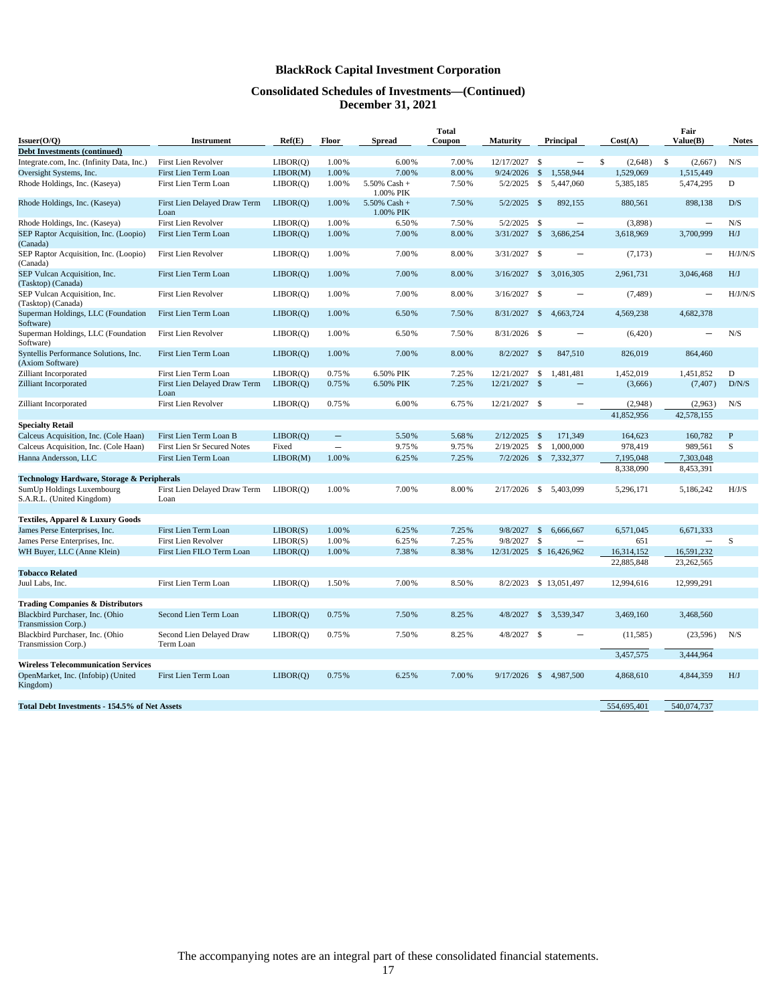## **Consolidated Schedules of Investments—(Continued) December 31, 2021**

|                                                               |                                       |          |                          |                              | <b>Total</b> |                          |               |                          |                          | Fair                     |                |
|---------------------------------------------------------------|---------------------------------------|----------|--------------------------|------------------------------|--------------|--------------------------|---------------|--------------------------|--------------------------|--------------------------|----------------|
| Issuer(O/O)                                                   | Instrument                            | Ref(E)   | Floor                    | <b>Spread</b>                | Coupon       | Maturity                 |               | Principal                | Cost(A)                  | Value(B)                 | <b>Notes</b>   |
| <b>Debt Investments (continued)</b>                           |                                       |          |                          |                              |              |                          |               |                          |                          |                          |                |
| Integrate.com, Inc. (Infinity Data, Inc.)                     | First Lien Revolver                   | LIBOR(O) | 1.00%                    | 6.00%                        | 7.00%        | 12/17/2027               | \$            | $\equiv$                 | \$<br>(2,648)            | \$<br>(2,667)            | N/S            |
| Oversight Systems, Inc.                                       | First Lien Term Loan                  | LIBOR(M) | 1.00%                    | 7.00%                        | 8.00%        | 9/24/2026                | $\mathbb{S}$  | 1,558,944                | 1,529,069                | 1,515,449                |                |
| Rhode Holdings, Inc. (Kaseya)                                 | First Lien Term Loan                  | LIBOR(Q) | 1.00%                    | $5.50\%$ Cash +<br>1.00% PIK | 7.50%        | 5/2/2025                 | $\mathbb{S}$  | 5,447,060                | 5,385,185                | 5,474,295                | D              |
| Rhode Holdings, Inc. (Kaseya)                                 | First Lien Delayed Draw Term<br>Loan  | LIBOR(Q) | 1.00%                    | $5.50\%$ Cash +<br>1.00% PIK | 7.50%        | 5/2/2025                 | \$            | 892,155                  | 880,561                  | 898,138                  | D/S            |
| Rhode Holdings, Inc. (Kaseya)                                 | First Lien Revolver                   | LIBOR(Q) | 1.00%                    | 6.50%                        | 7.50%        | $5/2/2025$ \$            |               | $\overline{\phantom{0}}$ | (3,898)                  |                          | N/S            |
| SEP Raptor Acquisition, Inc. (Loopio)<br>(Canada)             | First Lien Term Loan                  | LIBOR(Q) | 1.00%                    | 7.00%                        | 8.00%        | 3/31/2027                | $\sqrt{3}$    | 3,686,254                | 3,618,969                | 3,700,999                | H/J            |
| SEP Raptor Acquisition, Inc. (Loopio)<br>(Canada)             | First Lien Revolver                   | LIBOR(Q) | 1.00%                    | 7.00%                        | 8.00%        | $3/31/2027$ \$           |               | $\overline{\phantom{0}}$ | (7, 173)                 |                          | H/J/N/S        |
| SEP Vulcan Acquisition, Inc.<br>(Tasktop) (Canada)            | First Lien Term Loan                  | LIBOR(O) | 1.00%                    | 7.00%                        | 8.00%        | 3/16/2027                | $\mathcal{S}$ | 3.016.305                | 2,961,731                | 3,046,468                | H/J            |
| SEP Vulcan Acquisition, Inc.<br>(Tasktop) (Canada)            | <b>First Lien Revolver</b>            | LIBOR(O) | 1.00%                    | 7.00%                        | 8.00%        | $3/16/2027$ \$           |               | $\overline{\phantom{0}}$ | (7, 489)                 | $\overline{\phantom{0}}$ | H/J/N/S        |
| Superman Holdings, LLC (Foundation<br>Software)               | First Lien Term Loan                  | LIBOR(Q) | 1.00%                    | 6.50%                        | 7.50%        | 8/31/2027                | $\frac{1}{2}$ | 4,663,724                | 4,569,238                | 4,682,378                |                |
| Superman Holdings, LLC (Foundation<br>Software)               | First Lien Revolver                   | LIBOR(Q) | 1.00%                    | 6.50%                        | 7.50%        | $8/31/2026$ \$           |               | $\overline{\phantom{0}}$ | (6,420)                  | $\overline{\phantom{0}}$ | N/S            |
| Syntellis Performance Solutions, Inc.<br>(Axiom Software)     | First Lien Term Loan                  | LIBOR(O) | 1.00%                    | 7.00%                        | 8.00%        | 8/2/2027                 | - \$          | 847,510                  | 826,019                  | 864,460                  |                |
| Zilliant Incorporated                                         | First Lien Term Loan                  | LIBOR(O) | 0.75%                    | 6.50% PIK                    | 7.25%        | 12/21/2027 \$            |               | 1.481.481                | 1,452,019                | 1,451,852                | D              |
| Zilliant Incorporated                                         | First Lien Delayed Draw Term<br>Loan  | LIBOR(Q) | 0.75%                    | 6.50% PIK                    | 7.25%        | 12/21/2027 \$            |               | $\equiv$                 | (3,666)                  | (7, 407)                 | D/N/S          |
| Zilliant Incorporated                                         | First Lien Revolver                   | LIBOR(O) | 0.75%                    | 6.00%                        | 6.75%        | 12/21/2027 \$            |               | $\overline{\phantom{0}}$ | (2,948)                  | (2,963)                  | N/S            |
|                                                               |                                       |          |                          |                              |              |                          |               |                          | 41,852,956               | 42,578,155               |                |
| <b>Specialty Retail</b>                                       |                                       |          |                          |                              |              |                          |               |                          |                          |                          |                |
| Calceus Acquisition, Inc. (Cole Haan)                         | First Lien Term Loan B                | LIBOR(O) | $\qquad \qquad -$        | 5.50%                        | 5.68%        | 2/12/2025                | - \$          | 171.349                  | 164,623                  | 160,782                  | $\overline{P}$ |
| Calceus Acquisition, Inc. (Cole Haan)                         | First Lien Sr Secured Notes           | Fixed    | $\overline{\phantom{0}}$ | 9.75%                        | 9.75%        | 2/19/2025                | $\mathbb{S}$  | 1,000,000                | 978,419                  | 989,561                  | S              |
| Hanna Andersson, LLC                                          | First Lien Term Loan                  | LIBOR(M) | 1.00%                    | 6.25%                        | 7.25%        | 7/2/2026 \$ 7,332,377    |               |                          | 7,195,048                | 7,303,048                |                |
|                                                               |                                       |          |                          |                              |              |                          |               |                          | 8,338,090                | 8,453,391                |                |
| Technology Hardware, Storage & Peripherals                    |                                       |          |                          |                              |              |                          |               |                          |                          |                          |                |
| SumUp Holdings Luxembourg<br>S.A.R.L. (United Kingdom)        | First Lien Delayed Draw Term<br>Loan  | LIBOR(Q) | 1.00%                    | 7.00%                        | 8.00%        | 2/17/2026 \$ 5,403,099   |               |                          | 5,296,171                | 5,186,242                | H/J/S          |
|                                                               |                                       |          |                          |                              |              |                          |               |                          |                          |                          |                |
| Textiles, Apparel & Luxury Goods                              |                                       |          |                          |                              |              |                          |               |                          |                          |                          |                |
| James Perse Enterprises, Inc.                                 | First Lien Term Loan                  | LIBOR(S) | 1.00%                    | 6.25%                        | 7.25%        | 9/8/2027                 | $\mathbb{S}$  | 6.666.667                | 6,571,045                | 6,671,333                |                |
| James Perse Enterprises, Inc.                                 | First Lien Revolver                   | LIBOR(S) | 1.00%                    | 6.25%                        | 7.25%        | 9/8/2027                 | $\mathcal{S}$ | $\overline{\phantom{0}}$ | 651                      | $-$                      | S              |
| WH Buyer, LLC (Anne Klein)                                    | First Lien FILO Term Loan             | LIBOR(Q) | 1.00%                    | 7.38%                        | 8.38%        | 12/31/2025 \$ 16,426,962 |               |                          | 16,314,152<br>22,885,848 | 16,591,232<br>23,262,565 |                |
| <b>Tobacco Related</b>                                        |                                       |          |                          |                              |              |                          |               |                          |                          |                          |                |
| Juul Labs, Inc.                                               | First Lien Term Loan                  | LIBOR(Q) | 1.50%                    | 7.00%                        | 8.50%        | 8/2/2023 \$ 13,051,497   |               |                          | 12,994,616               | 12,999,291               |                |
| <b>Trading Companies &amp; Distributors</b>                   |                                       |          |                          |                              |              |                          |               |                          |                          |                          |                |
| Blackbird Purchaser, Inc. (Ohio<br><b>Transmission Corp.)</b> | Second Lien Term Loan                 | LIBOR(Q) | 0.75%                    | 7.50%                        | 8.25%        | 4/8/2027                 |               | \$3,539,347              | 3,469,160                | 3,468,560                |                |
| Blackbird Purchaser, Inc. (Ohio<br>Transmission Corp.)        | Second Lien Delayed Draw<br>Term Loan | LIBOR(Q) | 0.75%                    | 7.50%                        | 8.25%        | $4/8/2027$ \$            |               |                          | (11, 585)                | (23,596)                 | N/S            |
|                                                               |                                       |          |                          |                              |              |                          |               |                          | 3,457,575                | 3,444,964                |                |
| <b>Wireless Telecommunication Services</b>                    |                                       |          |                          |                              |              |                          |               |                          |                          |                          |                |
| OpenMarket, Inc. (Infobip) (United<br>Kingdom)                | First Lien Term Loan                  | LIBOR(O) | 0.75%                    | 6.25%                        | 7.00%        | 9/17/2026                | \$            | 4.987.500                | 4,868,610                | 4,844,359                | H/J            |
| Total Debt Investments - 154.5% of Net Assets                 |                                       |          |                          |                              |              |                          |               |                          | 554,695,401              | 540,074,737              |                |
|                                                               |                                       |          |                          |                              |              |                          |               |                          |                          |                          |                |

The accompanying notes are an integral part of these consolidated financial statements.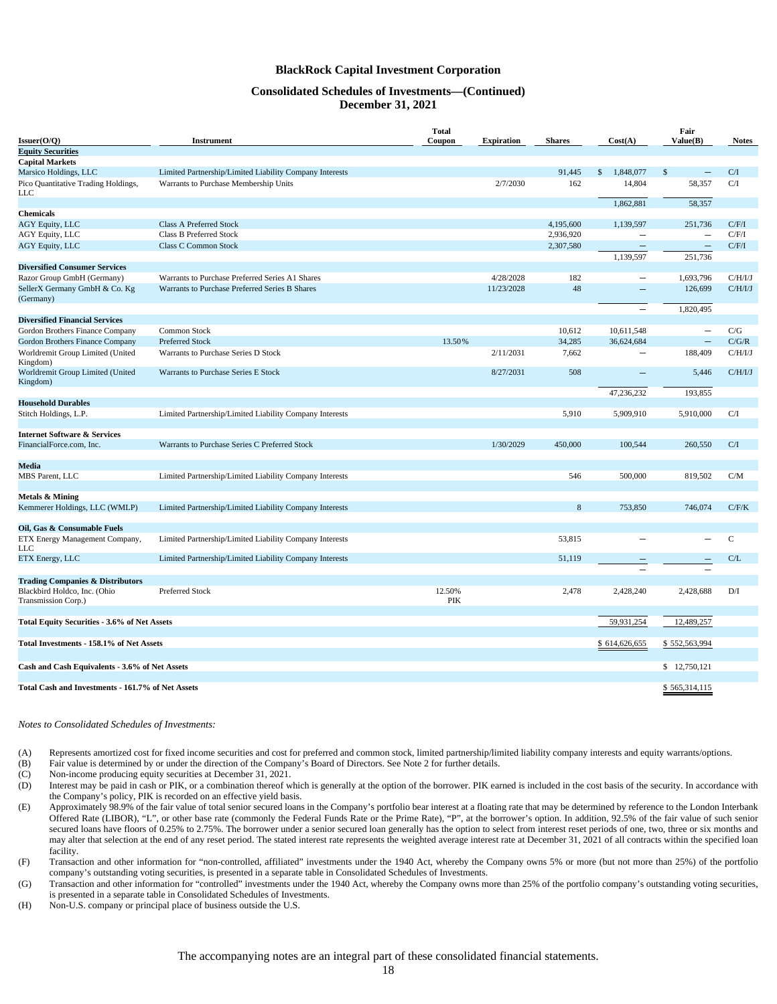### **Consolidated Schedules of Investments—(Continued) December 31, 2021**

|                                                     |                                                         | <b>Total</b>  |                   |               |                           | Fair                     |              |
|-----------------------------------------------------|---------------------------------------------------------|---------------|-------------------|---------------|---------------------------|--------------------------|--------------|
| Issuer(O/Q)                                         | <b>Instrument</b>                                       | Coupon        | <b>Expiration</b> | <b>Shares</b> | Cost(A)                   | Value(B)                 | <b>Notes</b> |
| <b>Equity Securities</b>                            |                                                         |               |                   |               |                           |                          |              |
| <b>Capital Markets</b>                              |                                                         |               |                   |               |                           |                          |              |
| Marsico Holdings, LLC                               | Limited Partnership/Limited Liability Company Interests |               |                   | 91,445        | $\mathbf{s}$<br>1,848,077 | \$                       | C/I          |
| Pico Quantitative Trading Holdings,<br>LLC          | Warrants to Purchase Membership Units                   |               | 2/7/2030          | 162           | 14,804                    | 58,357                   | C/I          |
|                                                     |                                                         |               |                   |               | 1,862,881                 | 58,357                   |              |
| <b>Chemicals</b>                                    |                                                         |               |                   |               |                           |                          |              |
| <b>AGY Equity, LLC</b>                              | <b>Class A Preferred Stock</b>                          |               |                   | 4,195,600     | 1,139,597                 | 251,736                  | C/F/I        |
| AGY Equity, LLC                                     | <b>Class B Preferred Stock</b>                          |               |                   | 2,936,920     | $\qquad \qquad -$         | $\overline{\phantom{0}}$ | C/F/I        |
| <b>AGY Equity, LLC</b>                              | <b>Class C Common Stock</b>                             |               |                   | 2,307,580     | $\qquad \qquad -$         | $\equiv$                 | C/F/I        |
|                                                     |                                                         |               |                   |               | 1,139,597                 | 251,736                  |              |
| <b>Diversified Consumer Services</b>                | Warrants to Purchase Preferred Series A1 Shares         |               |                   | 182           | $\overline{\phantom{0}}$  |                          |              |
| Razor Group GmbH (Germany)                          |                                                         |               | 4/28/2028         | 48            |                           | 1,693,796                | C/H/I/J      |
| SellerX Germany GmbH & Co. Kg<br>(Germany)          | Warrants to Purchase Preferred Series B Shares          |               | 11/23/2028        |               | $\qquad \qquad -$         | 126,699                  | C/H/I/J      |
|                                                     |                                                         |               |                   |               | $\overline{\phantom{0}}$  | 1,820,495                |              |
| <b>Diversified Financial Services</b>               |                                                         |               |                   |               |                           |                          |              |
| Gordon Brothers Finance Company                     | Common Stock                                            |               |                   | 10,612        | 10,611,548                | $\overline{\phantom{0}}$ | C/G          |
| Gordon Brothers Finance Company                     | <b>Preferred Stock</b>                                  | 13.50%        |                   | 34,285        | 36,624,684                | $\overline{\phantom{0}}$ | C/G/R        |
| Worldremit Group Limited (United<br>Kingdom)        | Warrants to Purchase Series D Stock                     |               | 2/11/2031         | 7,662         | $\qquad \qquad -$         | 188,409                  | C/H/I/J      |
| Worldremit Group Limited (United<br>Kingdom)        | Warrants to Purchase Series E Stock                     |               | 8/27/2031         | 508           | $\overline{\phantom{0}}$  | 5,446                    | C/H/I/J      |
|                                                     |                                                         |               |                   |               | 47,236,232                | 193,855                  |              |
| <b>Household Durables</b>                           |                                                         |               |                   |               |                           |                          |              |
| Stitch Holdings, L.P.                               | Limited Partnership/Limited Liability Company Interests |               |                   | 5,910         | 5,909,910                 | 5,910,000                | C/I          |
| <b>Internet Software &amp; Services</b>             |                                                         |               |                   |               |                           |                          |              |
| FinancialForce.com, Inc.                            | Warrants to Purchase Series C Preferred Stock           |               | 1/30/2029         | 450,000       | 100,544                   | 260,550                  | C/I          |
| Media                                               |                                                         |               |                   |               |                           |                          |              |
| MBS Parent, LLC                                     | Limited Partnership/Limited Liability Company Interests |               |                   | 546           | 500,000                   | 819,502                  | C/M          |
| Metals & Mining                                     |                                                         |               |                   |               |                           |                          |              |
| Kemmerer Holdings, LLC (WMLP)                       | Limited Partnership/Limited Liability Company Interests |               |                   | 8             | 753,850                   | 746,074                  | C/F/K        |
| Oil, Gas & Consumable Fuels                         |                                                         |               |                   |               |                           |                          |              |
| ETX Energy Management Company,<br>LLC               | Limited Partnership/Limited Liability Company Interests |               |                   | 53,815        |                           |                          | $\mathbf C$  |
| ETX Energy, LLC                                     | Limited Partnership/Limited Liability Company Interests |               |                   | 51,119        |                           |                          | C/L          |
|                                                     |                                                         |               |                   |               |                           |                          |              |
| <b>Trading Companies &amp; Distributors</b>         |                                                         |               |                   |               |                           |                          |              |
| Blackbird Holdco, Inc. (Ohio<br>Transmission Corp.) | Preferred Stock                                         | 12.50%<br>PIK |                   | 2,478         | 2,428,240                 | 2,428,688                | D/I          |
|                                                     |                                                         |               |                   |               |                           |                          |              |
| Total Equity Securities - 3.6% of Net Assets        |                                                         |               |                   |               | 59,931,254                | 12,489,257               |              |
| Total Investments - 158.1% of Net Assets            |                                                         |               |                   |               | \$614,626,655             | \$552,563,994            |              |
|                                                     |                                                         |               |                   |               |                           |                          |              |
| Cash and Cash Equivalents - 3.6% of Net Assets      |                                                         |               |                   |               |                           | \$12,750,121             |              |
| Total Cash and Investments - 161.7% of Net Assets   |                                                         |               |                   |               |                           | \$565,314,115            |              |

#### *Notes to Consolidated Schedules of Investments:*

(A) Represents amortized cost for fixed income securities and cost for preferred and common stock, limited partnership/limited liability company interests and equity warrants/options.<br>
(B) Fair value is determined by or un

Fair value is determined by or under the direction of the Company's Board of Directors. See Note 2 for further details.

(C) Non-income producing equity securities at December 31, 2021.<br>(D) Interest may be paid in cash or PIK, or a combination thereof w

- Interest may be paid in cash or PIK, or a combination thereof which is generally at the option of the borrower. PIK earned is included in the cost basis of the security. In accordance with the Company's policy, PIK is recorded on an effective yield basis.
- (E) Approximately 98.9% of the fair value of total senior secured loans in the Company's portfolio bear interest at a floating rate that may be determined by reference to the London Interbank Offered Rate (LIBOR), "L", or other base rate (commonly the Federal Funds Rate or the Prime Rate), "P", at the borrower's option. In addition, 92.5% of the fair value of such senior secured loans have floors of 0.25% to 2.75%. The borrower under a senior secured loan generally has the option to select from interest reset periods of one, two, three or six months and may alter that selection at the end of any reset period. The stated interest rate represents the weighted average interest rate at December 31, 2021 of all contracts within the specified loan facility.
- (F) Transaction and other information for "non-controlled, affiliated" investments under the 1940 Act, whereby the Company owns 5% or more (but not more than 25%) of the portfolio company's outstanding voting securities, is presented in a separate table in Consolidated Schedules of Investments.
- (G) Transaction and other information for "controlled" investments under the 1940 Act, whereby the Company owns more than 25% of the portfolio company's outstanding voting securities, is presented in a separate table in Consolidated Schedules of Investments.
- (H) Non-U.S. company or principal place of business outside the U.S.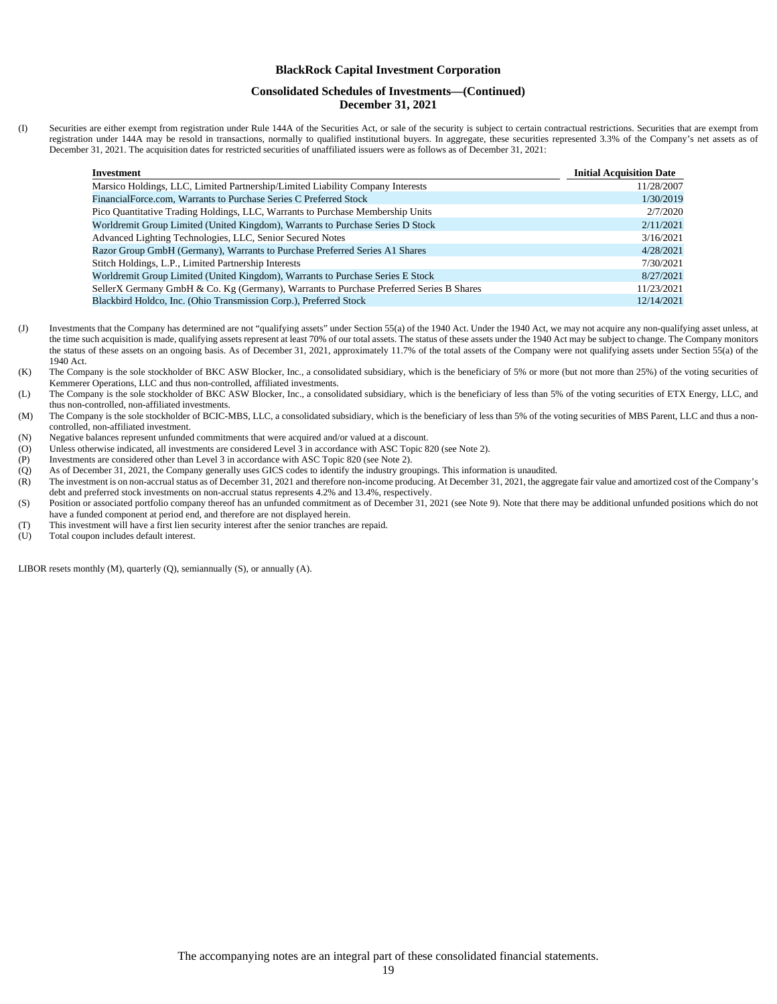#### **Consolidated Schedules of Investments—(Continued) December 31, 2021**

(I) Securities are either exempt from registration under Rule 144A of the Securities Act, or sale of the security is subject to certain contractual restrictions. Securities that are exempt from registration under 144A may be resold in transactions, normally to qualified institutional buyers. In aggregate, these securities represented 3.3% of the Company's net assets as of December 31, 2021. The acquisition dates for restricted securities of unaffiliated issuers were as follows as of December 31, 2021:

| Investment                                                                              | <b>Initial Acquisition Date</b> |
|-----------------------------------------------------------------------------------------|---------------------------------|
| Marsico Holdings, LLC, Limited Partnership/Limited Liability Company Interests          | 11/28/2007                      |
| FinancialForce.com, Warrants to Purchase Series C Preferred Stock                       | 1/30/2019                       |
| Pico Quantitative Trading Holdings, LLC, Warrants to Purchase Membership Units          | 2/7/2020                        |
| Worldremit Group Limited (United Kingdom), Warrants to Purchase Series D Stock          | 2/11/2021                       |
| Advanced Lighting Technologies, LLC, Senior Secured Notes                               | 3/16/2021                       |
| Razor Group GmbH (Germany), Warrants to Purchase Preferred Series A1 Shares             | 4/28/2021                       |
| Stitch Holdings, L.P., Limited Partnership Interests                                    | 7/30/2021                       |
| Worldremit Group Limited (United Kingdom), Warrants to Purchase Series E Stock          | 8/27/2021                       |
| SellerX Germany GmbH & Co. Kg (Germany), Warrants to Purchase Preferred Series B Shares | 11/23/2021                      |
| Blackbird Holdco, Inc. (Ohio Transmission Corp.), Preferred Stock                       | 12/14/2021                      |

- (J) Investments that the Company has determined are not "qualifying assets" under Section 55(a) of the 1940 Act. Under the 1940 Act, we may not acquire any non-qualifying asset unless, at the time such acquisition is made, qualifying assets represent at least 70% of our total assets. The status of these assets under the 1940 Act may be subject to change. The Company monitors the status of these assets on an ongoing basis. As of December 31, 2021, approximately 11.7% of the total assets of the Company were not qualifying assets under Section 55(a) of the 1940 Act.
- (K) The Company is the sole stockholder of BKC ASW Blocker, Inc., a consolidated subsidiary, which is the beneficiary of 5% or more (but not more than 25%) of the voting securities of Kemmerer Operations, LLC and thus non-controlled, affiliated investments.
- (L) The Company is the sole stockholder of BKC ASW Blocker, Inc., a consolidated subsidiary, which is the beneficiary of less than 5% of the voting securities of ETX Energy, LLC, and thus non-controlled, non-affiliated investments.
- (M) The Company is the sole stockholder of BCIC-MBS, LLC, a consolidated subsidiary, which is the beneficiary of less than 5% of the voting securities of MBS Parent, LLC and thus a noncontrolled, non-affiliated investment.
- (N) Negative balances represent unfunded commitments that were acquired and/or valued at a discount.
- (O) Unless otherwise indicated, all investments are considered Level 3 in accordance with ASC Topic 820 (see Note 2).
- (P) Investments are considered other than Level 3 in accordance with ASC Topic 820 (see Note 2).
- (Q) As of December 31, 2021, the Company generally uses GICS codes to identify the industry groupings. This information is unaudited.
- (R) The investment is on non-accrual status as of December 31, 2021 and therefore non-income producing. At December 31, 2021, the aggregate fair value and amortized cost of the Company's debt and preferred stock investments on non-accrual status represents 4.2% and 13.4%, respectively.
- (S) Position or associated portfolio company thereof has an unfunded commitment as of December 31, 2021 (see Note 9). Note that there may be additional unfunded positions which do not have a funded component at period end, and therefore are not displayed herein.
- (T) This investment will have a first lien security interest after the senior tranches are repaid.
- Total coupon includes default interest.

LIBOR resets monthly (M), quarterly (Q), semiannually (S), or annually (A).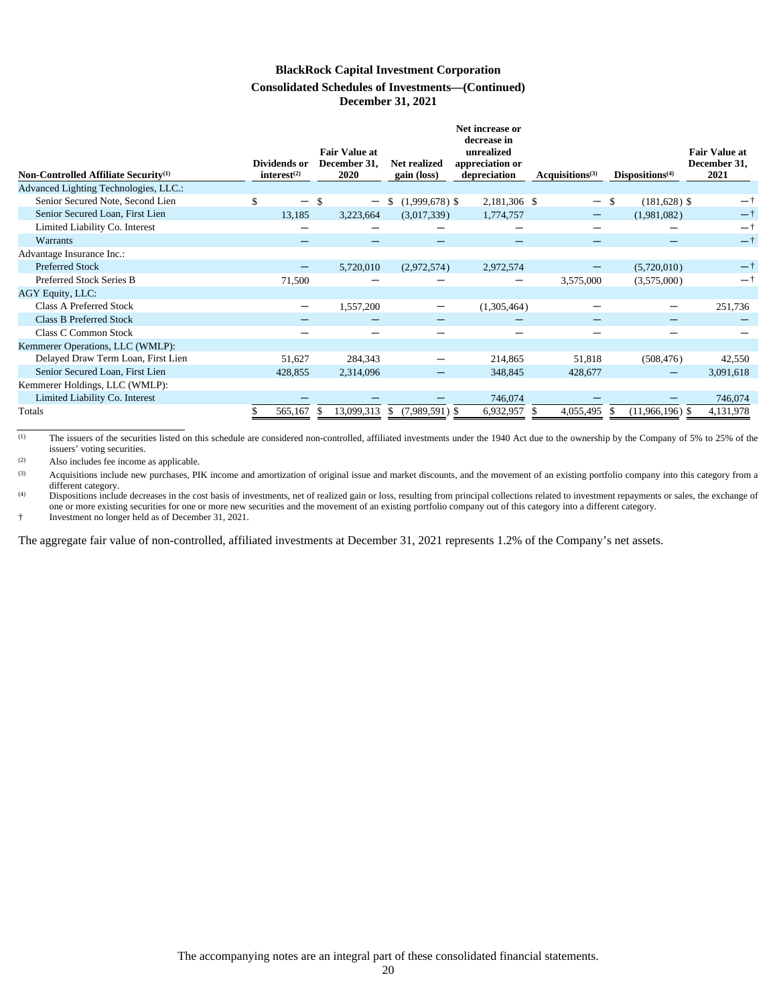## **BlackRock Capital Investment Corporation Consolidated Schedules of Investments—(Continued) December 31, 2021**

| Non-Controlled Affiliate Security <sup>(1)</sup><br>Advanced Lighting Technologies, LLC.: | Dividends or<br>interest <sup>(2)</sup> | <b>Fair Value at</b><br>December 31,<br>2020 | <b>Net realized</b><br>gain (loss) | Net increase or<br>decrease in<br>unrealized<br>appreciation or<br>depreciation | Acquisitions <sup>(3)</sup> | Dispositions <sup>(4)</sup> | <b>Fair Value at</b><br>December 31,<br>2021 |
|-------------------------------------------------------------------------------------------|-----------------------------------------|----------------------------------------------|------------------------------------|---------------------------------------------------------------------------------|-----------------------------|-----------------------------|----------------------------------------------|
| Senior Secured Note, Second Lien                                                          | \$<br>$\qquad \qquad -$                 | -\$<br>$\qquad \qquad -$                     | $(1,999,678)$ \$<br><sup>\$</sup>  | 2,181,306 \$                                                                    | $\qquad \qquad -$           | - \$<br>$(181, 628)$ \$     |                                              |
| Senior Secured Loan, First Lien                                                           | 13,185                                  | 3,223,664                                    | (3,017,339)                        | 1,774,757                                                                       |                             | (1,981,082)                 |                                              |
| Limited Liability Co. Interest                                                            |                                         |                                              |                                    |                                                                                 |                             |                             | -†                                           |
| Warrants                                                                                  |                                         |                                              |                                    |                                                                                 |                             |                             | $-1$                                         |
| Advantage Insurance Inc.:                                                                 |                                         |                                              |                                    |                                                                                 |                             |                             |                                              |
| <b>Preferred Stock</b>                                                                    |                                         | 5,720,010                                    | (2,972,574)                        | 2,972,574                                                                       |                             | (5,720,010)                 | -†                                           |
| Preferred Stock Series B                                                                  | 71,500                                  |                                              |                                    |                                                                                 | 3,575,000                   | (3,575,000)                 |                                              |
| <b>AGY Equity, LLC:</b>                                                                   |                                         |                                              |                                    |                                                                                 |                             |                             |                                              |
| Class A Preferred Stock                                                                   |                                         | 1,557,200                                    |                                    | (1,305,464)                                                                     |                             |                             | 251,736                                      |
| <b>Class B Preferred Stock</b>                                                            |                                         |                                              |                                    |                                                                                 |                             |                             |                                              |
| <b>Class C Common Stock</b>                                                               |                                         |                                              |                                    |                                                                                 |                             |                             |                                              |
| Kemmerer Operations, LLC (WMLP):                                                          |                                         |                                              |                                    |                                                                                 |                             |                             |                                              |
| Delayed Draw Term Loan, First Lien                                                        | 51,627                                  | 284,343                                      |                                    | 214,865                                                                         | 51,818                      | (508, 476)                  | 42,550                                       |
| Senior Secured Loan, First Lien                                                           | 428,855                                 | 2,314,096                                    |                                    | 348,845                                                                         | 428,677                     |                             | 3,091,618                                    |
| Kemmerer Holdings, LLC (WMLP):                                                            |                                         |                                              |                                    |                                                                                 |                             |                             |                                              |
| Limited Liability Co. Interest                                                            |                                         |                                              |                                    | 746,074                                                                         |                             |                             | 746,074                                      |
| Totals                                                                                    | 565,167                                 | 13,099,313<br>- 75                           | $(7,989,591)$ \$<br>S.             | 6,932,957                                                                       | 4,055,495<br>S              | $(11,966,196)$ \$<br>S      | 4,131,978                                    |

(1) The issuers of the securities listed on this schedule are considered non-controlled, affiliated investments under the 1940 Act due to the ownership by the Company of 5% to 25% of the issuers' voting securities.

(2) Also includes fee income as applicable.

(3) Acquisitions include new purchases, PIK income and amortization of original issue and market discounts, and the movement of an existing portfolio company into this category from a different category.

(4) Dispositions include decreases in the cost basis of investments, net of realized gain or loss, resulting from principal collections related to investment repayments or sales, the exchange of one or more existing securities for one or more new securities and the movement of an existing portfolio company out of this category into a different category.

† Investment no longer held as of December 31, 2021.

The aggregate fair value of non-controlled, affiliated investments at December 31, 2021 represents 1.2% of the Company's net assets.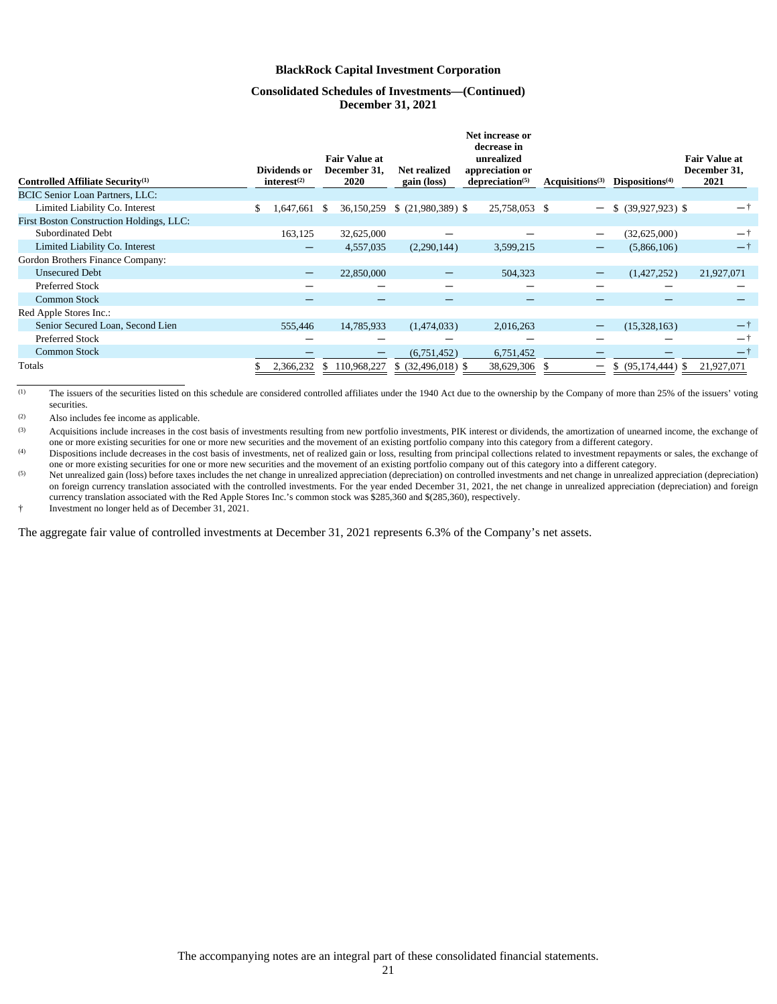## **Consolidated Schedules of Investments—(Continued) December 31, 2021**

| Controlled Affiliate Security <sup>(1)</sup>    | Dividends or<br>interest <sup>(2)</sup> |    | <b>Fair Value at</b><br>December 31.<br>2020 | <b>Net realized</b><br>gain (loss) | Net increase or<br>decrease in<br>unrealized<br>appreciation or<br>depreciation <sup>(5)</sup> | Acquisitions $(3)$ | Dispositions <sup>(4)</sup> | <b>Fair Value at</b><br>December 31,<br>2021 |
|-------------------------------------------------|-----------------------------------------|----|----------------------------------------------|------------------------------------|------------------------------------------------------------------------------------------------|--------------------|-----------------------------|----------------------------------------------|
| <b>BCIC Senior Loan Partners, LLC:</b>          |                                         |    |                                              |                                    |                                                                                                |                    |                             |                                              |
| Limited Liability Co. Interest                  | \$<br>.647,661                          | -S |                                              | 36,150,259 \$ (21,980,389) \$      | 25,758,053 \$                                                                                  | $\qquad \qquad -$  | $$$ (39,927,923) \$         | $-$ t                                        |
| <b>First Boston Construction Holdings, LLC:</b> |                                         |    |                                              |                                    |                                                                                                |                    |                             |                                              |
| <b>Subordinated Debt</b>                        | 163,125                                 |    | 32,625,000                                   |                                    |                                                                                                | $\qquad \qquad$    | (32,625,000)                | —†                                           |
| Limited Liability Co. Interest                  | $\qquad \qquad \longleftarrow$          |    | 4,557,035                                    | (2,290,144)                        | 3,599,215                                                                                      |                    | (5,866,106)                 | $-$ †                                        |
| Gordon Brothers Finance Company:                |                                         |    |                                              |                                    |                                                                                                |                    |                             |                                              |
| <b>Unsecured Debt</b>                           |                                         |    | 22,850,000                                   |                                    | 504,323                                                                                        |                    | (1,427,252)                 | 21,927,071                                   |
| <b>Preferred Stock</b>                          |                                         |    |                                              |                                    |                                                                                                |                    |                             |                                              |
| <b>Common Stock</b>                             |                                         |    |                                              |                                    |                                                                                                |                    |                             |                                              |
| Red Apple Stores Inc.:                          |                                         |    |                                              |                                    |                                                                                                |                    |                             |                                              |
| Senior Secured Loan, Second Lien                | 555,446                                 |    | 14,785,933                                   | (1,474,033)                        | 2,016,263                                                                                      |                    | (15,328,163)                | —†                                           |
| <b>Preferred Stock</b>                          |                                         |    |                                              |                                    |                                                                                                |                    |                             | -†                                           |
| <b>Common Stock</b>                             |                                         |    | $\qquad \qquad \longleftarrow$               | (6,751,452)                        | 6,751,452                                                                                      |                    |                             | $-1$                                         |
| Totals                                          | 2,366,232                               | N. | 110,968,227                                  | $$$ (32,496,018) \$                | 38,629,306                                                                                     | - S                | $$$ (95,174,444) \,\$       | 21,927,071                                   |

(1) The issuers of the securities listed on this schedule are considered controlled affiliates under the 1940 Act due to the ownership by the Company of more than 25% of the issuers' voting securities.

(2) Also includes fee income as applicable.

(3) Acquisitions include increases in the cost basis of investments resulting from new portfolio investments, PIK interest or dividends, the amortization of unearned income, the exchange of one or more existing securities for one or more new securities and the movement of an existing portfolio company into this category from a different category.

(4) Dispositions include decreases in the cost basis of investments, net of realized gain or loss, resulting from principal collections related to investment repayments or sales, the exchange of one or more existing securities for one or more new securities and the movement of an existing portfolio company out of this category into a different category.

<sup>(5)</sup> Net unrealized gain (loss) before taxes includes the net change in unrealized appreciation (depreciation) on controlled investments and net change in unrealized appreciation (depreciation) on foreign currency translation associated with the controlled investments. For the year ended December 31, 2021, the net change in unrealized appreciation (depreciation) and foreign currency translation associated with the Red Apple Stores Inc.'s common stock was \$285,360 and \$(285,360), respectively.

† Investment no longer held as of December 31, 2021.

The aggregate fair value of controlled investments at December 31, 2021 represents 6.3% of the Company's net assets.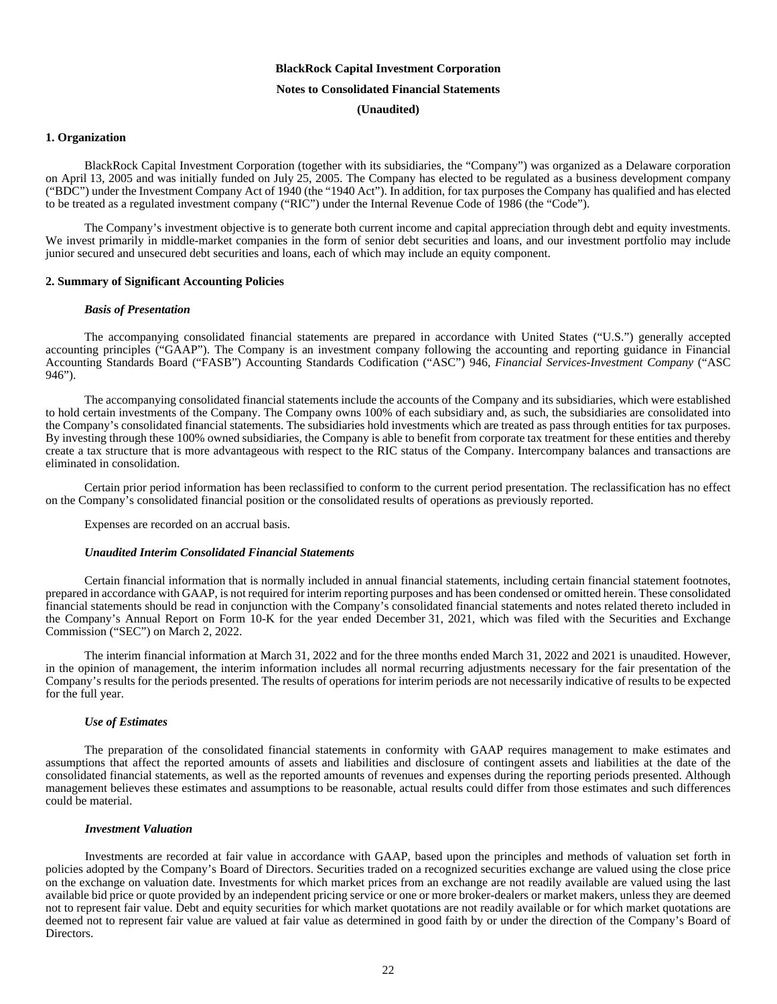#### **Notes to Consolidated Financial Statements**

#### <span id="page-21-0"></span>**(Unaudited)**

#### **1. Organization**

BlackRock Capital Investment Corporation (together with its subsidiaries, the "Company") was organized as a Delaware corporation on April 13, 2005 and was initially funded on July 25, 2005. The Company has elected to be regulated as a business development company ("BDC") under the Investment Company Act of 1940 (the "1940 Act"). In addition, for tax purposes the Company has qualified and has elected to be treated as a regulated investment company ("RIC") under the Internal Revenue Code of 1986 (the "Code").

The Company's investment objective is to generate both current income and capital appreciation through debt and equity investments. We invest primarily in middle-market companies in the form of senior debt securities and loans, and our investment portfolio may include junior secured and unsecured debt securities and loans, each of which may include an equity component.

#### **2. Summary of Significant Accounting Policies**

#### *Basis of Presentation*

The accompanying consolidated financial statements are prepared in accordance with United States ("U.S.") generally accepted accounting principles ("GAAP"). The Company is an investment company following the accounting and reporting guidance in Financial Accounting Standards Board ("FASB") Accounting Standards Codification ("ASC") 946, *Financial Services-Investment Company* ("ASC 946").

The accompanying consolidated financial statements include the accounts of the Company and its subsidiaries, which were established to hold certain investments of the Company. The Company owns 100% of each subsidiary and, as such, the subsidiaries are consolidated into the Company's consolidated financial statements. The subsidiaries hold investments which are treated as pass through entities for tax purposes. By investing through these 100% owned subsidiaries, the Company is able to benefit from corporate tax treatment for these entities and thereby create a tax structure that is more advantageous with respect to the RIC status of the Company. Intercompany balances and transactions are eliminated in consolidation.

Certain prior period information has been reclassified to conform to the current period presentation. The reclassification has no effect on the Company's consolidated financial position or the consolidated results of operations as previously reported.

Expenses are recorded on an accrual basis.

#### *Unaudited Interim Consolidated Financial Statements*

Certain financial information that is normally included in annual financial statements, including certain financial statement footnotes, prepared in accordance with GAAP, is not required for interim reporting purposes and has been condensed or omitted herein. These consolidated financial statements should be read in conjunction with the Company's consolidated financial statements and notes related thereto included in the Company's Annual Report on Form 10-K for the year ended December 31, 2021, which was filed with the Securities and Exchange Commission ("SEC") on March 2, 2022.

The interim financial information at March 31, 2022 and for the three months ended March 31, 2022 and 2021 is unaudited. However, in the opinion of management, the interim information includes all normal recurring adjustments necessary for the fair presentation of the Company's results for the periods presented. The results of operations for interim periods are not necessarily indicative of results to be expected for the full year.

#### *Use of Estimates*

The preparation of the consolidated financial statements in conformity with GAAP requires management to make estimates and assumptions that affect the reported amounts of assets and liabilities and disclosure of contingent assets and liabilities at the date of the consolidated financial statements, as well as the reported amounts of revenues and expenses during the reporting periods presented. Although management believes these estimates and assumptions to be reasonable, actual results could differ from those estimates and such differences could be material.

#### *Investment Valuation*

Investments are recorded at fair value in accordance with GAAP, based upon the principles and methods of valuation set forth in policies adopted by the Company's Board of Directors. Securities traded on a recognized securities exchange are valued using the close price on the exchange on valuation date. Investments for which market prices from an exchange are not readily available are valued using the last available bid price or quote provided by an independent pricing service or one or more broker-dealers or market makers, unless they are deemed not to represent fair value. Debt and equity securities for which market quotations are not readily available or for which market quotations are deemed not to represent fair value are valued at fair value as determined in good faith by or under the direction of the Company's Board of Directors.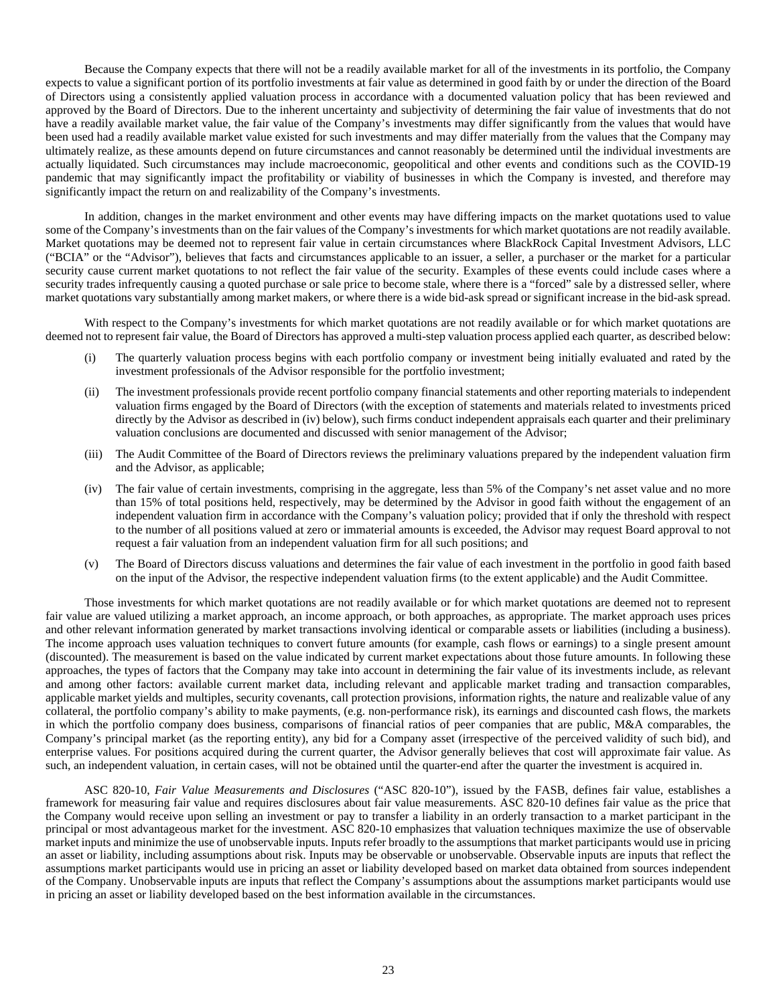Because the Company expects that there will not be a readily available market for all of the investments in its portfolio, the Company expects to value a significant portion of its portfolio investments at fair value as determined in good faith by or under the direction of the Board of Directors using a consistently applied valuation process in accordance with a documented valuation policy that has been reviewed and approved by the Board of Directors. Due to the inherent uncertainty and subjectivity of determining the fair value of investments that do not have a readily available market value, the fair value of the Company's investments may differ significantly from the values that would have been used had a readily available market value existed for such investments and may differ materially from the values that the Company may ultimately realize, as these amounts depend on future circumstances and cannot reasonably be determined until the individual investments are actually liquidated. Such circumstances may include macroeconomic, geopolitical and other events and conditions such as the COVID-19 pandemic that may significantly impact the profitability or viability of businesses in which the Company is invested, and therefore may significantly impact the return on and realizability of the Company's investments.

In addition, changes in the market environment and other events may have differing impacts on the market quotations used to value some of the Company's investments than on the fair values of the Company's investments for which market quotations are not readily available. Market quotations may be deemed not to represent fair value in certain circumstances where BlackRock Capital Investment Advisors, LLC ("BCIA" or the "Advisor"), believes that facts and circumstances applicable to an issuer, a seller, a purchaser or the market for a particular security cause current market quotations to not reflect the fair value of the security. Examples of these events could include cases where a security trades infrequently causing a quoted purchase or sale price to become stale, where there is a "forced" sale by a distressed seller, where market quotations vary substantially among market makers, or where there is a wide bid-ask spread or significant increase in the bid-ask spread.

With respect to the Company's investments for which market quotations are not readily available or for which market quotations are deemed not to represent fair value, the Board of Directors has approved a multi-step valuation process applied each quarter, as described below:

- (i) The quarterly valuation process begins with each portfolio company or investment being initially evaluated and rated by the investment professionals of the Advisor responsible for the portfolio investment;
- (ii) The investment professionals provide recent portfolio company financial statements and other reporting materials to independent valuation firms engaged by the Board of Directors (with the exception of statements and materials related to investments priced directly by the Advisor as described in (iv) below), such firms conduct independent appraisals each quarter and their preliminary valuation conclusions are documented and discussed with senior management of the Advisor;
- (iii) The Audit Committee of the Board of Directors reviews the preliminary valuations prepared by the independent valuation firm and the Advisor, as applicable;
- (iv) The fair value of certain investments, comprising in the aggregate, less than 5% of the Company's net asset value and no more than 15% of total positions held, respectively, may be determined by the Advisor in good faith without the engagement of an independent valuation firm in accordance with the Company's valuation policy; provided that if only the threshold with respect to the number of all positions valued at zero or immaterial amounts is exceeded, the Advisor may request Board approval to not request a fair valuation from an independent valuation firm for all such positions; and
- (v) The Board of Directors discuss valuations and determines the fair value of each investment in the portfolio in good faith based on the input of the Advisor, the respective independent valuation firms (to the extent applicable) and the Audit Committee.

Those investments for which market quotations are not readily available or for which market quotations are deemed not to represent fair value are valued utilizing a market approach, an income approach, or both approaches, as appropriate. The market approach uses prices and other relevant information generated by market transactions involving identical or comparable assets or liabilities (including a business). The income approach uses valuation techniques to convert future amounts (for example, cash flows or earnings) to a single present amount (discounted). The measurement is based on the value indicated by current market expectations about those future amounts. In following these approaches, the types of factors that the Company may take into account in determining the fair value of its investments include, as relevant and among other factors: available current market data, including relevant and applicable market trading and transaction comparables, applicable market yields and multiples, security covenants, call protection provisions, information rights, the nature and realizable value of any collateral, the portfolio company's ability to make payments, (e.g. non-performance risk), its earnings and discounted cash flows, the markets in which the portfolio company does business, comparisons of financial ratios of peer companies that are public, M&A comparables, the Company's principal market (as the reporting entity), any bid for a Company asset (irrespective of the perceived validity of such bid), and enterprise values. For positions acquired during the current quarter, the Advisor generally believes that cost will approximate fair value. As such, an independent valuation, in certain cases, will not be obtained until the quarter-end after the quarter the investment is acquired in.

ASC 820-10, *Fair Value Measurements and Disclosures* ("ASC 820-10"), issued by the FASB, defines fair value, establishes a framework for measuring fair value and requires disclosures about fair value measurements. ASC 820-10 defines fair value as the price that the Company would receive upon selling an investment or pay to transfer a liability in an orderly transaction to a market participant in the principal or most advantageous market for the investment. ASC 820-10 emphasizes that valuation techniques maximize the use of observable market inputs and minimize the use of unobservable inputs. Inputs refer broadly to the assumptions that market participants would use in pricing an asset or liability, including assumptions about risk. Inputs may be observable or unobservable. Observable inputs are inputs that reflect the assumptions market participants would use in pricing an asset or liability developed based on market data obtained from sources independent of the Company. Unobservable inputs are inputs that reflect the Company's assumptions about the assumptions market participants would use in pricing an asset or liability developed based on the best information available in the circumstances.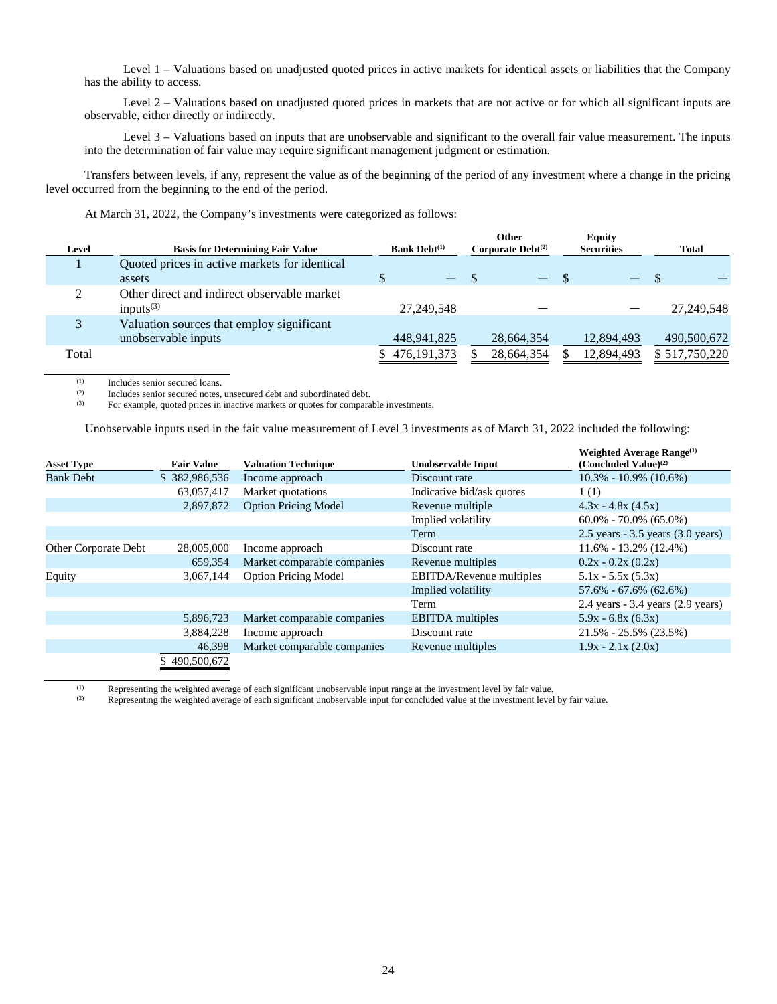Level 1 – Valuations based on unadjusted quoted prices in active markets for identical assets or liabilities that the Company has the ability to access.

Level 2 – Valuations based on unadjusted quoted prices in markets that are not active or for which all significant inputs are observable, either directly or indirectly.

Level 3 – Valuations based on inputs that are unobservable and significant to the overall fair value measurement. The inputs into the determination of fair value may require significant management judgment or estimation.

Transfers between levels, if any, represent the value as of the beginning of the period of any investment where a change in the pricing level occurred from the beginning to the end of the period.

At March 31, 2022, the Company's investments were categorized as follows:

| Level | <b>Basis for Determining Fair Value</b>                          | <b>Bank Debt</b> <sup>(1)</sup> |      | Other<br>Corporate Debt <sup>(2)</sup> | Equity<br><b>Securities</b> | <b>Total</b>  |
|-------|------------------------------------------------------------------|---------------------------------|------|----------------------------------------|-----------------------------|---------------|
|       | Quoted prices in active markets for identical<br>assets          | \$                              | - \$ |                                        |                             |               |
| ↑     | Other direct and indirect observable market<br>inputs $^{(3)}$   | 27.249.548                      |      |                                        |                             | 27.249.548    |
| 3     | Valuation sources that employ significant<br>unobservable inputs | 448,941,825                     |      | 28,664,354                             | 12.894.493                  | 490,500,672   |
| Total |                                                                  | 476, 191, 373                   |      | 28,664,354                             | 12,894,493                  | \$517,750,220 |

 $\frac{(1)}{(2)}$  Includes senior secured loans.

 $\frac{1}{2}$  Includes senior secured notes, unsecured debt and subordinated debt.

For example, quoted prices in inactive markets or quotes for comparable investments.

Unobservable inputs used in the fair value measurement of Level 3 investments as of March 31, 2022 included the following:

| <b>Asset Type</b>           | <b>Fair Value</b> | <b>Valuation Technique</b>  | Unobservable Input              | <b>Weighted Average Range</b> <sup>(1)</sup><br>(Concluded Value) $(2)$ |
|-----------------------------|-------------------|-----------------------------|---------------------------------|-------------------------------------------------------------------------|
| <b>Bank Debt</b>            | \$382,986,536     | Income approach             | Discount rate                   | $10.3\% - 10.9\%$ (10.6%)                                               |
|                             | 63,057,417        | Market quotations           | Indicative bid/ask quotes       | 1(1)                                                                    |
|                             | 2,897,872         | <b>Option Pricing Model</b> | Revenue multiple                | $4.3x - 4.8x (4.5x)$                                                    |
|                             |                   |                             | Implied volatility              | $60.0\% - 70.0\%$ (65.0%)                                               |
|                             |                   |                             | Term                            | $2.5$ years $-3.5$ years $(3.0$ years)                                  |
| <b>Other Corporate Debt</b> | 28,005,000        | Income approach             | Discount rate                   | $11.6\% - 13.2\%$ (12.4%)                                               |
|                             | 659,354           | Market comparable companies | Revenue multiples               | $0.2x - 0.2x(0.2x)$                                                     |
| Equity                      | 3,067,144         | <b>Option Pricing Model</b> | <b>EBITDA/Revenue multiples</b> | $5.1x - 5.5x(5.3x)$                                                     |
|                             |                   |                             | Implied volatility              | $57.6\% - 67.6\%$ (62.6%)                                               |
|                             |                   |                             | Term                            | 2.4 years - 3.4 years (2.9 years)                                       |
|                             | 5,896,723         | Market comparable companies | <b>EBITDA</b> multiples         | $5.9x - 6.8x(6.3x)$                                                     |
|                             | 3,884,228         | Income approach             | Discount rate                   | $21.5\% - 25.5\%$ (23.5%)                                               |
|                             | 46,398            | Market comparable companies | Revenue multiples               | $1.9x - 2.1x(2.0x)$                                                     |
|                             | \$490,500,672     |                             |                                 |                                                                         |

(1) Representing the weighted average of each significant unobservable input range at the investment level by fair value.<br>Representing the weighted average of each significant unobservable input for concluded value at the

Representing the weighted average of each significant unobservable input for concluded value at the investment level by fair value.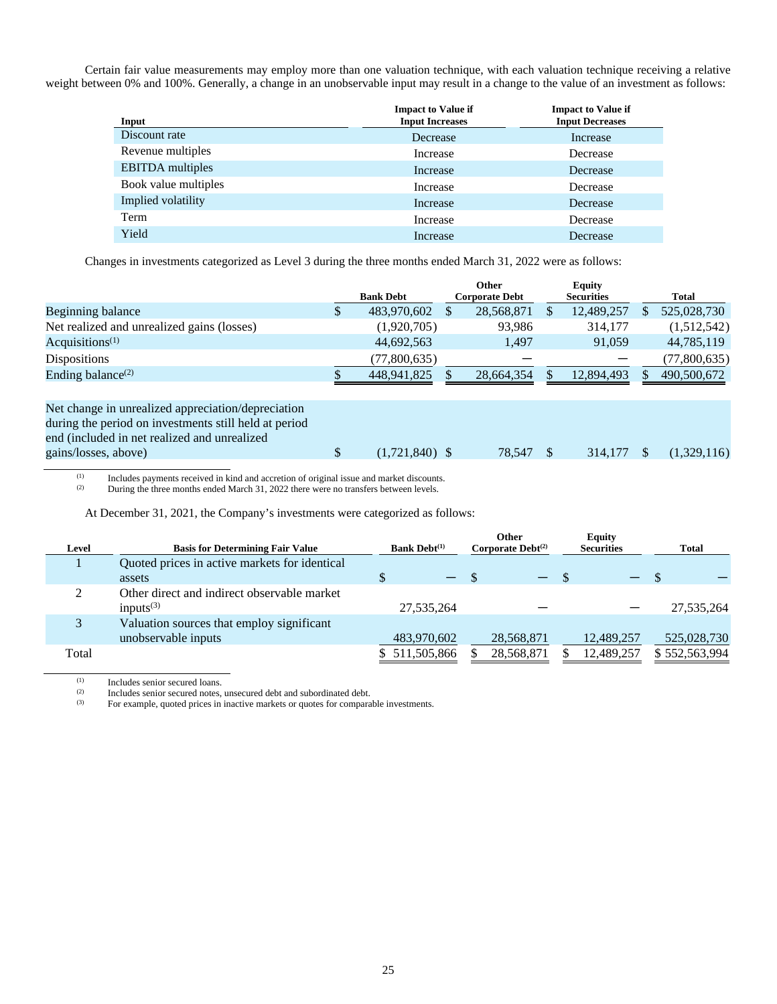Certain fair value measurements may employ more than one valuation technique, with each valuation technique receiving a relative weight between 0% and 100%. Generally, a change in an unobservable input may result in a change to the value of an investment as follows:

| Input                   | <b>Impact to Value if</b><br><b>Input Increases</b> | <b>Impact to Value if</b><br><b>Input Decreases</b> |
|-------------------------|-----------------------------------------------------|-----------------------------------------------------|
| Discount rate           | Decrease                                            | Increase                                            |
| Revenue multiples       | Increase                                            | Decrease                                            |
| <b>EBITDA</b> multiples | Increase                                            | Decrease                                            |
| Book value multiples    | Increase                                            | Decrease                                            |
| Implied volatility      | Increase                                            | Decrease                                            |
| Term                    | Increase                                            | Decrease                                            |
| Yield                   | Increase                                            | Decrease                                            |

Changes in investments categorized as Level 3 during the three months ended March 31, 2022 were as follows:

|                    |        | <b>Equity</b>                                                     |              |
|--------------------|--------|-------------------------------------------------------------------|--------------|
| <b>Bank Debt</b>   |        | <b>Securities</b>                                                 | Total        |
| 483,970,602<br>\$. |        | 12,489,257                                                        | 525,028,730  |
| (1,920,705)        | 93,986 | 314.177                                                           | (1,512,542)  |
| 44,692,563         | 1,497  | 91,059                                                            | 44,785,119   |
| (77,800,635)       |        |                                                                   | (77,800,635) |
| 448,941,825        |        | 12,894,493                                                        | 490,500,672  |
|                    |        |                                                                   |              |
|                    |        | <b>Other</b><br><b>Corporate Debt</b><br>28,568,871<br>28,664,354 |              |

Net change in unrealized appreciation/depreciation during the period on investments still held at period end (included in net realized and unrealized gains/losses, above) \$ (1,721,840) \$ 78,547 \$ 314,177 \$ (1,329,116)

(1) Includes payments received in kind and accretion of original issue and market discounts.<br>
During the three months ended March 31, 2022 there were no transfers between levels.

During the three months ended March 31, 2022 there were no transfers between levels.

At December 31, 2021, the Company's investments were categorized as follows:

| Level | <b>Basis for Determining Fair Value</b>                          | <b>Bank Debt</b> <sup>(1)</sup> | Other<br>Corporate $Debt^{(2)}$ | <b>Equity</b><br><b>Securities</b> | <b>Total</b>  |
|-------|------------------------------------------------------------------|---------------------------------|---------------------------------|------------------------------------|---------------|
|       | Quoted prices in active markets for identical<br>assets          | J                               |                                 |                                    |               |
| ◠     | Other direct and indirect observable market<br>inputs $(3)$      | 27,535,264                      |                                 |                                    | 27,535,264    |
|       | Valuation sources that employ significant<br>unobservable inputs | 483,970,602                     | 28,568,871                      | 12,489,257                         | 525,028,730   |
| Total |                                                                  | 511,505,866                     | 28,568,871                      | 12,489,257                         | \$552,563,994 |

 $\frac{(1)}{(2)}$  Includes senior secured loans.

For example, quoted prices in inactive markets or quotes for comparable investments.

 $(2)$  Includes senior secured notes, unsecured debt and subordinated debt.<br>For example, quoted prices in inactive markets or quotes for compara-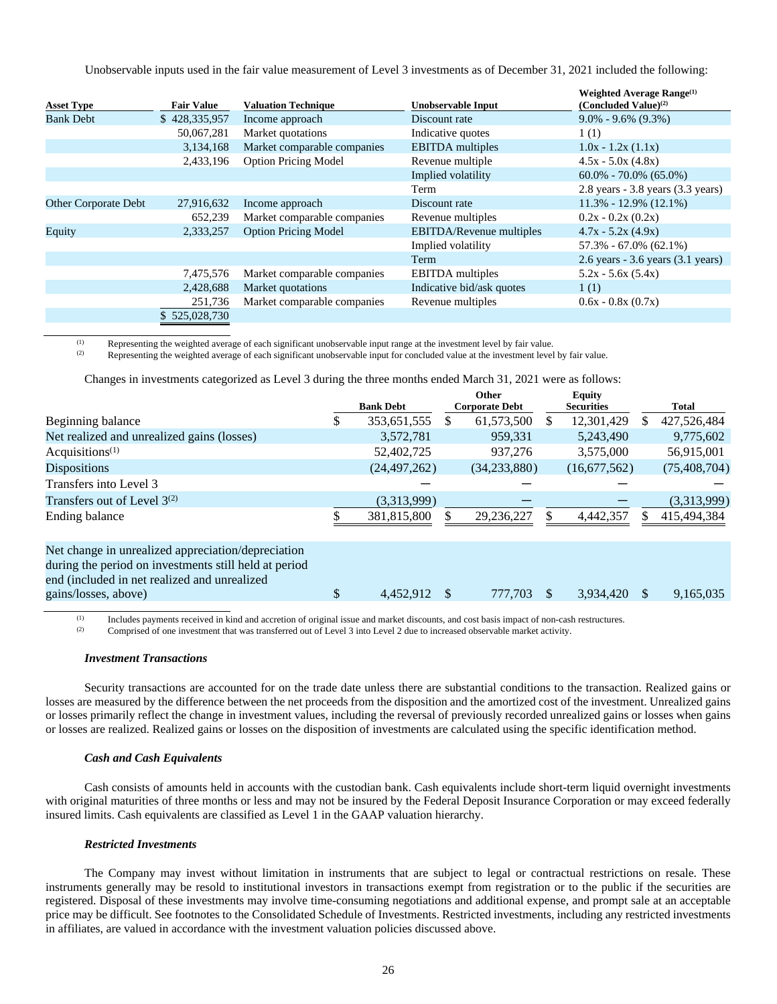Unobservable inputs used in the fair value measurement of Level 3 investments as of December 31, 2021 included the following:

| <b>Asset Type</b>           | <b>Fair Value</b> | <b>Valuation Technique</b>  | Unobservable Input        | <b>Weighted Average Range</b> <sup>(1)</sup><br>(Concluded Value) <sup>(2)</sup> |
|-----------------------------|-------------------|-----------------------------|---------------------------|----------------------------------------------------------------------------------|
| <b>Bank Debt</b>            | \$428,335,957     | Income approach             | Discount rate             | $9.0\% - 9.6\%$ (9.3%)                                                           |
|                             | 50,067,281        | Market quotations           | Indicative quotes         | 1(1)                                                                             |
|                             | 3,134,168         | Market comparable companies | <b>EBITDA</b> multiples   | $1.0x - 1.2x(1.1x)$                                                              |
|                             | 2,433,196         | <b>Option Pricing Model</b> | Revenue multiple          | $4.5x - 5.0x(4.8x)$                                                              |
|                             |                   |                             | Implied volatility        | $60.0\% - 70.0\%$ (65.0%)                                                        |
|                             |                   |                             | Term                      | $2.8$ years $-3.8$ years $(3.3$ years)                                           |
| <b>Other Corporate Debt</b> | 27,916,632        | Income approach             | Discount rate             | $11.3\% - 12.9\%$ (12.1%)                                                        |
|                             | 652,239           | Market comparable companies | Revenue multiples         | $0.2x - 0.2x(0.2x)$                                                              |
| Equity                      | 2,333,257         | <b>Option Pricing Model</b> | EBITDA/Revenue multiples  | $4.7x - 5.2x(4.9x)$                                                              |
|                             |                   |                             | Implied volatility        | $57.3\% - 67.0\%$ (62.1%)                                                        |
|                             |                   |                             | Term                      | $2.6$ years $-3.6$ years $(3.1$ years)                                           |
|                             | 7,475,576         | Market comparable companies | <b>EBITDA</b> multiples   | $5.2x - 5.6x(5.4x)$                                                              |
|                             | 2,428,688         | Market quotations           | Indicative bid/ask quotes | 1(1)                                                                             |
|                             | 251,736           | Market comparable companies | Revenue multiples         | $0.6x - 0.8x(0.7x)$                                                              |
|                             | \$525,028,730     |                             |                           |                                                                                  |

(1) Representing the weighted average of each significant unobservable input range at the investment level by fair value.<br>Representing the weighted average of each significant unobservable input for concluded value at the

Representing the weighted average of each significant unobservable input for concluded value at the investment level by fair value.

Changes in investments categorized as Level 3 during the three months ended March 31, 2021 were as follows:

|                                                                                                                                                                                     |    | <b>Bank Debt</b> | <b>Other</b><br><b>Corporate Debt</b> |   | <b>Equity</b><br><b>Securities</b> |     | Total          |
|-------------------------------------------------------------------------------------------------------------------------------------------------------------------------------------|----|------------------|---------------------------------------|---|------------------------------------|-----|----------------|
| Beginning balance                                                                                                                                                                   | S  | 353,651,555      | 61,573,500                            | S | 12,301,429                         | S   | 427,526,484    |
| Net realized and unrealized gains (losses)                                                                                                                                          |    | 3,572,781        | 959.331                               |   | 5,243,490                          |     | 9,775,602      |
| Acquisitions $(1)$                                                                                                                                                                  |    | 52,402,725       | 937,276                               |   | 3,575,000                          |     | 56,915,001     |
| <b>Dispositions</b>                                                                                                                                                                 |    | (24, 497, 262)   | (34, 233, 880)                        |   | (16,677,562)                       |     | (75, 408, 704) |
| Transfers into Level 3                                                                                                                                                              |    |                  |                                       |   |                                    |     |                |
| Transfers out of Level $3^{(2)}$                                                                                                                                                    |    | (3,313,999)      |                                       |   |                                    |     | (3,313,999)    |
| Ending balance                                                                                                                                                                      |    | 381,815,800      | 29,236,227                            |   | 4,442,357                          |     | 415,494,384    |
| Net change in unrealized appreciation/depreciation<br>during the period on investments still held at period<br>end (included in net realized and unrealized<br>gains/losses, above) | \$ | 4.452.912        | 777,703                               |   | 3.934.420                          | \$. | 9.165.035      |

(1) Includes payments received in kind and accretion of original issue and market discounts, and cost basis impact of non-cash restructures.<br>Comprised of one investment that was transferred out of Level 3 into Level 2 due

Comprised of one investment that was transferred out of Level 3 into Level 2 due to increased observable market activity.

#### *Investment Transactions*

Security transactions are accounted for on the trade date unless there are substantial conditions to the transaction. Realized gains or losses are measured by the difference between the net proceeds from the disposition and the amortized cost of the investment. Unrealized gains or losses primarily reflect the change in investment values, including the reversal of previously recorded unrealized gains or losses when gains or losses are realized. Realized gains or losses on the disposition of investments are calculated using the specific identification method.

#### *Cash and Cash Equivalents*

Cash consists of amounts held in accounts with the custodian bank. Cash equivalents include short-term liquid overnight investments with original maturities of three months or less and may not be insured by the Federal Deposit Insurance Corporation or may exceed federally insured limits. Cash equivalents are classified as Level 1 in the GAAP valuation hierarchy.

#### *Restricted Investments*

The Company may invest without limitation in instruments that are subject to legal or contractual restrictions on resale. These instruments generally may be resold to institutional investors in transactions exempt from registration or to the public if the securities are registered. Disposal of these investments may involve time-consuming negotiations and additional expense, and prompt sale at an acceptable price may be difficult. See footnotes to the Consolidated Schedule of Investments. Restricted investments, including any restricted investments in affiliates, are valued in accordance with the investment valuation policies discussed above.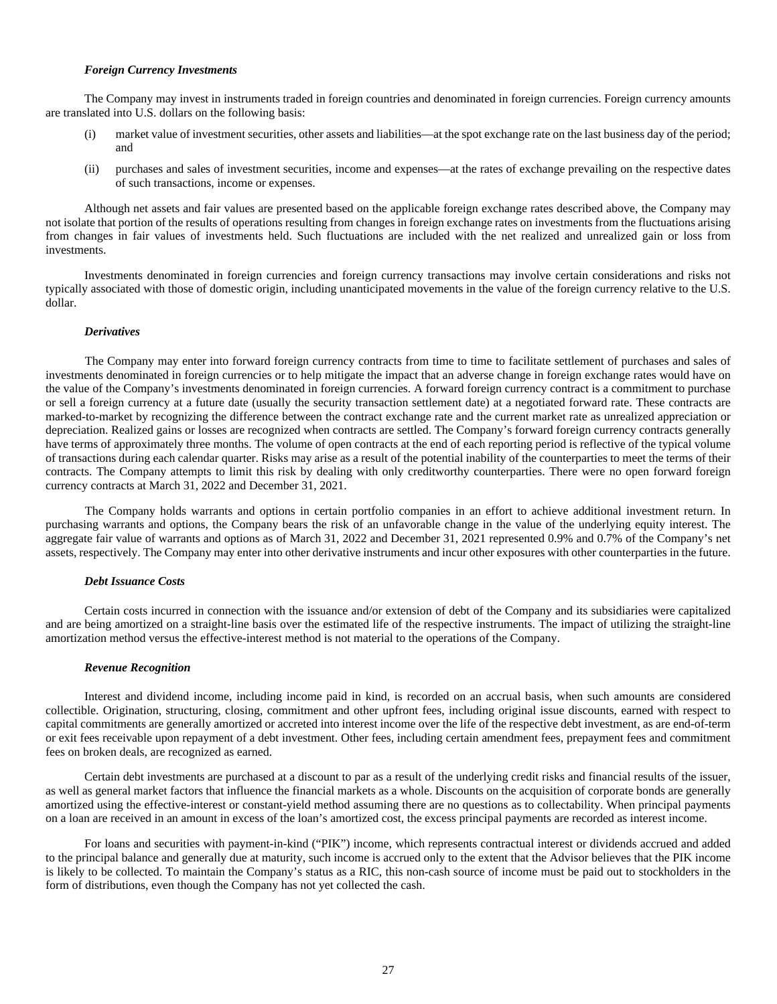#### *Foreign Currency Investments*

The Company may invest in instruments traded in foreign countries and denominated in foreign currencies. Foreign currency amounts are translated into U.S. dollars on the following basis:

- (i) market value of investment securities, other assets and liabilities—at the spot exchange rate on the last business day of the period; and
- (ii) purchases and sales of investment securities, income and expenses—at the rates of exchange prevailing on the respective dates of such transactions, income or expenses.

Although net assets and fair values are presented based on the applicable foreign exchange rates described above, the Company may not isolate that portion of the results of operations resulting from changes in foreign exchange rates on investments from the fluctuations arising from changes in fair values of investments held. Such fluctuations are included with the net realized and unrealized gain or loss from investments.

Investments denominated in foreign currencies and foreign currency transactions may involve certain considerations and risks not typically associated with those of domestic origin, including unanticipated movements in the value of the foreign currency relative to the U.S. dollar.

#### *Derivatives*

The Company may enter into forward foreign currency contracts from time to time to facilitate settlement of purchases and sales of investments denominated in foreign currencies or to help mitigate the impact that an adverse change in foreign exchange rates would have on the value of the Company's investments denominated in foreign currencies. A forward foreign currency contract is a commitment to purchase or sell a foreign currency at a future date (usually the security transaction settlement date) at a negotiated forward rate. These contracts are marked-to-market by recognizing the difference between the contract exchange rate and the current market rate as unrealized appreciation or depreciation. Realized gains or losses are recognized when contracts are settled. The Company's forward foreign currency contracts generally have terms of approximately three months. The volume of open contracts at the end of each reporting period is reflective of the typical volume of transactions during each calendar quarter. Risks may arise as a result of the potential inability of the counterparties to meet the terms of their contracts. The Company attempts to limit this risk by dealing with only creditworthy counterparties. There were no open forward foreign currency contracts at March 31, 2022 and December 31, 2021.

The Company holds warrants and options in certain portfolio companies in an effort to achieve additional investment return. In purchasing warrants and options, the Company bears the risk of an unfavorable change in the value of the underlying equity interest. The aggregate fair value of warrants and options as of March 31, 2022 and December 31, 2021 represented 0.9% and 0.7% of the Company's net assets, respectively. The Company may enter into other derivative instruments and incur other exposures with other counterparties in the future.

#### *Debt Issuance Costs*

Certain costs incurred in connection with the issuance and/or extension of debt of the Company and its subsidiaries were capitalized and are being amortized on a straight-line basis over the estimated life of the respective instruments. The impact of utilizing the straight-line amortization method versus the effective-interest method is not material to the operations of the Company.

#### *Revenue Recognition*

Interest and dividend income, including income paid in kind, is recorded on an accrual basis, when such amounts are considered collectible. Origination, structuring, closing, commitment and other upfront fees, including original issue discounts, earned with respect to capital commitments are generally amortized or accreted into interest income over the life of the respective debt investment, as are end-of-term or exit fees receivable upon repayment of a debt investment. Other fees, including certain amendment fees, prepayment fees and commitment fees on broken deals, are recognized as earned.

Certain debt investments are purchased at a discount to par as a result of the underlying credit risks and financial results of the issuer, as well as general market factors that influence the financial markets as a whole. Discounts on the acquisition of corporate bonds are generally amortized using the effective-interest or constant-yield method assuming there are no questions as to collectability. When principal payments on a loan are received in an amount in excess of the loan's amortized cost, the excess principal payments are recorded as interest income.

For loans and securities with payment-in-kind ("PIK") income, which represents contractual interest or dividends accrued and added to the principal balance and generally due at maturity, such income is accrued only to the extent that the Advisor believes that the PIK income is likely to be collected. To maintain the Company's status as a RIC, this non-cash source of income must be paid out to stockholders in the form of distributions, even though the Company has not yet collected the cash.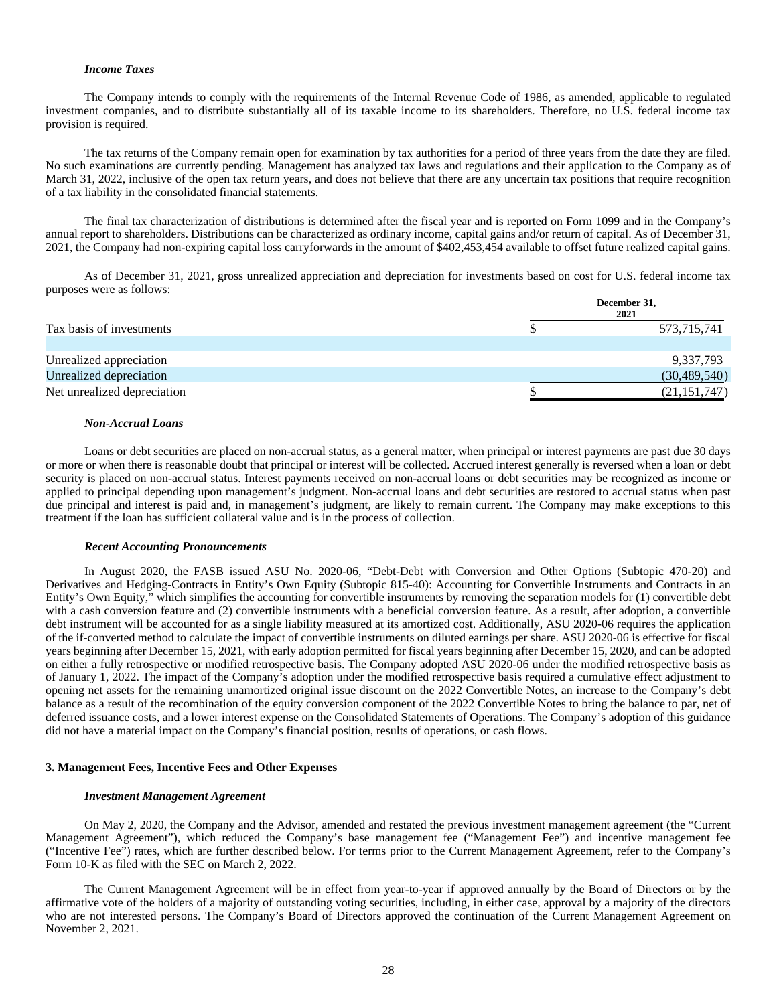#### *Income Taxes*

The Company intends to comply with the requirements of the Internal Revenue Code of 1986, as amended, applicable to regulated investment companies, and to distribute substantially all of its taxable income to its shareholders. Therefore, no U.S. federal income tax provision is required.

The tax returns of the Company remain open for examination by tax authorities for a period of three years from the date they are filed. No such examinations are currently pending. Management has analyzed tax laws and regulations and their application to the Company as of March 31, 2022, inclusive of the open tax return years, and does not believe that there are any uncertain tax positions that require recognition of a tax liability in the consolidated financial statements.

The final tax characterization of distributions is determined after the fiscal year and is reported on Form 1099 and in the Company's annual report to shareholders. Distributions can be characterized as ordinary income, capital gains and/or return of capital. As of December 31, 2021, the Company had non-expiring capital loss carryforwards in the amount of \$402,453,454 available to offset future realized capital gains.

As of December 31, 2021, gross unrealized appreciation and depreciation for investments based on cost for U.S. federal income tax purposes were as follows:

|                             | December 31,<br>2021 |
|-----------------------------|----------------------|
| Tax basis of investments    | 573,715,741          |
|                             |                      |
| Unrealized appreciation     | 9,337,793            |
| Unrealized depreciation     | (30, 489, 540)       |
| Net unrealized depreciation | (21, 151, 747)       |

#### *Non-Accrual Loans*

Loans or debt securities are placed on non-accrual status, as a general matter, when principal or interest payments are past due 30 days or more or when there is reasonable doubt that principal or interest will be collected. Accrued interest generally is reversed when a loan or debt security is placed on non-accrual status. Interest payments received on non-accrual loans or debt securities may be recognized as income or applied to principal depending upon management's judgment. Non-accrual loans and debt securities are restored to accrual status when past due principal and interest is paid and, in management's judgment, are likely to remain current. The Company may make exceptions to this treatment if the loan has sufficient collateral value and is in the process of collection.

#### *Recent Accounting Pronouncements*

In August 2020, the FASB issued ASU No. 2020-06, "Debt-Debt with Conversion and Other Options (Subtopic 470-20) and Derivatives and Hedging-Contracts in Entity's Own Equity (Subtopic 815-40): Accounting for Convertible Instruments and Contracts in an Entity's Own Equity," which simplifies the accounting for convertible instruments by removing the separation models for (1) convertible debt with a cash conversion feature and (2) convertible instruments with a beneficial conversion feature. As a result, after adoption, a convertible debt instrument will be accounted for as a single liability measured at its amortized cost. Additionally, ASU 2020-06 requires the application of the if-converted method to calculate the impact of convertible instruments on diluted earnings per share. ASU 2020-06 is effective for fiscal years beginning after December 15, 2021, with early adoption permitted for fiscal years beginning after December 15, 2020, and can be adopted on either a fully retrospective or modified retrospective basis. The Company adopted ASU 2020-06 under the modified retrospective basis as of January 1, 2022. The impact of the Company's adoption under the modified retrospective basis required a cumulative effect adjustment to opening net assets for the remaining unamortized original issue discount on the 2022 Convertible Notes, an increase to the Company's debt balance as a result of the recombination of the equity conversion component of the 2022 Convertible Notes to bring the balance to par, net of deferred issuance costs, and a lower interest expense on the Consolidated Statements of Operations. The Company's adoption of this guidance did not have a material impact on the Company's financial position, results of operations, or cash flows.

#### **3. Management Fees, Incentive Fees and Other Expenses**

#### *Investment Management Agreement*

On May 2, 2020, the Company and the Advisor, amended and restated the previous investment management agreement (the "Current Management Agreement"), which reduced the Company's base management fee ("Management Fee") and incentive management fee ("Incentive Fee") rates, which are further described below. For terms prior to the Current Management Agreement, refer to the Company's Form 10-K as filed with the SEC on March 2, 2022.

The Current Management Agreement will be in effect from year-to-year if approved annually by the Board of Directors or by the affirmative vote of the holders of a majority of outstanding voting securities, including, in either case, approval by a majority of the directors who are not interested persons. The Company's Board of Directors approved the continuation of the Current Management Agreement on November 2, 2021.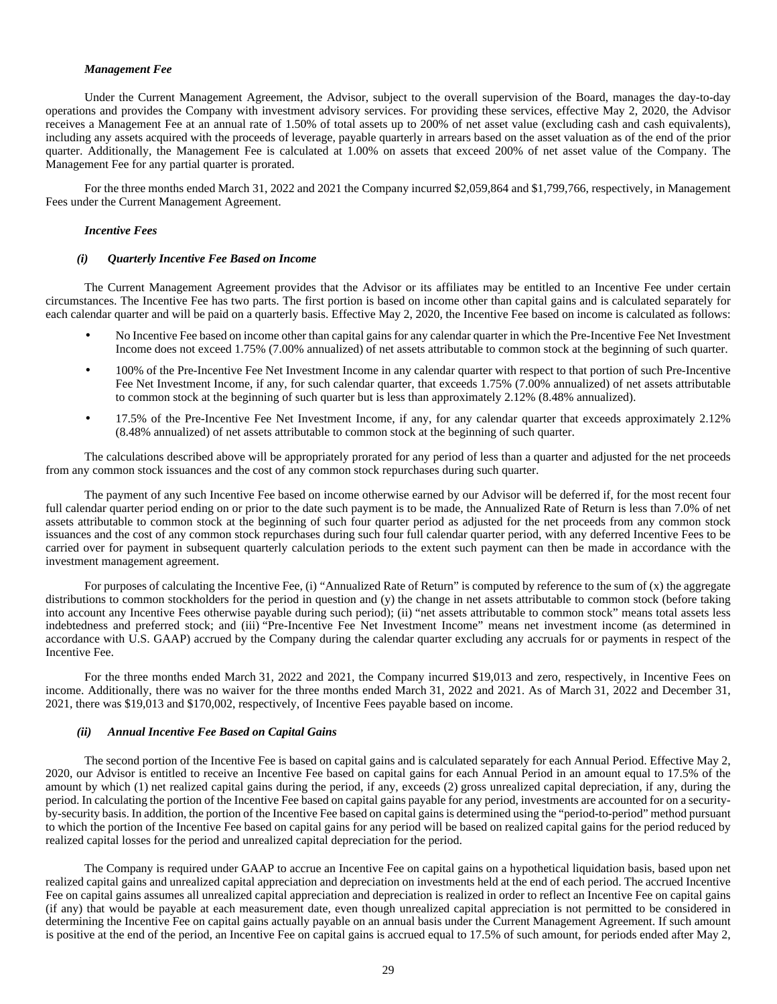#### *Management Fee*

Under the Current Management Agreement, the Advisor, subject to the overall supervision of the Board, manages the day-to-day operations and provides the Company with investment advisory services. For providing these services, effective May 2, 2020, the Advisor receives a Management Fee at an annual rate of 1.50% of total assets up to 200% of net asset value (excluding cash and cash equivalents), including any assets acquired with the proceeds of leverage, payable quarterly in arrears based on the asset valuation as of the end of the prior quarter. Additionally, the Management Fee is calculated at 1.00% on assets that exceed 200% of net asset value of the Company. The Management Fee for any partial quarter is prorated.

For the three months ended March 31, 2022 and 2021 the Company incurred \$2,059,864 and \$1,799,766, respectively, in Management Fees under the Current Management Agreement.

#### *Incentive Fees*

#### *(i) Quarterly Incentive Fee Based on Income*

The Current Management Agreement provides that the Advisor or its affiliates may be entitled to an Incentive Fee under certain circumstances. The Incentive Fee has two parts. The first portion is based on income other than capital gains and is calculated separately for each calendar quarter and will be paid on a quarterly basis. Effective May 2, 2020, the Incentive Fee based on income is calculated as follows:

- No Incentive Fee based on income other than capital gains for any calendar quarter in which the Pre-Incentive Fee Net Investment Income does not exceed 1.75% (7.00% annualized) of net assets attributable to common stock at the beginning of such quarter.
- 100% of the Pre-Incentive Fee Net Investment Income in any calendar quarter with respect to that portion of such Pre-Incentive Fee Net Investment Income, if any, for such calendar quarter, that exceeds 1.75% (7.00% annualized) of net assets attributable to common stock at the beginning of such quarter but is less than approximately 2.12% (8.48% annualized).
- 17.5% of the Pre-Incentive Fee Net Investment Income, if any, for any calendar quarter that exceeds approximately 2.12% (8.48% annualized) of net assets attributable to common stock at the beginning of such quarter.

The calculations described above will be appropriately prorated for any period of less than a quarter and adjusted for the net proceeds from any common stock issuances and the cost of any common stock repurchases during such quarter.

The payment of any such Incentive Fee based on income otherwise earned by our Advisor will be deferred if, for the most recent four full calendar quarter period ending on or prior to the date such payment is to be made, the Annualized Rate of Return is less than 7.0% of net assets attributable to common stock at the beginning of such four quarter period as adjusted for the net proceeds from any common stock issuances and the cost of any common stock repurchases during such four full calendar quarter period, with any deferred Incentive Fees to be carried over for payment in subsequent quarterly calculation periods to the extent such payment can then be made in accordance with the investment management agreement.

For purposes of calculating the Incentive Fee, (i) "Annualized Rate of Return" is computed by reference to the sum of (x) the aggregate distributions to common stockholders for the period in question and (y) the change in net assets attributable to common stock (before taking into account any Incentive Fees otherwise payable during such period); (ii) "net assets attributable to common stock" means total assets less indebtedness and preferred stock; and (iii) "Pre-Incentive Fee Net Investment Income" means net investment income (as determined in accordance with U.S. GAAP) accrued by the Company during the calendar quarter excluding any accruals for or payments in respect of the Incentive Fee.

For the three months ended March 31, 2022 and 2021, the Company incurred \$19,013 and zero, respectively, in Incentive Fees on income. Additionally, there was no waiver for the three months ended March 31, 2022 and 2021. As of March 31, 2022 and December 31, 2021, there was \$19,013 and \$170,002, respectively, of Incentive Fees payable based on income.

#### *(ii) Annual Incentive Fee Based on Capital Gains*

The second portion of the Incentive Fee is based on capital gains and is calculated separately for each Annual Period. Effective May 2, 2020, our Advisor is entitled to receive an Incentive Fee based on capital gains for each Annual Period in an amount equal to 17.5% of the amount by which (1) net realized capital gains during the period, if any, exceeds (2) gross unrealized capital depreciation, if any, during the period. In calculating the portion of the Incentive Fee based on capital gains payable for any period, investments are accounted for on a securityby-security basis. In addition, the portion of the Incentive Fee based on capital gains is determined using the "period-to-period" method pursuant to which the portion of the Incentive Fee based on capital gains for any period will be based on realized capital gains for the period reduced by realized capital losses for the period and unrealized capital depreciation for the period.

The Company is required under GAAP to accrue an Incentive Fee on capital gains on a hypothetical liquidation basis, based upon net realized capital gains and unrealized capital appreciation and depreciation on investments held at the end of each period. The accrued Incentive Fee on capital gains assumes all unrealized capital appreciation and depreciation is realized in order to reflect an Incentive Fee on capital gains (if any) that would be payable at each measurement date, even though unrealized capital appreciation is not permitted to be considered in determining the Incentive Fee on capital gains actually payable on an annual basis under the Current Management Agreement. If such amount is positive at the end of the period, an Incentive Fee on capital gains is accrued equal to 17.5% of such amount, for periods ended after May 2,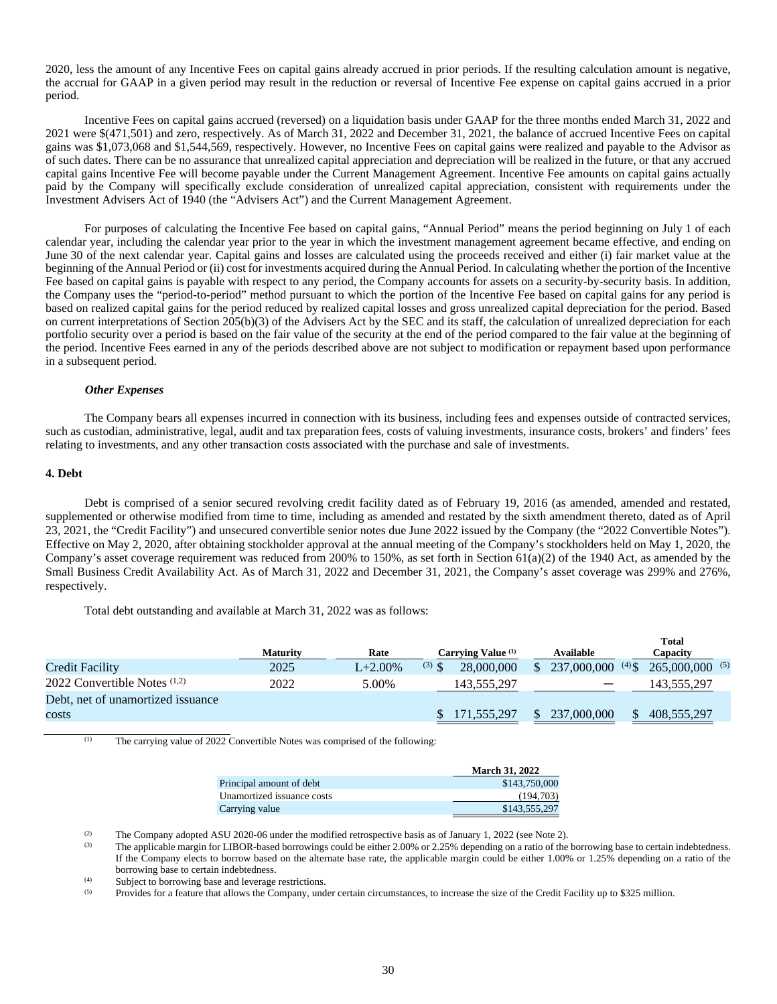2020, less the amount of any Incentive Fees on capital gains already accrued in prior periods. If the resulting calculation amount is negative, the accrual for GAAP in a given period may result in the reduction or reversal of Incentive Fee expense on capital gains accrued in a prior period.

Incentive Fees on capital gains accrued (reversed) on a liquidation basis under GAAP for the three months ended March 31, 2022 and 2021 were \$(471,501) and zero, respectively. As of March 31, 2022 and December 31, 2021, the balance of accrued Incentive Fees on capital gains was \$1,073,068 and \$1,544,569, respectively. However, no Incentive Fees on capital gains were realized and payable to the Advisor as of such dates. There can be no assurance that unrealized capital appreciation and depreciation will be realized in the future, or that any accrued capital gains Incentive Fee will become payable under the Current Management Agreement. Incentive Fee amounts on capital gains actually paid by the Company will specifically exclude consideration of unrealized capital appreciation, consistent with requirements under the Investment Advisers Act of 1940 (the "Advisers Act") and the Current Management Agreement.

For purposes of calculating the Incentive Fee based on capital gains, "Annual Period" means the period beginning on July 1 of each calendar year, including the calendar year prior to the year in which the investment management agreement became effective, and ending on June 30 of the next calendar year. Capital gains and losses are calculated using the proceeds received and either (i) fair market value at the beginning of the Annual Period or (ii) cost for investments acquired during the Annual Period. In calculating whether the portion of the Incentive Fee based on capital gains is payable with respect to any period, the Company accounts for assets on a security-by-security basis. In addition, the Company uses the "period-to-period" method pursuant to which the portion of the Incentive Fee based on capital gains for any period is based on realized capital gains for the period reduced by realized capital losses and gross unrealized capital depreciation for the period. Based on current interpretations of Section 205(b)(3) of the Advisers Act by the SEC and its staff, the calculation of unrealized depreciation for each portfolio security over a period is based on the fair value of the security at the end of the period compared to the fair value at the beginning of the period. Incentive Fees earned in any of the periods described above are not subject to modification or repayment based upon performance in a subsequent period.

#### *Other Expenses*

The Company bears all expenses incurred in connection with its business, including fees and expenses outside of contracted services, such as custodian, administrative, legal, audit and tax preparation fees, costs of valuing investments, insurance costs, brokers' and finders' fees relating to investments, and any other transaction costs associated with the purchase and sale of investments.

#### **4. Debt**

Debt is comprised of a senior secured revolving credit facility dated as of February 19, 2016 (as amended, amended and restated, supplemented or otherwise modified from time to time, including as amended and restated by the sixth amendment thereto, dated as of April 23, 2021, the "Credit Facility") and unsecured convertible senior notes due June 2022 issued by the Company (the "2022 Convertible Notes"). Effective on May 2, 2020, after obtaining stockholder approval at the annual meeting of the Company's stockholders held on May 1, 2020, the Company's asset coverage requirement was reduced from 200% to 150%, as set forth in Section  $61(a)(2)$  of the 1940 Act, as amended by the Small Business Credit Availability Act. As of March 31, 2022 and December 31, 2021, the Company's asset coverage was 299% and 276%, respectively.

Total debt outstanding and available at March 31, 2022 was as follows:

|                                   | <b>Maturity</b> | Rate         | Carrying Value (1)     | Available   | <b>Total</b><br>Capacity      |
|-----------------------------------|-----------------|--------------|------------------------|-------------|-------------------------------|
| <b>Credit Facility</b>            | 2025            | $L + 2.00\%$ | $(3)$ \$<br>28,000,000 | 237,000,000 | $(4)$ \$<br>$265,000,000$ (5) |
| 2022 Convertible Notes $(1,2)$    | 2022            | 5.00%        | 143,555,297            |             | 143,555,297                   |
| Debt, net of unamortized issuance |                 |              |                        |             |                               |
| costs                             |                 |              | 171,555,297            | 237,000,000 | <sup>\$</sup><br>408,555,297  |

 $\overline{1}$  The carrying value of 2022 Convertible Notes was comprised of the following:

|                            | <b>March 31, 2022</b> |
|----------------------------|-----------------------|
| Principal amount of debt   | \$143,750,000         |
| Unamortized issuance costs | (194.703)             |
| Carrying value             | \$143,555,297         |

(2) The Company adopted ASU 2020-06 under the modified retrospective basis as of January 1, 2022 (see Note 2).<br>The applicable margin for LIBOR based because could be either 2,00% or 2,25% depending on a ratio of the

The applicable margin for LIBOR-based borrowings could be either 2.00% or 2.25% depending on a ratio of the borrowing base to certain indebtedness. If the Company elects to borrow based on the alternate base rate, the applicable margin could be either 1.00% or 1.25% depending on a ratio of the borrowing base to certain indebtedness.

(4) Subject to borrowing base and leverage restrictions.<br>  $\sum_{n=1}^{\infty}$  Provides for a feature that allows the Company under

Provides for a feature that allows the Company, under certain circumstances, to increase the size of the Credit Facility up to \$325 million.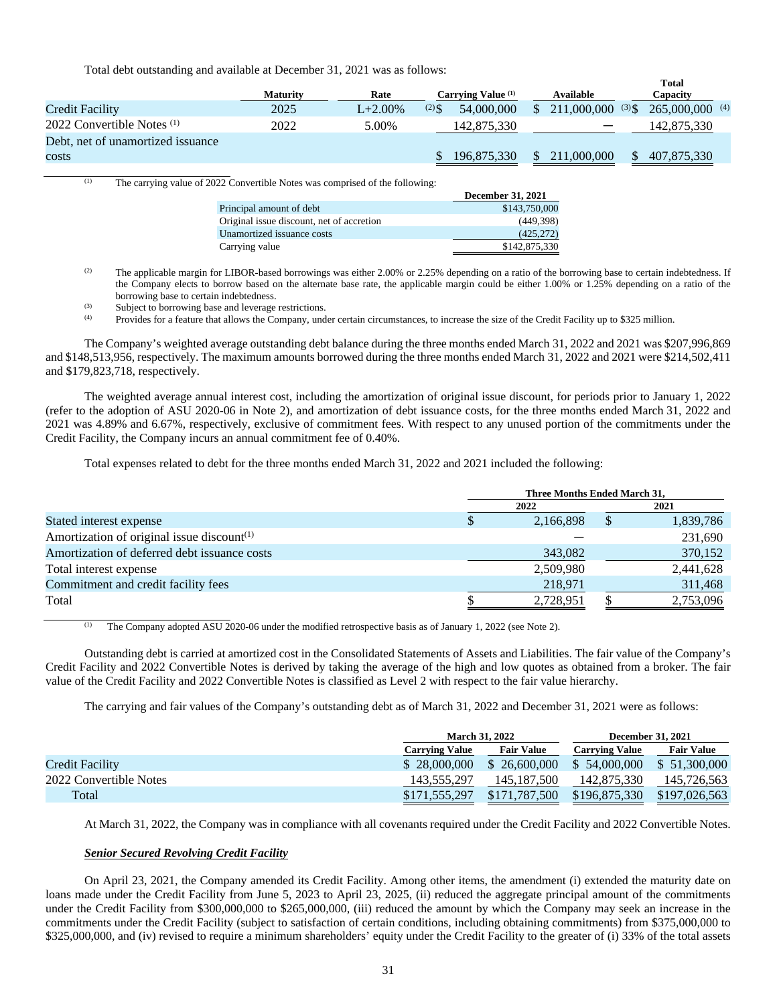Total debt outstanding and available at December 31, 2021 was as follows:

|                                   |                 |            |          |                    |             | <b>Total</b>                             |
|-----------------------------------|-----------------|------------|----------|--------------------|-------------|------------------------------------------|
|                                   | <b>Maturity</b> | Rate       |          | Carrying Value (1) | Available   | Capacity                                 |
| <b>Credit Facility</b>            | 2025            | $L+2.00\%$ | $(2)$ \$ | 54,000,000         | 211,000,000 | $(3)$ \$<br>$265,000,000$ <sup>(4)</sup> |
| 2022 Convertible Notes (1)        | 2022            | 5.00%      |          | 142,875,330        |             | 142.875.330                              |
| Debt, net of unamortized issuance |                 |            |          |                    |             |                                          |
| costs                             |                 |            |          | 196,875,330        | 211,000,000 | 407.875.330                              |

 $(1)$  The carrying value of 2022 Convertible Notes was comprised of the following:

|                                           | <b>December 31, 2021</b> |
|-------------------------------------------|--------------------------|
| Principal amount of debt                  | \$143,750,000            |
| Original issue discount, net of accretion | (449.398)                |
| Unamortized issuance costs                | (425, 272)               |
| Carrying value                            | \$142,875,330            |

(2) The applicable margin for LIBOR-based borrowings was either 2.00% or 2.25% depending on a ratio of the borrowing base to certain indebtedness. If the Company elects to borrow based on the alternate base rate, the applicable margin could be either 1.00% or 1.25% depending on a ratio of the borrowing base to certain indebtedness.

(3) Subject to borrowing base and leverage restrictions.<br>(4) Provides for a feature that allows the Company under

Provides for a feature that allows the Company, under certain circumstances, to increase the size of the Credit Facility up to \$325 million.

The Company's weighted average outstanding debt balance during the three months ended March 31, 2022 and 2021 was \$207,996,869 and \$148,513,956, respectively. The maximum amounts borrowed during the three months ended March 31, 2022 and 2021 were \$214,502,411 and \$179,823,718, respectively.

The weighted average annual interest cost, including the amortization of original issue discount, for periods prior to January 1, 2022 (refer to the adoption of ASU 2020-06 in Note 2), and amortization of debt issuance costs, for the three months ended March 31, 2022 and 2021 was 4.89% and 6.67%, respectively, exclusive of commitment fees. With respect to any unused portion of the commitments under the Credit Facility, the Company incurs an annual commitment fee of 0.40%.

Total expenses related to debt for the three months ended March 31, 2022 and 2021 included the following:

|                                               | Three Months Ended March 31, |           |  |           |  |  |
|-----------------------------------------------|------------------------------|-----------|--|-----------|--|--|
|                                               | 2022                         |           |  | 2021      |  |  |
| Stated interest expense                       | S                            | 2,166,898 |  | 1,839,786 |  |  |
| Amortization of original issue discount $(1)$ |                              |           |  | 231,690   |  |  |
| Amortization of deferred debt issuance costs  |                              | 343,082   |  | 370,152   |  |  |
| Total interest expense                        |                              | 2,509,980 |  | 2,441,628 |  |  |
| Commitment and credit facility fees           |                              | 218,971   |  | 311,468   |  |  |
| Total                                         |                              | 2,728,951 |  | 2,753,096 |  |  |

The Company adopted ASU 2020-06 under the modified retrospective basis as of January 1, 2022 (see Note 2).

Outstanding debt is carried at amortized cost in the Consolidated Statements of Assets and Liabilities. The fair value of the Company's Credit Facility and 2022 Convertible Notes is derived by taking the average of the high and low quotes as obtained from a broker. The fair value of the Credit Facility and 2022 Convertible Notes is classified as Level 2 with respect to the fair value hierarchy.

The carrying and fair values of the Company's outstanding debt as of March 31, 2022 and December 31, 2021 were as follows:

|                        |                       | <b>March 31, 2022</b> | <b>December 31, 2021</b> |                   |  |  |
|------------------------|-----------------------|-----------------------|--------------------------|-------------------|--|--|
|                        | <b>Carrying Value</b> | <b>Fair Value</b>     | <b>Carrying Value</b>    | <b>Fair Value</b> |  |  |
| Credit Facility        | \$ 28,000,000         | \$ 26,600,000         | \$ 54,000,000            | \$ 51,300,000     |  |  |
| 2022 Convertible Notes | 143.555.297           | 145,187,500           | 142,875,330              | 145,726,563       |  |  |
| Total                  | \$171,555,297         | \$171,787,500         | \$196,875,330            | \$197,026,563     |  |  |

At March 31, 2022, the Company was in compliance with all covenants required under the Credit Facility and 2022 Convertible Notes.

#### *Senior Secured Revolving Credit Facility*

On April 23, 2021, the Company amended its Credit Facility. Among other items, the amendment (i) extended the maturity date on loans made under the Credit Facility from June 5, 2023 to April 23, 2025, (ii) reduced the aggregate principal amount of the commitments under the Credit Facility from \$300,000,000 to \$265,000,000, (iii) reduced the amount by which the Company may seek an increase in the commitments under the Credit Facility (subject to satisfaction of certain conditions, including obtaining commitments) from \$375,000,000 to \$325,000,000, and (iv) revised to require a minimum shareholders' equity under the Credit Facility to the greater of (i) 33% of the total assets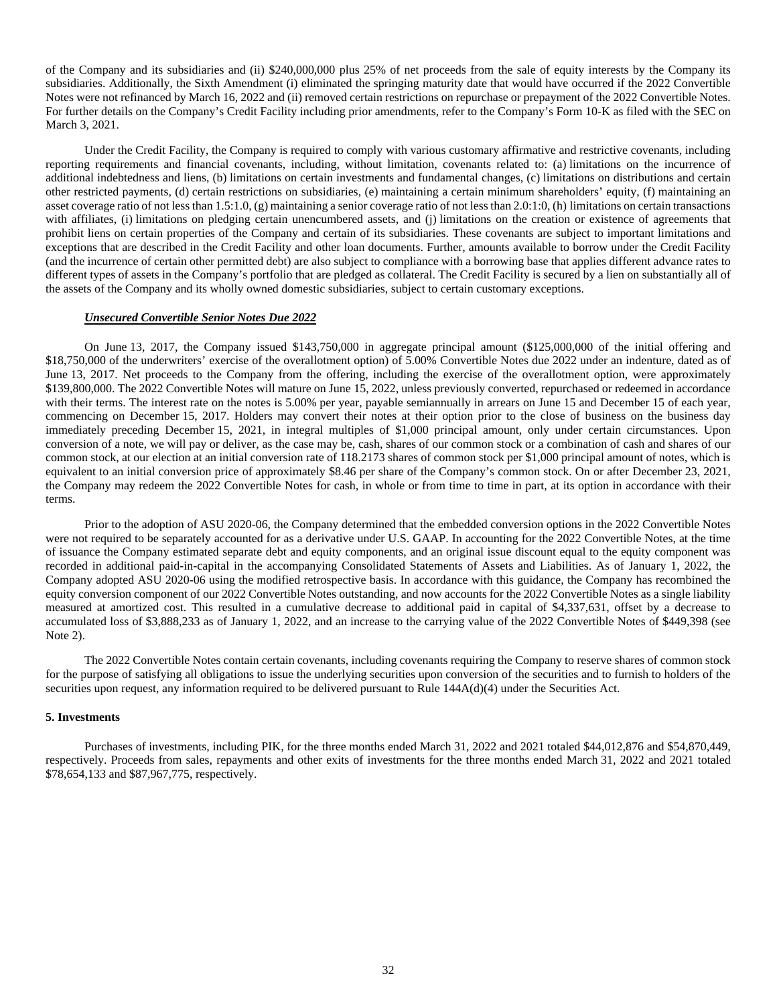of the Company and its subsidiaries and (ii) \$240,000,000 plus 25% of net proceeds from the sale of equity interests by the Company its subsidiaries. Additionally, the Sixth Amendment (i) eliminated the springing maturity date that would have occurred if the 2022 Convertible Notes were not refinanced by March 16, 2022 and (ii) removed certain restrictions on repurchase or prepayment of the 2022 Convertible Notes. For further details on the Company's Credit Facility including prior amendments, refer to the Company's Form 10-K as filed with the SEC on March 3, 2021.

Under the Credit Facility, the Company is required to comply with various customary affirmative and restrictive covenants, including reporting requirements and financial covenants, including, without limitation, covenants related to: (a) limitations on the incurrence of additional indebtedness and liens, (b) limitations on certain investments and fundamental changes, (c) limitations on distributions and certain other restricted payments, (d) certain restrictions on subsidiaries, (e) maintaining a certain minimum shareholders' equity, (f) maintaining an asset coverage ratio of not less than 1.5:1.0, (g) maintaining a senior coverage ratio of not less than 2.0:1:0, (h) limitations on certain transactions with affiliates, (i) limitations on pledging certain unencumbered assets, and (j) limitations on the creation or existence of agreements that prohibit liens on certain properties of the Company and certain of its subsidiaries. These covenants are subject to important limitations and exceptions that are described in the Credit Facility and other loan documents. Further, amounts available to borrow under the Credit Facility (and the incurrence of certain other permitted debt) are also subject to compliance with a borrowing base that applies different advance rates to different types of assets in the Company's portfolio that are pledged as collateral. The Credit Facility is secured by a lien on substantially all of the assets of the Company and its wholly owned domestic subsidiaries, subject to certain customary exceptions.

#### *Unsecured Convertible Senior Notes Due 2022*

On June 13, 2017, the Company issued \$143,750,000 in aggregate principal amount (\$125,000,000 of the initial offering and \$18,750,000 of the underwriters' exercise of the overallotment option) of 5.00% Convertible Notes due 2022 under an indenture, dated as of June 13, 2017. Net proceeds to the Company from the offering, including the exercise of the overallotment option, were approximately \$139,800,000. The 2022 Convertible Notes will mature on June 15, 2022, unless previously converted, repurchased or redeemed in accordance with their terms. The interest rate on the notes is 5.00% per year, payable semiannually in arrears on June 15 and December 15 of each year, commencing on December 15, 2017. Holders may convert their notes at their option prior to the close of business on the business day immediately preceding December 15, 2021, in integral multiples of \$1,000 principal amount, only under certain circumstances. Upon conversion of a note, we will pay or deliver, as the case may be, cash, shares of our common stock or a combination of cash and shares of our common stock, at our election at an initial conversion rate of 118.2173 shares of common stock per \$1,000 principal amount of notes, which is equivalent to an initial conversion price of approximately \$8.46 per share of the Company's common stock. On or after December 23, 2021, the Company may redeem the 2022 Convertible Notes for cash, in whole or from time to time in part, at its option in accordance with their terms.

Prior to the adoption of ASU 2020-06, the Company determined that the embedded conversion options in the 2022 Convertible Notes were not required to be separately accounted for as a derivative under U.S. GAAP. In accounting for the 2022 Convertible Notes, at the time of issuance the Company estimated separate debt and equity components, and an original issue discount equal to the equity component was recorded in additional paid-in-capital in the accompanying Consolidated Statements of Assets and Liabilities. As of January 1, 2022, the Company adopted ASU 2020-06 using the modified retrospective basis. In accordance with this guidance, the Company has recombined the equity conversion component of our 2022 Convertible Notes outstanding, and now accounts for the 2022 Convertible Notes as a single liability measured at amortized cost. This resulted in a cumulative decrease to additional paid in capital of \$4,337,631, offset by a decrease to accumulated loss of \$3,888,233 as of January 1, 2022, and an increase to the carrying value of the 2022 Convertible Notes of \$449,398 (see Note 2).

The 2022 Convertible Notes contain certain covenants, including covenants requiring the Company to reserve shares of common stock for the purpose of satisfying all obligations to issue the underlying securities upon conversion of the securities and to furnish to holders of the securities upon request, any information required to be delivered pursuant to Rule 144A(d)(4) under the Securities Act.

#### **5. Investments**

Purchases of investments, including PIK, for the three months ended March 31, 2022 and 2021 totaled \$44,012,876 and \$54,870,449, respectively. Proceeds from sales, repayments and other exits of investments for the three months ended March 31, 2022 and 2021 totaled \$78,654,133 and \$87,967,775, respectively.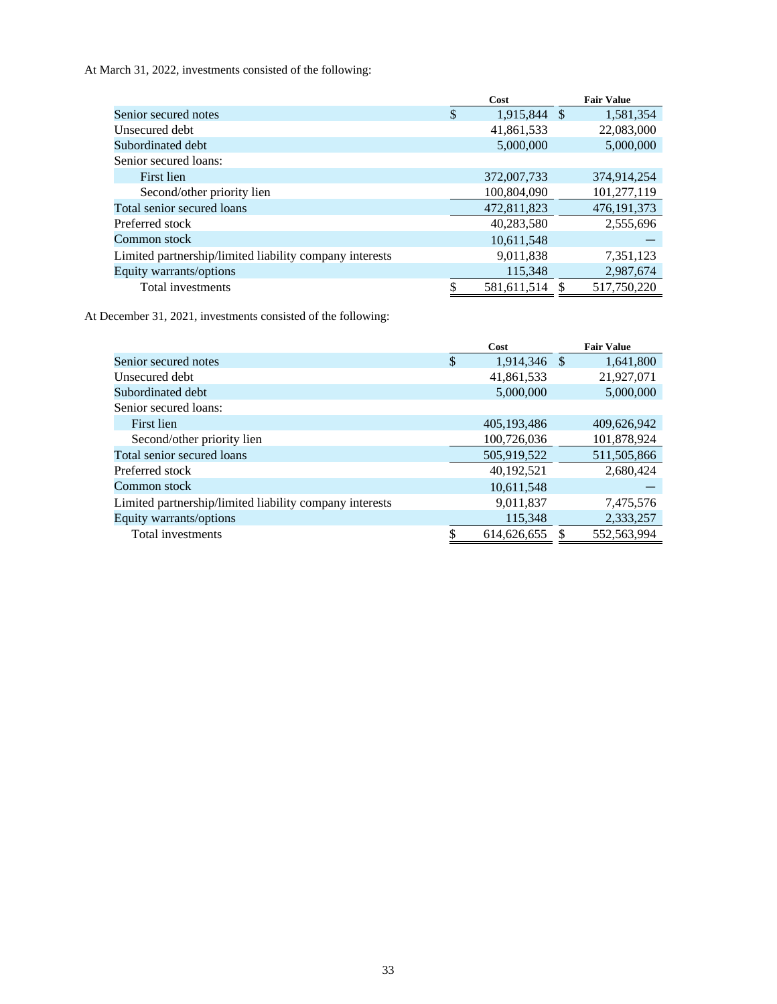At March 31, 2022, investments consisted of the following:

|                                                         |    | Cost         | <b>Fair Value</b> |
|---------------------------------------------------------|----|--------------|-------------------|
| Senior secured notes                                    | \$ | 1,915,844 \$ | 1,581,354         |
| Unsecured debt                                          |    | 41,861,533   | 22,083,000        |
| Subordinated debt                                       |    | 5,000,000    | 5,000,000         |
| Senior secured loans:                                   |    |              |                   |
| First lien                                              |    | 372,007,733  | 374,914,254       |
| Second/other priority lien                              |    | 100,804,090  | 101,277,119       |
| Total senior secured loans                              |    | 472,811,823  | 476, 191, 373     |
| Preferred stock                                         |    | 40,283,580   | 2,555,696         |
| Common stock                                            |    | 10,611,548   |                   |
| Limited partnership/limited liability company interests |    | 9,011,838    | 7,351,123         |
| Equity warrants/options                                 |    | 115,348      | 2,987,674         |
| Total investments                                       | S  | 581,611,514  | 517,750,220       |

At December 31, 2021, investments consisted of the following:

|                                                         | Cost                | <b>Fair Value</b> |
|---------------------------------------------------------|---------------------|-------------------|
| Senior secured notes                                    | \$<br>1,914,346 \$  | 1,641,800         |
| Unsecured debt                                          | 41,861,533          | 21,927,071        |
| Subordinated debt                                       | 5,000,000           | 5,000,000         |
| Senior secured loans:                                   |                     |                   |
| First lien                                              | 405,193,486         | 409.626.942       |
| Second/other priority lien                              | 100,726,036         | 101,878,924       |
| Total senior secured loans                              | 505,919,522         | 511,505,866       |
| Preferred stock                                         | 40,192,521          | 2,680,424         |
| Common stock                                            | 10,611,548          |                   |
| Limited partnership/limited liability company interests | 9,011,837           | 7,475,576         |
| Equity warrants/options                                 | 115,348             | 2,333,257         |
| Total investments                                       | \$<br>614, 626, 655 | 552,563,994       |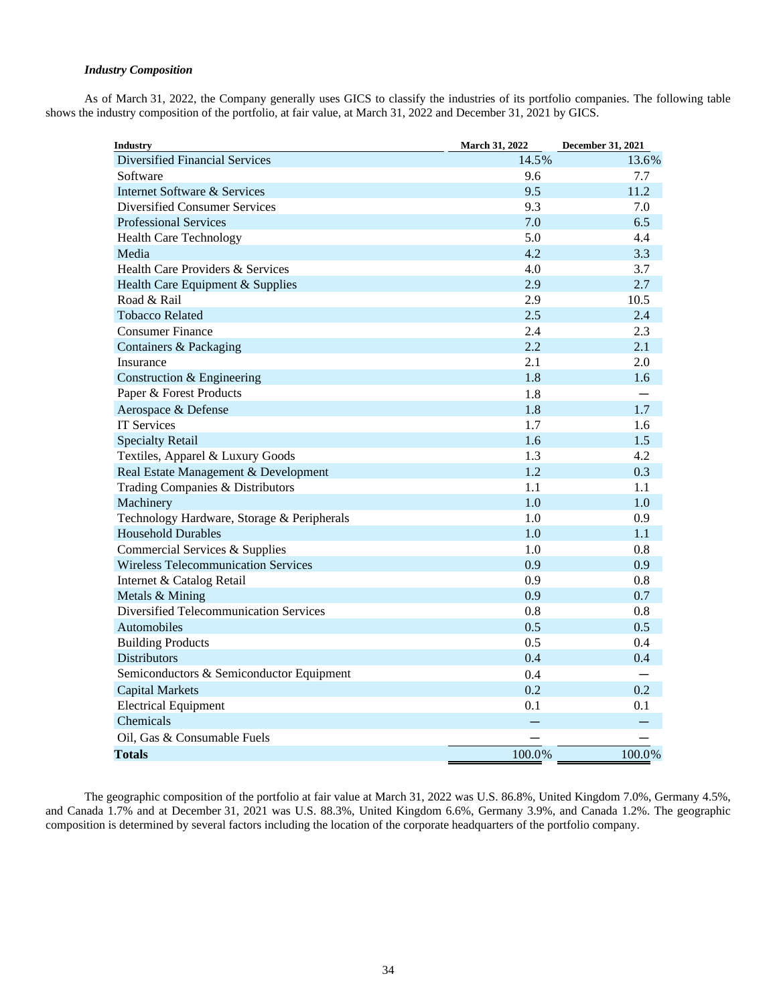## *Industry Composition*

As of March 31, 2022, the Company generally uses GICS to classify the industries of its portfolio companies. The following table shows the industry composition of the portfolio, at fair value, at March 31, 2022 and December 31, 2021 by GICS.

| <b>Industry</b>                            | March 31, 2022 | December 31, 2021 |
|--------------------------------------------|----------------|-------------------|
| <b>Diversified Financial Services</b>      | 14.5%          | 13.6%             |
| Software                                   | 9.6            | 7.7               |
| Internet Software & Services               | 9.5            | 11.2              |
| Diversified Consumer Services              | 9.3            | 7.0               |
| <b>Professional Services</b>               | 7.0            | 6.5               |
| <b>Health Care Technology</b>              | 5.0            | 4.4               |
| Media                                      | 4.2            | 3.3               |
| Health Care Providers & Services           | 4.0            | 3.7               |
| Health Care Equipment & Supplies           | 2.9            | 2.7               |
| Road & Rail                                | 2.9            | 10.5              |
| <b>Tobacco Related</b>                     | 2.5            | 2.4               |
| <b>Consumer Finance</b>                    | 2.4            | 2.3               |
| Containers & Packaging                     | 2.2            | 2.1               |
| Insurance                                  | 2.1            | 2.0               |
| Construction & Engineering                 | 1.8            | 1.6               |
| Paper & Forest Products                    | 1.8            |                   |
| Aerospace & Defense                        | 1.8            | 1.7               |
| <b>IT Services</b>                         | 1.7            | 1.6               |
| <b>Specialty Retail</b>                    | 1.6            | 1.5               |
| Textiles, Apparel & Luxury Goods           | 1.3            | 4.2               |
| Real Estate Management & Development       | 1.2            | 0.3               |
| Trading Companies & Distributors           | 1.1            | 1.1               |
| Machinery                                  | 1.0            | 1.0               |
| Technology Hardware, Storage & Peripherals | 1.0            | 0.9               |
| <b>Household Durables</b>                  | 1.0            | 1.1               |
| Commercial Services & Supplies             | 1.0            | 0.8               |
| <b>Wireless Telecommunication Services</b> | 0.9            | 0.9               |
| Internet & Catalog Retail                  | 0.9            | 0.8               |
| Metals & Mining                            | 0.9            | 0.7               |
| Diversified Telecommunication Services     | 0.8            | 0.8               |
| Automobiles                                | 0.5            | 0.5               |
| <b>Building Products</b>                   | 0.5            | 0.4               |
| <b>Distributors</b>                        | 0.4            | 0.4               |
| Semiconductors & Semiconductor Equipment   | 0.4            |                   |
| <b>Capital Markets</b>                     | 0.2            | 0.2               |
| <b>Electrical Equipment</b>                | 0.1            | 0.1               |
| Chemicals                                  |                |                   |
| Oil, Gas & Consumable Fuels                |                |                   |
| <b>Totals</b>                              | 100.0%         | 100.0%            |

The geographic composition of the portfolio at fair value at March 31, 2022 was U.S. 86.8%, United Kingdom 7.0%, Germany 4.5%, and Canada 1.7% and at December 31, 2021 was U.S. 88.3%, United Kingdom 6.6%, Germany 3.9%, and Canada 1.2%. The geographic composition is determined by several factors including the location of the corporate headquarters of the portfolio company.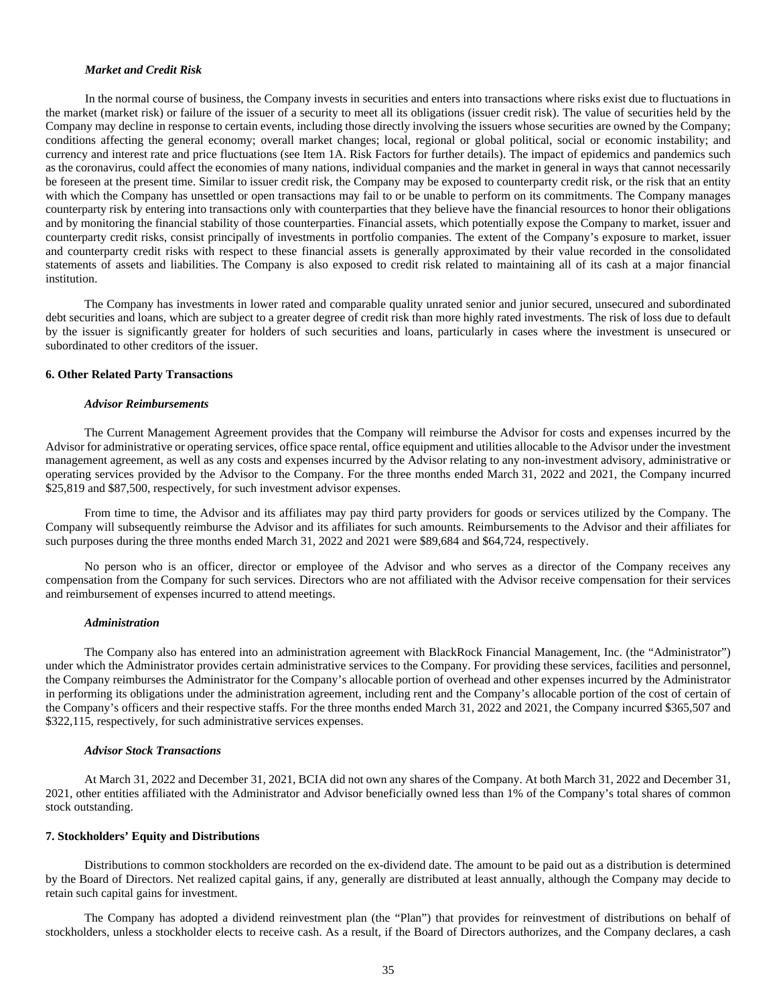## *Market and Credit Risk*

In the normal course of business, the Company invests in securities and enters into transactions where risks exist due to fluctuations in the market (market risk) or failure of the issuer of a security to meet all its obligations (issuer credit risk). The value of securities held by the Company may decline in response to certain events, including those directly involving the issuers whose securities are owned by the Company; conditions affecting the general economy; overall market changes; local, regional or global political, social or economic instability; and currency and interest rate and price fluctuations (see Item 1A. Risk Factors for further details). The impact of epidemics and pandemics such as the coronavirus, could affect the economies of many nations, individual companies and the market in general in ways that cannot necessarily be foreseen at the present time. Similar to issuer credit risk, the Company may be exposed to counterparty credit risk, or the risk that an entity with which the Company has unsettled or open transactions may fail to or be unable to perform on its commitments. The Company manages counterparty risk by entering into transactions only with counterparties that they believe have the financial resources to honor their obligations and by monitoring the financial stability of those counterparties. Financial assets, which potentially expose the Company to market, issuer and counterparty credit risks, consist principally of investments in portfolio companies. The extent of the Company's exposure to market, issuer and counterparty credit risks with respect to these financial assets is generally approximated by their value recorded in the consolidated statements of assets and liabilities. The Company is also exposed to credit risk related to maintaining all of its cash at a major financial institution.

The Company has investments in lower rated and comparable quality unrated senior and junior secured, unsecured and subordinated debt securities and loans, which are subject to a greater degree of credit risk than more highly rated investments. The risk of loss due to default by the issuer is significantly greater for holders of such securities and loans, particularly in cases where the investment is unsecured or subordinated to other creditors of the issuer.

#### **6. Other Related Party Transactions**

#### *Advisor Reimbursements*

The Current Management Agreement provides that the Company will reimburse the Advisor for costs and expenses incurred by the Advisor for administrative or operating services, office space rental, office equipment and utilities allocable to the Advisor under the investment management agreement, as well as any costs and expenses incurred by the Advisor relating to any non-investment advisory, administrative or operating services provided by the Advisor to the Company. For the three months ended March 31, 2022 and 2021, the Company incurred \$25,819 and \$87,500, respectively, for such investment advisor expenses.

From time to time, the Advisor and its affiliates may pay third party providers for goods or services utilized by the Company. The Company will subsequently reimburse the Advisor and its affiliates for such amounts. Reimbursements to the Advisor and their affiliates for such purposes during the three months ended March 31, 2022 and 2021 were \$89,684 and \$64,724, respectively.

No person who is an officer, director or employee of the Advisor and who serves as a director of the Company receives any compensation from the Company for such services. Directors who are not affiliated with the Advisor receive compensation for their services and reimbursement of expenses incurred to attend meetings.

#### *Administration*

The Company also has entered into an administration agreement with BlackRock Financial Management, Inc. (the "Administrator") under which the Administrator provides certain administrative services to the Company. For providing these services, facilities and personnel, the Company reimburses the Administrator for the Company's allocable portion of overhead and other expenses incurred by the Administrator in performing its obligations under the administration agreement, including rent and the Company's allocable portion of the cost of certain of the Company's officers and their respective staffs. For the three months ended March 31, 2022 and 2021, the Company incurred \$365,507 and \$322,115, respectively, for such administrative services expenses.

#### *Advisor Stock Transactions*

At March 31, 2022 and December 31, 2021, BCIA did not own any shares of the Company. At both March 31, 2022 and December 31, 2021, other entities affiliated with the Administrator and Advisor beneficially owned less than 1% of the Company's total shares of common stock outstanding.

#### **7. Stockholders' Equity and Distributions**

Distributions to common stockholders are recorded on the ex-dividend date. The amount to be paid out as a distribution is determined by the Board of Directors. Net realized capital gains, if any, generally are distributed at least annually, although the Company may decide to retain such capital gains for investment.

The Company has adopted a dividend reinvestment plan (the "Plan") that provides for reinvestment of distributions on behalf of stockholders, unless a stockholder elects to receive cash. As a result, if the Board of Directors authorizes, and the Company declares, a cash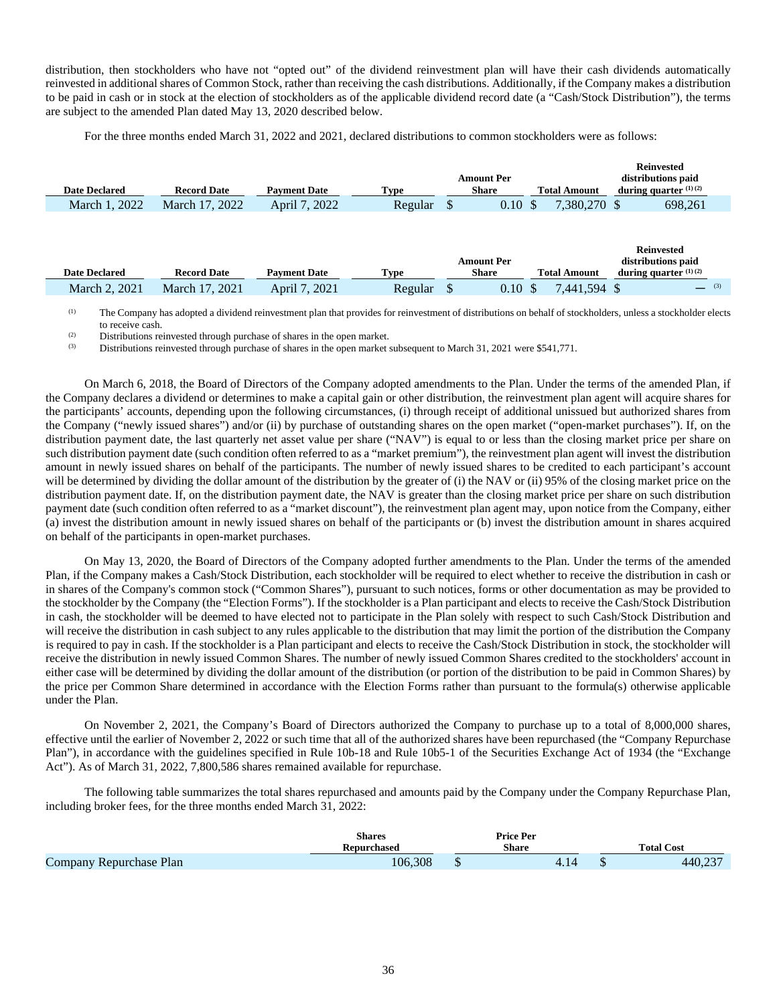distribution, then stockholders who have not "opted out" of the dividend reinvestment plan will have their cash dividends automatically reinvested in additional shares of Common Stock, rather than receiving the cash distributions. Additionally, if the Company makes a distribution to be paid in cash or in stock at the election of stockholders as of the applicable dividend record date (a "Cash/Stock Distribution"), the terms are subject to the amended Plan dated May 13, 2020 described below.

For the three months ended March 31, 2022 and 2021, declared distributions to common stockholders were as follows:

| <b>Date Declared</b> | <b>Record Date</b> | <b>Payment Date</b> | <b>Type</b> |   | <b>Amount Per</b><br><b>Share</b> | <b>Total Amount</b> | <b>Reinvested</b><br>distributions paid<br>during quarter $(1)(2)$ |                     |
|----------------------|--------------------|---------------------|-------------|---|-----------------------------------|---------------------|--------------------------------------------------------------------|---------------------|
| March 1, 2022        | March 17, 2022     | April 7, 2022       | Regular     | S | 0.10S                             | 7,380,270 \$        | 698,261                                                            |                     |
|                      |                    |                     |             |   |                                   |                     |                                                                    |                     |
|                      |                    |                     |             |   |                                   |                     |                                                                    |                     |
|                      |                    |                     |             |   | <b>Amount Per</b>                 |                     | Reinvested<br>distributions paid                                   |                     |
| <b>Date Declared</b> | <b>Record Date</b> | <b>Payment Date</b> | <b>Type</b> |   | <b>Share</b>                      | <b>Total Amount</b> | during quarter $(1)(2)$                                            |                     |
| March 2, 2021        | March 17, 2021     | April 7, 2021       | Regular     |   | 0.10S                             | 7,441,594 \$        |                                                                    | $\qquad \qquad$ (3) |
|                      |                    |                     |             |   |                                   |                     |                                                                    |                     |

(1) The Company has adopted a dividend reinvestment plan that provides for reinvestment of distributions on behalf of stockholders, unless a stockholder elects to receive cash.

(2) Distributions reinvested through purchase of shares in the open market.<br>
Distributions reinvested through purchase of shares in the open market.

(3) Distributions reinvested through purchase of shares in the open market subsequent to March 31, 2021 were \$541,771.

On March 6, 2018, the Board of Directors of the Company adopted amendments to the Plan. Under the terms of the amended Plan, if the Company declares a dividend or determines to make a capital gain or other distribution, the reinvestment plan agent will acquire shares for the participants' accounts, depending upon the following circumstances, (i) through receipt of additional unissued but authorized shares from the Company ("newly issued shares") and/or (ii) by purchase of outstanding shares on the open market ("open-market purchases"). If, on the distribution payment date, the last quarterly net asset value per share ("NAV") is equal to or less than the closing market price per share on such distribution payment date (such condition often referred to as a "market premium"), the reinvestment plan agent will invest the distribution amount in newly issued shares on behalf of the participants. The number of newly issued shares to be credited to each participant's account will be determined by dividing the dollar amount of the distribution by the greater of (i) the NAV or (ii) 95% of the closing market price on the distribution payment date. If, on the distribution payment date, the NAV is greater than the closing market price per share on such distribution payment date (such condition often referred to as a "market discount"), the reinvestment plan agent may, upon notice from the Company, either (a) invest the distribution amount in newly issued shares on behalf of the participants or (b) invest the distribution amount in shares acquired on behalf of the participants in open-market purchases.

On May 13, 2020, the Board of Directors of the Company adopted further amendments to the Plan. Under the terms of the amended Plan, if the Company makes a Cash/Stock Distribution, each stockholder will be required to elect whether to receive the distribution in cash or in shares of the Company's common stock ("Common Shares"), pursuant to such notices, forms or other documentation as may be provided to the stockholder by the Company (the "Election Forms"). If the stockholder is a Plan participant and elects to receive the Cash/Stock Distribution in cash, the stockholder will be deemed to have elected not to participate in the Plan solely with respect to such Cash/Stock Distribution and will receive the distribution in cash subject to any rules applicable to the distribution that may limit the portion of the distribution the Company is required to pay in cash. If the stockholder is a Plan participant and elects to receive the Cash/Stock Distribution in stock, the stockholder will receive the distribution in newly issued Common Shares. The number of newly issued Common Shares credited to the stockholders' account in either case will be determined by dividing the dollar amount of the distribution (or portion of the distribution to be paid in Common Shares) by the price per Common Share determined in accordance with the Election Forms rather than pursuant to the formula(s) otherwise applicable under the Plan.

On November 2, 2021, the Company's Board of Directors authorized the Company to purchase up to a total of 8,000,000 shares, effective until the earlier of November 2, 2022 or such time that all of the authorized shares have been repurchased (the "Company Repurchase Plan"), in accordance with the guidelines specified in Rule 10b-18 and Rule 10b5-1 of the Securities Exchange Act of 1934 (the "Exchange Act"). As of March 31, 2022, 7,800,586 shares remained available for repurchase.

The following table summarizes the total shares repurchased and amounts paid by the Company under the Company Repurchase Plan, including broker fees, for the three months ended March 31, 2022:

|                         | Shares      | <b>Price Per</b> |      |  |                   |  |  |
|-------------------------|-------------|------------------|------|--|-------------------|--|--|
|                         | Repurchased | <b>Share</b>     |      |  | <b>Total Cost</b> |  |  |
| Company Repurchase Plan | 106.308     |                  | 4.14 |  | 440,237           |  |  |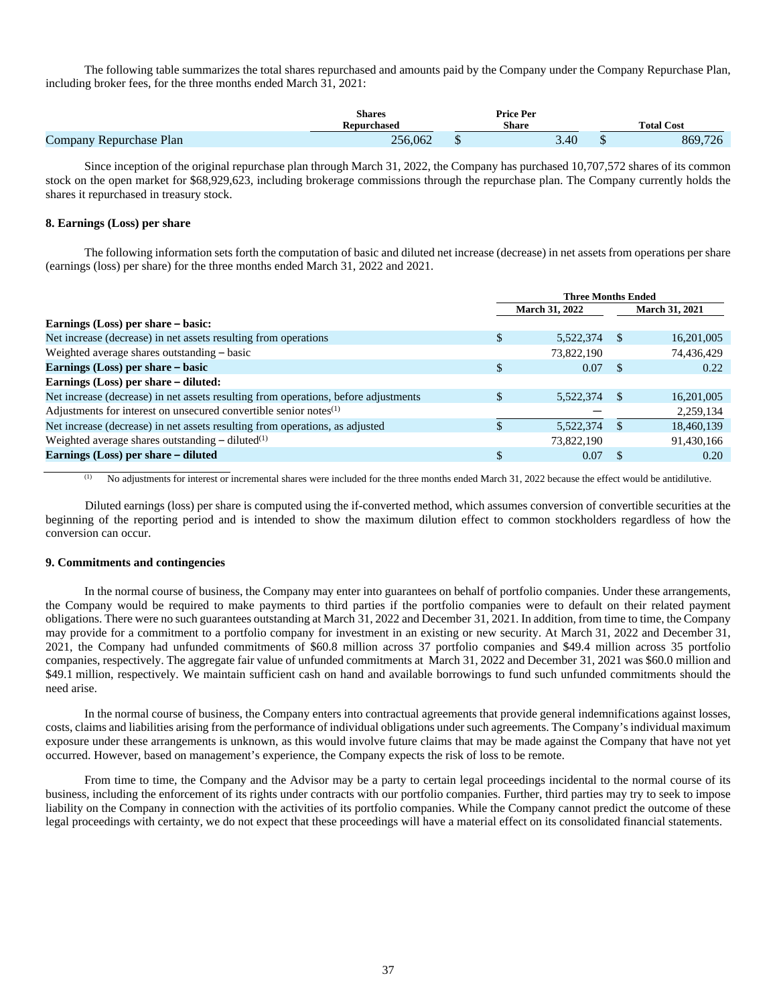The following table summarizes the total shares repurchased and amounts paid by the Company under the Company Repurchase Plan, including broker fees, for the three months ended March 31, 2021:

|                         | Shares      | <b>Price Per</b> |      |                   |
|-------------------------|-------------|------------------|------|-------------------|
|                         | Repurchased | Share            |      | <b>Total Cost</b> |
| Company Repurchase Plan | 256,062     | 13               | 3.40 | 869,726           |

Since inception of the original repurchase plan through March 31, 2022, the Company has purchased 10,707,572 shares of its common stock on the open market for \$68,929,623, including brokerage commissions through the repurchase plan. The Company currently holds the shares it repurchased in treasury stock.

#### **8. Earnings (Loss) per share**

The following information sets forth the computation of basic and diluted net increase (decrease) in net assets from operations per share (earnings (loss) per share) for the three months ended March 31, 2022 and 2021.

|                                                                                     | <b>Three Months Ended</b> |                       |          |                       |
|-------------------------------------------------------------------------------------|---------------------------|-----------------------|----------|-----------------------|
|                                                                                     |                           | <b>March 31, 2022</b> |          | <b>March 31, 2021</b> |
| Earnings (Loss) per share - basic:                                                  |                           |                       |          |                       |
| Net increase (decrease) in net assets resulting from operations                     | \$                        | 5,522,374             |          | 16,201,005            |
| Weighted average shares outstanding – basic                                         |                           | 73,822,190            |          | 74,436,429            |
| Earnings (Loss) per share – basic                                                   |                           | 0.07                  | <b>S</b> | 0.22                  |
| Earnings (Loss) per share – diluted:                                                |                           |                       |          |                       |
| Net increase (decrease) in net assets resulting from operations, before adjustments |                           | 5.522.374             | ∖ \$     | 16,201,005            |
| Adjustments for interest on unsecured convertible senior notes <sup>(1)</sup>       |                           |                       |          | 2,259,134             |
| Net increase (decrease) in net assets resulting from operations, as adjusted        |                           | 5,522,374             | -8       | 18,460,139            |
| Weighted average shares outstanding $-$ diluted <sup>(1)</sup>                      |                           | 73,822,190            |          | 91,430,166            |
| Earnings (Loss) per share – diluted                                                 | S                         | 0.07                  |          | 0.20                  |

(1) No adjustments for interest or incremental shares were included for the three months ended March 31, 2022 because the effect would be antidilutive.

Diluted earnings (loss) per share is computed using the if-converted method, which assumes conversion of convertible securities at the beginning of the reporting period and is intended to show the maximum dilution effect to common stockholders regardless of how the conversion can occur.

#### **9. Commitments and contingencies**

In the normal course of business, the Company may enter into guarantees on behalf of portfolio companies. Under these arrangements, the Company would be required to make payments to third parties if the portfolio companies were to default on their related payment obligations. There were no such guarantees outstanding at March 31, 2022 and December 31, 2021. In addition, from time to time, the Company may provide for a commitment to a portfolio company for investment in an existing or new security. At March 31, 2022 and December 31, 2021, the Company had unfunded commitments of \$60.8 million across 37 portfolio companies and \$49.4 million across 35 portfolio companies, respectively. The aggregate fair value of unfunded commitments at March 31, 2022 and December 31, 2021 was \$60.0 million and \$49.1 million, respectively. We maintain sufficient cash on hand and available borrowings to fund such unfunded commitments should the need arise.

In the normal course of business, the Company enters into contractual agreements that provide general indemnifications against losses, costs, claims and liabilities arising from the performance of individual obligations under such agreements. The Company's individual maximum exposure under these arrangements is unknown, as this would involve future claims that may be made against the Company that have not yet occurred. However, based on management's experience, the Company expects the risk of loss to be remote.

From time to time, the Company and the Advisor may be a party to certain legal proceedings incidental to the normal course of its business, including the enforcement of its rights under contracts with our portfolio companies. Further, third parties may try to seek to impose liability on the Company in connection with the activities of its portfolio companies. While the Company cannot predict the outcome of these legal proceedings with certainty, we do not expect that these proceedings will have a material effect on its consolidated financial statements.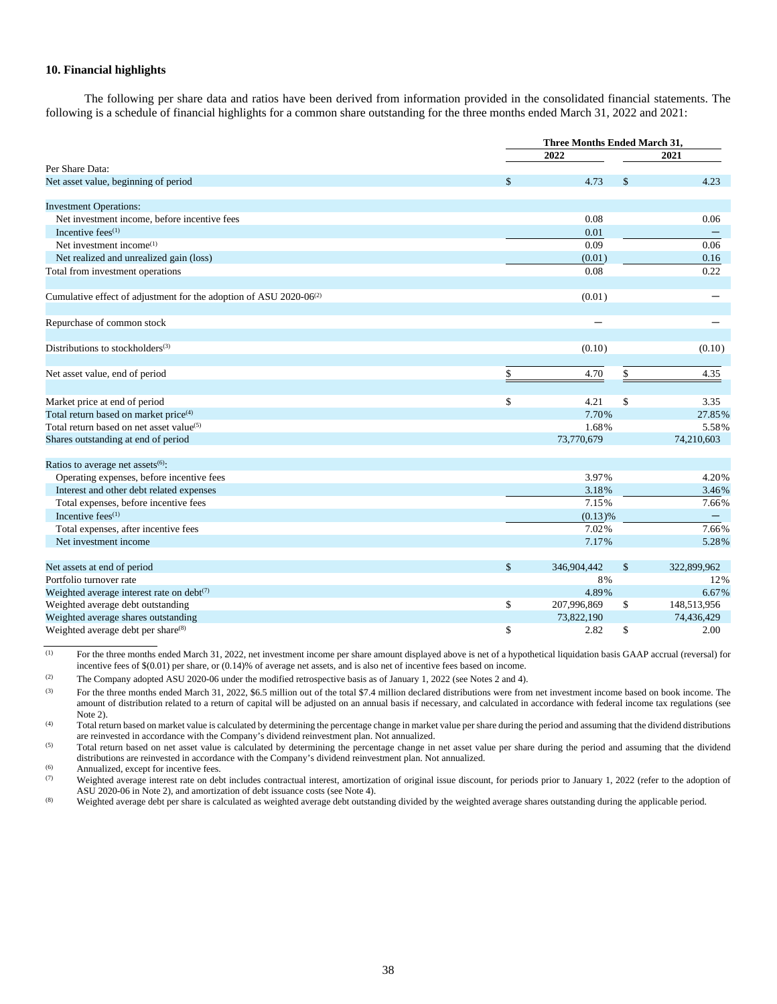## **10. Financial highlights**

The following per share data and ratios have been derived from information provided in the consolidated financial statements. The following is a schedule of financial highlights for a common share outstanding for the three months ended March 31, 2022 and 2021:

|                                                                                |    | Three Months Ended March 31, |               |             |
|--------------------------------------------------------------------------------|----|------------------------------|---------------|-------------|
|                                                                                |    | 2022                         |               | 2021        |
| Per Share Data:                                                                |    |                              |               |             |
| Net asset value, beginning of period                                           | \$ | 4.73                         | $\mathsf{\$}$ | 4.23        |
| <b>Investment Operations:</b>                                                  |    |                              |               |             |
| Net investment income, before incentive fees                                   |    | 0.08                         |               | 0.06        |
| Incentive fees $(1)$                                                           |    | 0.01                         |               |             |
| Net investment income <sup>(1)</sup>                                           |    | 0.09                         |               | 0.06        |
| Net realized and unrealized gain (loss)                                        |    | (0.01)                       |               | 0.16        |
| Total from investment operations                                               |    | 0.08                         |               | 0.22        |
| Cumulative effect of adjustment for the adoption of ASU 2020-06 <sup>(2)</sup> |    | (0.01)                       |               |             |
| Repurchase of common stock                                                     |    |                              |               |             |
| Distributions to stockholders <sup>(3)</sup>                                   |    | (0.10)                       |               | (0.10)      |
| Net asset value, end of period                                                 | \$ | 4.70                         | \$            | 4.35        |
| Market price at end of period                                                  | \$ | 4.21                         | \$            | 3.35        |
| Total return based on market price <sup>(4)</sup>                              |    | 7.70%                        |               | 27.85%      |
| Total return based on net asset value <sup>(5)</sup>                           |    | 1.68%                        |               | 5.58%       |
| Shares outstanding at end of period                                            |    | 73,770,679                   |               | 74,210,603  |
| Ratios to average net assets <sup>(6)</sup> :                                  |    |                              |               |             |
| Operating expenses, before incentive fees                                      |    | 3.97%                        |               | 4.20%       |
| Interest and other debt related expenses                                       |    | 3.18%                        |               | 3.46%       |
| Total expenses, before incentive fees                                          |    | 7.15%                        |               | 7.66%       |
| Incentive fees $(1)$                                                           |    | $(0.13)$ %                   |               |             |
| Total expenses, after incentive fees                                           |    | 7.02%                        |               | 7.66%       |
| Net investment income                                                          |    | 7.17%                        |               | 5.28%       |
| Net assets at end of period                                                    | \$ | 346,904,442                  | \$            | 322,899,962 |
| Portfolio turnover rate                                                        |    | 8%                           |               | 12%         |
| Weighted average interest rate on debt(7)                                      |    | 4.89%                        |               | 6.67%       |
| Weighted average debt outstanding                                              | \$ | 207,996,869                  | \$            | 148,513,956 |
| Weighted average shares outstanding                                            |    | 73,822,190                   |               | 74,436,429  |
| Weighted average debt per share <sup>(8)</sup>                                 | \$ | 2.82                         | \$            | 2.00        |

(1) For the three months ended March 31, 2022, net investment income per share amount displayed above is net of a hypothetical liquidation basis GAAP accrual (reversal) for incentive fees of \$(0.01) per share, or (0.14)% of average net assets, and is also net of incentive fees based on income.

(2) The Company adopted ASU 2020-06 under the modified retrospective basis as of January 1, 2022 (see Notes 2 and 4).

(3) For the three months ended March 31, 2022, \$6.5 million out of the total \$7.4 million declared distributions were from net investment income based on book income. The amount of distribution related to a return of capital will be adjusted on an annual basis if necessary, and calculated in accordance with federal income tax regulations (see Note 2).

(4) Total return based on market value is calculated by determining the percentage change in market value per share during the period and assuming that the dividend distributions are reinvested in accordance with the Company's dividend reinvestment plan. Not annualized.

(5) Total return based on net asset value is calculated by determining the percentage change in net asset value per share during the period and assuming that the dividend distributions are reinvested in accordance with the Company's dividend reinvestment plan. Not annualized.

(6) Annualized, except for incentive fees.<br>(7) Weighted average interest rate on del

Weighted average interest rate on debt includes contractual interest, amortization of original issue discount, for periods prior to January 1, 2022 (refer to the adoption of ASU 2020-06 in Note 2), and amortization of debt issuance costs (see Note 4).

(8) Weighted average debt per share is calculated as weighted average debt outstanding divided by the weighted average shares outstanding during the applicable period.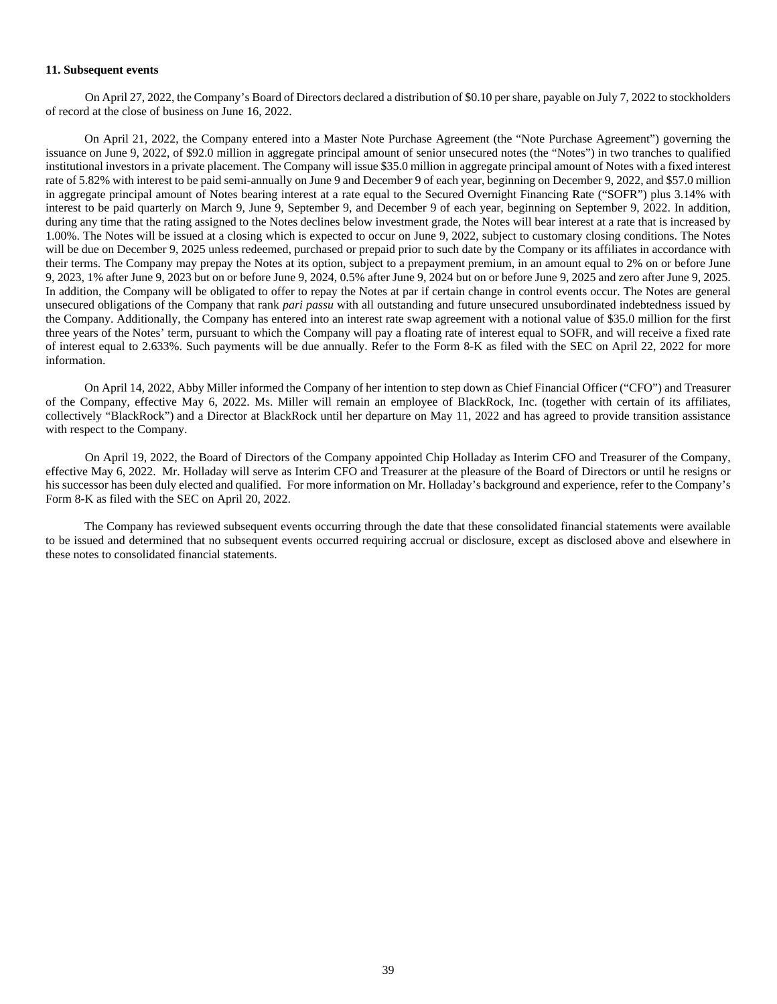#### **11. Subsequent events**

On April 27, 2022, the Company's Board of Directors declared a distribution of \$0.10 per share, payable on July 7, 2022 to stockholders of record at the close of business on June 16, 2022.

On April 21, 2022, the Company entered into a Master Note Purchase Agreement (the "Note Purchase Agreement") governing the issuance on June 9, 2022, of \$92.0 million in aggregate principal amount of senior unsecured notes (the "Notes") in two tranches to qualified institutional investors in a private placement. The Company will issue \$35.0 million in aggregate principal amount of Notes with a fixed interest rate of 5.82% with interest to be paid semi-annually on June 9 and December 9 of each year, beginning on December 9, 2022, and \$57.0 million in aggregate principal amount of Notes bearing interest at a rate equal to the Secured Overnight Financing Rate ("SOFR") plus 3.14% with interest to be paid quarterly on March 9, June 9, September 9, and December 9 of each year, beginning on September 9, 2022. In addition, during any time that the rating assigned to the Notes declines below investment grade, the Notes will bear interest at a rate that is increased by 1.00%. The Notes will be issued at a closing which is expected to occur on June 9, 2022, subject to customary closing conditions. The Notes will be due on December 9, 2025 unless redeemed, purchased or prepaid prior to such date by the Company or its affiliates in accordance with their terms. The Company may prepay the Notes at its option, subject to a prepayment premium, in an amount equal to 2% on or before June 9, 2023, 1% after June 9, 2023 but on or before June 9, 2024, 0.5% after June 9, 2024 but on or before June 9, 2025 and zero after June 9, 2025. In addition, the Company will be obligated to offer to repay the Notes at par if certain change in control events occur. The Notes are general unsecured obligations of the Company that rank *pari passu* with all outstanding and future unsecured unsubordinated indebtedness issued by the Company. Additionally, the Company has entered into an interest rate swap agreement with a notional value of \$35.0 million for the first three years of the Notes' term, pursuant to which the Company will pay a floating rate of interest equal to SOFR, and will receive a fixed rate of interest equal to 2.633%. Such payments will be due annually. Refer to the Form 8-K as filed with the SEC on April 22, 2022 for more information.

On April 14, 2022, Abby Miller informed the Company of her intention to step down as Chief Financial Officer ("CFO") and Treasurer of the Company, effective May 6, 2022. Ms. Miller will remain an employee of BlackRock, Inc. (together with certain of its affiliates, collectively "BlackRock") and a Director at BlackRock until her departure on May 11, 2022 and has agreed to provide transition assistance with respect to the Company.

On April 19, 2022, the Board of Directors of the Company appointed Chip Holladay as Interim CFO and Treasurer of the Company, effective May 6, 2022. Mr. Holladay will serve as Interim CFO and Treasurer at the pleasure of the Board of Directors or until he resigns or his successor has been duly elected and qualified. For more information on Mr. Holladay's background and experience, refer to the Company's Form 8-K as filed with the SEC on April 20, 2022.

The Company has reviewed subsequent events occurring through the date that these consolidated financial statements were available to be issued and determined that no subsequent events occurred requiring accrual or disclosure, except as disclosed above and elsewhere in these notes to consolidated financial statements.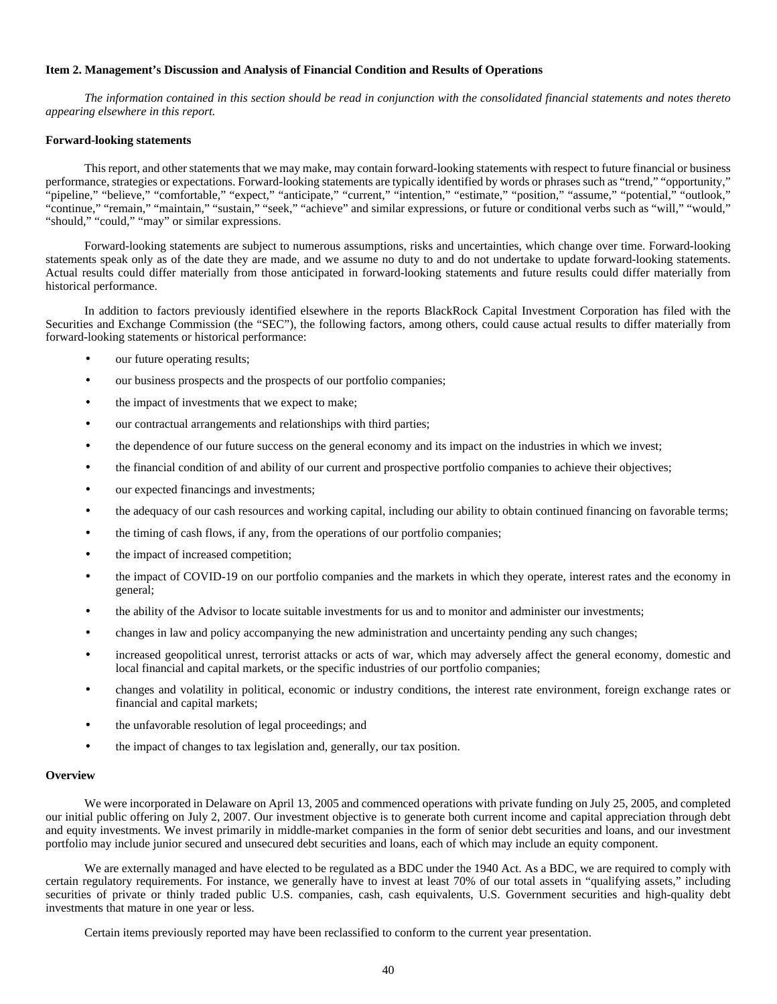#### <span id="page-39-0"></span>**Item 2. Management's Discussion and Analysis of Financial Condition and Results of Operations**

*The information contained in this section should be read in conjunction with the consolidated financial statements and notes thereto appearing elsewhere in this report.* 

#### **Forward-looking statements**

This report, and other statements that we may make, may contain forward-looking statements with respect to future financial or business performance, strategies or expectations. Forward-looking statements are typically identified by words or phrases such as "trend," "opportunity," "pipeline," "believe," "comfortable," "expect," "anticipate," "current," "intention," "estimate," "position," "assume," "potential," "outlook," "continue," "remain," "maintain," "sustain," "seek," "achieve" and similar expressions, or future or conditional verbs such as "will," "would," "should," "could," "may" or similar expressions.

Forward-looking statements are subject to numerous assumptions, risks and uncertainties, which change over time. Forward-looking statements speak only as of the date they are made, and we assume no duty to and do not undertake to update forward-looking statements. Actual results could differ materially from those anticipated in forward-looking statements and future results could differ materially from historical performance.

In addition to factors previously identified elsewhere in the reports BlackRock Capital Investment Corporation has filed with the Securities and Exchange Commission (the "SEC"), the following factors, among others, could cause actual results to differ materially from forward-looking statements or historical performance:

- our future operating results;
- our business prospects and the prospects of our portfolio companies;
- the impact of investments that we expect to make;
- our contractual arrangements and relationships with third parties;
- the dependence of our future success on the general economy and its impact on the industries in which we invest;
- the financial condition of and ability of our current and prospective portfolio companies to achieve their objectives;
- our expected financings and investments;
- the adequacy of our cash resources and working capital, including our ability to obtain continued financing on favorable terms;
- the timing of cash flows, if any, from the operations of our portfolio companies;
- the impact of increased competition;
- the impact of COVID-19 on our portfolio companies and the markets in which they operate, interest rates and the economy in general;
- the ability of the Advisor to locate suitable investments for us and to monitor and administer our investments;
- changes in law and policy accompanying the new administration and uncertainty pending any such changes;
- increased geopolitical unrest, terrorist attacks or acts of war, which may adversely affect the general economy, domestic and local financial and capital markets, or the specific industries of our portfolio companies;
- changes and volatility in political, economic or industry conditions, the interest rate environment, foreign exchange rates or financial and capital markets;
- the unfavorable resolution of legal proceedings; and
- the impact of changes to tax legislation and, generally, our tax position.

## **Overview**

We were incorporated in Delaware on April 13, 2005 and commenced operations with private funding on July 25, 2005, and completed our initial public offering on July 2, 2007. Our investment objective is to generate both current income and capital appreciation through debt and equity investments. We invest primarily in middle-market companies in the form of senior debt securities and loans, and our investment portfolio may include junior secured and unsecured debt securities and loans, each of which may include an equity component.

We are externally managed and have elected to be regulated as a BDC under the 1940 Act. As a BDC, we are required to comply with certain regulatory requirements. For instance, we generally have to invest at least 70% of our total assets in "qualifying assets," including securities of private or thinly traded public U.S. companies, cash, cash equivalents, U.S. Government securities and high-quality debt investments that mature in one year or less.

Certain items previously reported may have been reclassified to conform to the current year presentation.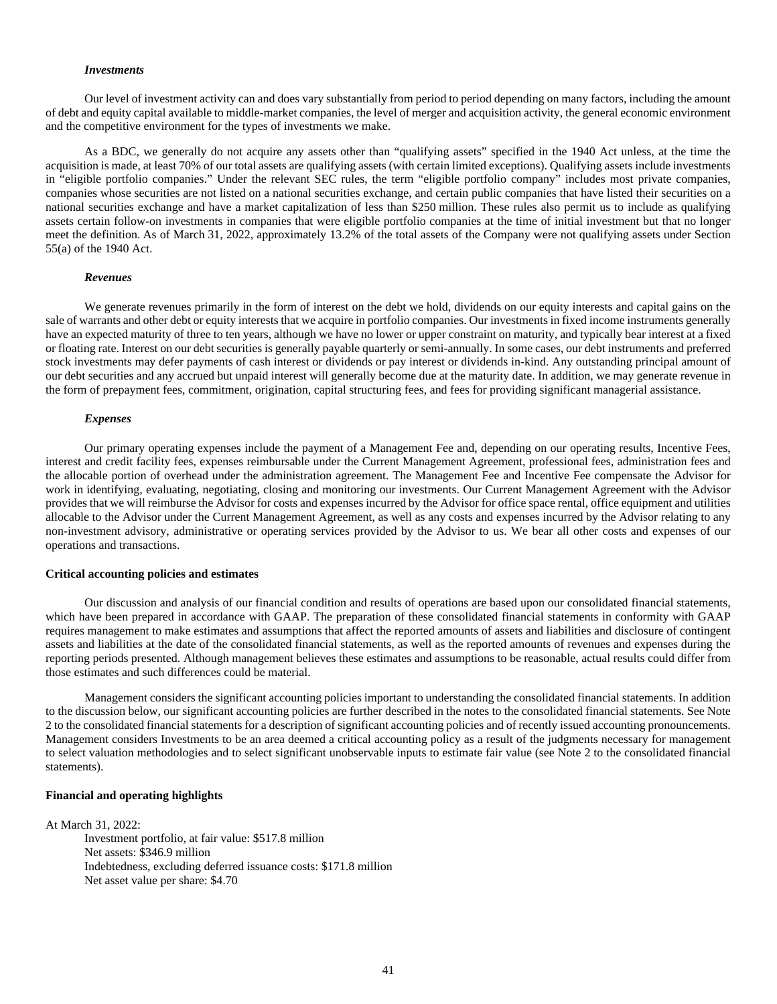#### *Investments*

Our level of investment activity can and does vary substantially from period to period depending on many factors, including the amount of debt and equity capital available to middle-market companies, the level of merger and acquisition activity, the general economic environment and the competitive environment for the types of investments we make.

As a BDC, we generally do not acquire any assets other than "qualifying assets" specified in the 1940 Act unless, at the time the acquisition is made, at least 70% of our total assets are qualifying assets (with certain limited exceptions). Qualifying assets include investments in "eligible portfolio companies." Under the relevant SEC rules, the term "eligible portfolio company" includes most private companies, companies whose securities are not listed on a national securities exchange, and certain public companies that have listed their securities on a national securities exchange and have a market capitalization of less than \$250 million. These rules also permit us to include as qualifying assets certain follow-on investments in companies that were eligible portfolio companies at the time of initial investment but that no longer meet the definition. As of March 31, 2022, approximately 13.2% of the total assets of the Company were not qualifying assets under Section 55(a) of the 1940 Act.

#### *Revenues*

We generate revenues primarily in the form of interest on the debt we hold, dividends on our equity interests and capital gains on the sale of warrants and other debt or equity interests that we acquire in portfolio companies. Our investments in fixed income instruments generally have an expected maturity of three to ten years, although we have no lower or upper constraint on maturity, and typically bear interest at a fixed or floating rate. Interest on our debt securities is generally payable quarterly or semi-annually. In some cases, our debt instruments and preferred stock investments may defer payments of cash interest or dividends or pay interest or dividends in-kind. Any outstanding principal amount of our debt securities and any accrued but unpaid interest will generally become due at the maturity date. In addition, we may generate revenue in the form of prepayment fees, commitment, origination, capital structuring fees, and fees for providing significant managerial assistance.

#### *Expenses*

Our primary operating expenses include the payment of a Management Fee and, depending on our operating results, Incentive Fees, interest and credit facility fees, expenses reimbursable under the Current Management Agreement, professional fees, administration fees and the allocable portion of overhead under the administration agreement. The Management Fee and Incentive Fee compensate the Advisor for work in identifying, evaluating, negotiating, closing and monitoring our investments. Our Current Management Agreement with the Advisor provides that we will reimburse the Advisor for costs and expenses incurred by the Advisor for office space rental, office equipment and utilities allocable to the Advisor under the Current Management Agreement, as well as any costs and expenses incurred by the Advisor relating to any non-investment advisory, administrative or operating services provided by the Advisor to us. We bear all other costs and expenses of our operations and transactions.

#### **Critical accounting policies and estimates**

Our discussion and analysis of our financial condition and results of operations are based upon our consolidated financial statements, which have been prepared in accordance with GAAP. The preparation of these consolidated financial statements in conformity with GAAP requires management to make estimates and assumptions that affect the reported amounts of assets and liabilities and disclosure of contingent assets and liabilities at the date of the consolidated financial statements, as well as the reported amounts of revenues and expenses during the reporting periods presented. Although management believes these estimates and assumptions to be reasonable, actual results could differ from those estimates and such differences could be material.

Management considers the significant accounting policies important to understanding the consolidated financial statements. In addition to the discussion below, our significant accounting policies are further described in the notes to the consolidated financial statements. See Note 2 to the consolidated financial statements for a description of significant accounting policies and of recently issued accounting pronouncements. Management considers Investments to be an area deemed a critical accounting policy as a result of the judgments necessary for management to select valuation methodologies and to select significant unobservable inputs to estimate fair value (see Note 2 to the consolidated financial statements).

## **Financial and operating highlights**

At March 31, 2022:

Investment portfolio, at fair value: \$517.8 million Net assets: \$346.9 million Indebtedness, excluding deferred issuance costs: \$171.8 million Net asset value per share: \$4.70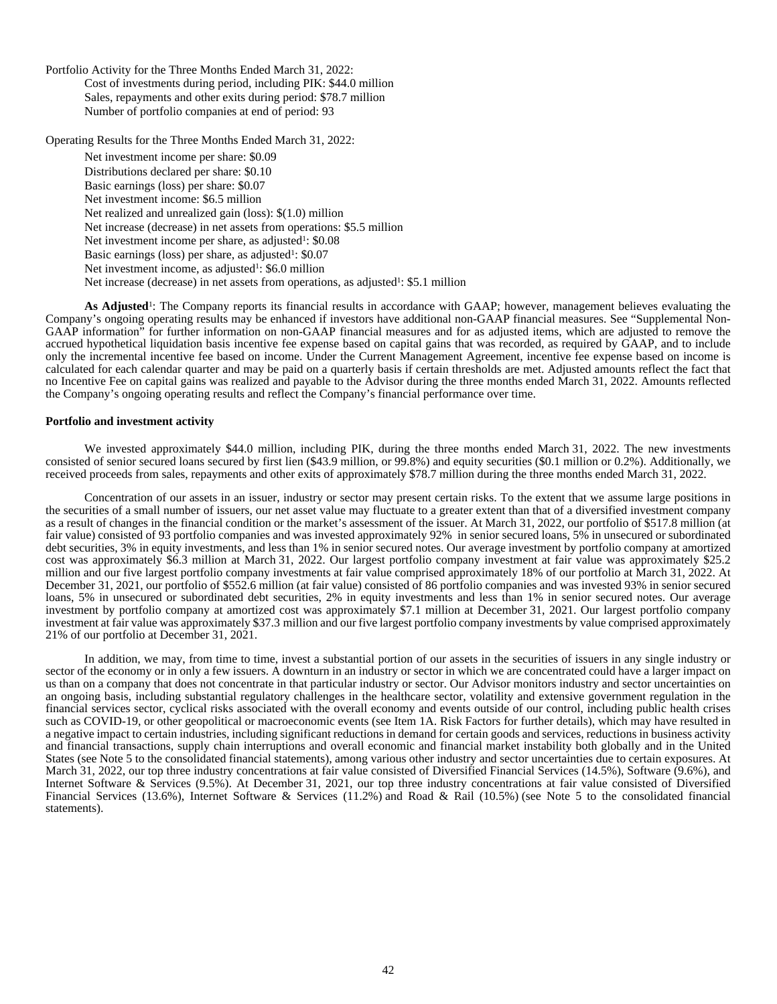Portfolio Activity for the Three Months Ended March 31, 2022: Cost of investments during period, including PIK: \$44.0 million Sales, repayments and other exits during period: \$78.7 million Number of portfolio companies at end of period: 93

Operating Results for the Three Months Ended March 31, 2022:

Net investment income per share: \$0.09 Distributions declared per share: \$0.10 Basic earnings (loss) per share: \$0.07 Net investment income: \$6.5 million Net realized and unrealized gain (loss): \$(1.0) million Net increase (decrease) in net assets from operations: \$5.5 million Net investment income per share, as adjusted<sup>1</sup>: \$0.08 Basic earnings (loss) per share, as adjusted<sup>1</sup>: \$0.07 Net investment income, as adjusted<sup>1</sup>: \$6.0 million Net increase (decrease) in net assets from operations, as adjusted<sup>1</sup>: \$5.1 million

As Adjusted<sup>1</sup>: The Company reports its financial results in accordance with GAAP; however, management believes evaluating the Company's ongoing operating results may be enhanced if investors have additional non-GAAP financial measures. See "Supplemental Non-GAAP information" for further information on non-GAAP financial measures and for as adjusted items, which are adjusted to remove the accrued hypothetical liquidation basis incentive fee expense based on capital gains that was recorded, as required by GAAP, and to include only the incremental incentive fee based on income. Under the Current Management Agreement, incentive fee expense based on income is calculated for each calendar quarter and may be paid on a quarterly basis if certain thresholds are met. Adjusted amounts reflect the fact that no Incentive Fee on capital gains was realized and payable to the Advisor during the three months ended March 31, 2022. Amounts reflected the Company's ongoing operating results and reflect the Company's financial performance over time.

#### **Portfolio and investment activity**

We invested approximately \$44.0 million, including PIK, during the three months ended March 31, 2022. The new investments consisted of senior secured loans secured by first lien (\$43.9 million, or 99.8%) and equity securities (\$0.1 million or 0.2%). Additionally, we received proceeds from sales, repayments and other exits of approximately \$78.7 million during the three months ended March 31, 2022.

Concentration of our assets in an issuer, industry or sector may present certain risks. To the extent that we assume large positions in the securities of a small number of issuers, our net asset value may fluctuate to a greater extent than that of a diversified investment company as a result of changes in the financial condition or the market's assessment of the issuer. At March 31, 2022, our portfolio of \$517.8 million (at fair value) consisted of 93 portfolio companies and was invested approximately 92% in senior secured loans, 5% in unsecured or subordinated debt securities, 3% in equity investments, and less than 1% in senior secured notes. Our average investment by portfolio company at amortized cost was approximately \$6.3 million at March 31, 2022. Our largest portfolio company investment at fair value was approximately \$25.2 million and our five largest portfolio company investments at fair value comprised approximately 18% of our portfolio at March 31, 2022. At December 31, 2021, our portfolio of \$552.6 million (at fair value) consisted of 86 portfolio companies and was invested 93% in senior secured loans, 5% in unsecured or subordinated debt securities, 2% in equity investments and less than 1% in senior secured notes. Our average investment by portfolio company at amortized cost was approximately \$7.1 million at December 31, 2021. Our largest portfolio company investment at fair value was approximately \$37.3 million and our five largest portfolio company investments by value comprised approximately 21% of our portfolio at December 31, 2021.

In addition, we may, from time to time, invest a substantial portion of our assets in the securities of issuers in any single industry or sector of the economy or in only a few issuers. A downturn in an industry or sector in which we are concentrated could have a larger impact on us than on a company that does not concentrate in that particular industry or sector. Our Advisor monitors industry and sector uncertainties on an ongoing basis, including substantial regulatory challenges in the healthcare sector, volatility and extensive government regulation in the financial services sector, cyclical risks associated with the overall economy and events outside of our control, including public health crises such as COVID-19, or other geopolitical or macroeconomic events (see Item 1A. Risk Factors for further details), which may have resulted in a negative impact to certain industries, including significant reductions in demand for certain goods and services, reductions in business activity and financial transactions, supply chain interruptions and overall economic and financial market instability both globally and in the United States (see Note 5 to the consolidated financial statements), among various other industry and sector uncertainties due to certain exposures. At March 31, 2022, our top three industry concentrations at fair value consisted of Diversified Financial Services (14.5%), Software (9.6%), and Internet Software & Services (9.5%). At December 31, 2021, our top three industry concentrations at fair value consisted of Diversified Financial Services (13.6%), Internet Software & Services (11.2%) and Road & Rail (10.5%) (see Note 5 to the consolidated financial statements).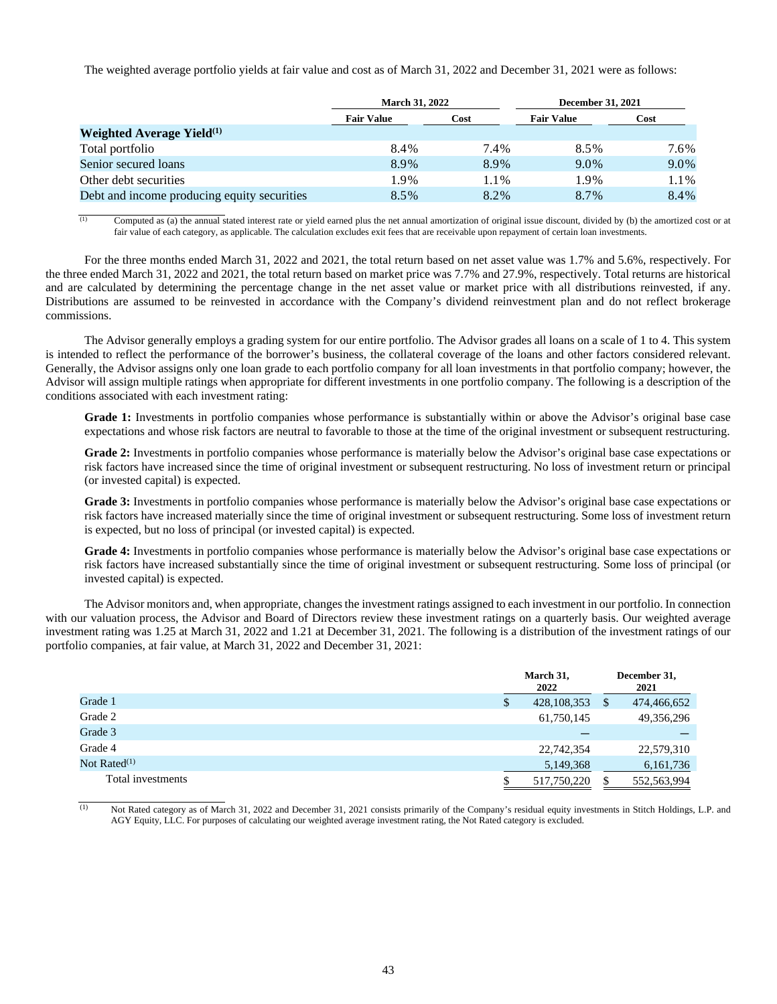The weighted average portfolio yields at fair value and cost as of March 31, 2022 and December 31, 2021 were as follows:

|                                              | <b>March 31, 2022</b> |      | <b>December 31, 2021</b> |      |
|----------------------------------------------|-----------------------|------|--------------------------|------|
|                                              | <b>Fair Value</b>     | Cost | <b>Fair Value</b>        | Cost |
| <b>Weighted Average Yield</b> <sup>(1)</sup> |                       |      |                          |      |
| Total portfolio                              | 8.4%                  | 7.4% | 8.5%                     | 7.6% |
| Senior secured loans                         | 8.9%                  | 8.9% | 9.0%                     | 9.0% |
| Other debt securities                        | 1.9%                  | 1.1% | 1.9%                     | 1.1% |
| Debt and income producing equity securities  | 8.5%                  | 8.2% | 8.7%                     | 8.4% |

 $\overline{1}$  Computed as (a) the annual stated interest rate or yield earned plus the net annual amortization of original issue discount, divided by (b) the amortized cost or at fair value of each category, as applicable. The calculation excludes exit fees that are receivable upon repayment of certain loan investments.

For the three months ended March 31, 2022 and 2021, the total return based on net asset value was 1.7% and 5.6%, respectively. For the three ended March 31, 2022 and 2021, the total return based on market price was 7.7% and 27.9%, respectively. Total returns are historical and are calculated by determining the percentage change in the net asset value or market price with all distributions reinvested, if any. Distributions are assumed to be reinvested in accordance with the Company's dividend reinvestment plan and do not reflect brokerage commissions.

The Advisor generally employs a grading system for our entire portfolio. The Advisor grades all loans on a scale of 1 to 4. This system is intended to reflect the performance of the borrower's business, the collateral coverage of the loans and other factors considered relevant. Generally, the Advisor assigns only one loan grade to each portfolio company for all loan investments in that portfolio company; however, the Advisor will assign multiple ratings when appropriate for different investments in one portfolio company. The following is a description of the conditions associated with each investment rating:

**Grade 1:** Investments in portfolio companies whose performance is substantially within or above the Advisor's original base case expectations and whose risk factors are neutral to favorable to those at the time of the original investment or subsequent restructuring.

Grade 2: Investments in portfolio companies whose performance is materially below the Advisor's original base case expectations or risk factors have increased since the time of original investment or subsequent restructuring. No loss of investment return or principal (or invested capital) is expected.

**Grade 3:** Investments in portfolio companies whose performance is materially below the Advisor's original base case expectations or risk factors have increased materially since the time of original investment or subsequent restructuring. Some loss of investment return is expected, but no loss of principal (or invested capital) is expected.

**Grade 4:** Investments in portfolio companies whose performance is materially below the Advisor's original base case expectations or risk factors have increased substantially since the time of original investment or subsequent restructuring. Some loss of principal (or invested capital) is expected.

The Advisor monitors and, when appropriate, changes the investment ratings assigned to each investment in our portfolio. In connection with our valuation process, the Advisor and Board of Directors review these investment ratings on a quarterly basis. Our weighted average investment rating was 1.25 at March 31, 2022 and 1.21 at December 31, 2021. The following is a distribution of the investment ratings of our portfolio companies, at fair value, at March 31, 2022 and December 31, 2021:

|                   | March 31,<br>2022   |    | December 31,<br>2021 |
|-------------------|---------------------|----|----------------------|
| Grade 1           | \$<br>428, 108, 353 | \$ | 474,466,652          |
| Grade 2           | 61,750,145          |    | 49,356,296           |
| Grade 3           |                     |    |                      |
| Grade 4           | 22,742,354          |    | 22,579,310           |
| Not Rated $(1)$   | 5,149,368           |    | 6,161,736            |
| Total investments | 517,750,220         | S  | 552,563,994          |

 $\overline{10}$  Not Rated category as of March 31, 2022 and December 31, 2021 consists primarily of the Company's residual equity investments in Stitch Holdings, L.P. and AGY Equity, LLC. For purposes of calculating our weighted average investment rating, the Not Rated category is excluded.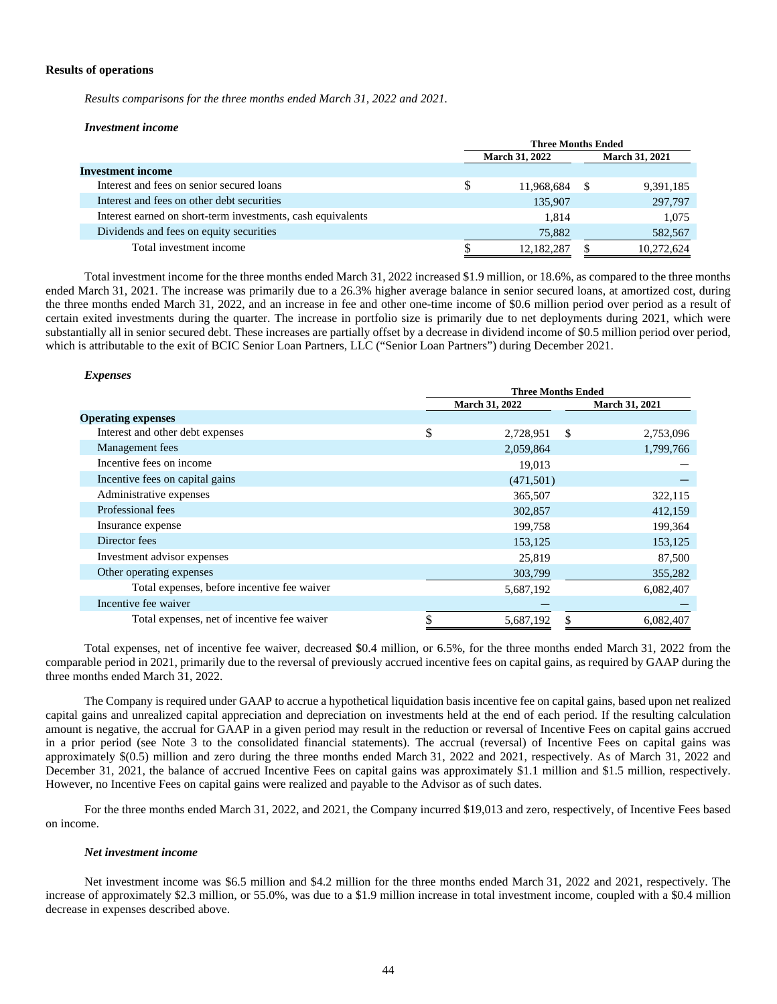#### **Results of operations**

*Results comparisons for the three months ended March 31, 2022 and 2021.* 

#### *Investment income*

|                                                             | <b>Three Months Ended</b> |            |  |                       |
|-------------------------------------------------------------|---------------------------|------------|--|-----------------------|
|                                                             | <b>March 31, 2022</b>     |            |  | <b>March 31, 2021</b> |
| <b>Investment income</b>                                    |                           |            |  |                       |
| Interest and fees on senior secured loans                   |                           | 11,968,684 |  | 9,391,185             |
| Interest and fees on other debt securities                  |                           | 135,907    |  | 297,797               |
| Interest earned on short-term investments, cash equivalents |                           | 1,814      |  | 1.075                 |
| Dividends and fees on equity securities                     |                           | 75,882     |  | 582,567               |
| Total investment income                                     |                           | 12,182,287 |  | 10,272,624            |

Total investment income for the three months ended March 31, 2022 increased \$1.9 million, or 18.6%, as compared to the three months ended March 31, 2021. The increase was primarily due to a 26.3% higher average balance in senior secured loans, at amortized cost, during the three months ended March 31, 2022, and an increase in fee and other one-time income of \$0.6 million period over period as a result of certain exited investments during the quarter. The increase in portfolio size is primarily due to net deployments during 2021, which were substantially all in senior secured debt. These increases are partially offset by a decrease in dividend income of \$0.5 million period over period, which is attributable to the exit of BCIC Senior Loan Partners, LLC ("Senior Loan Partners") during December 2021.

#### *Expenses*

|                                             | <b>Three Months Ended</b> |                |    |                |  |
|---------------------------------------------|---------------------------|----------------|----|----------------|--|
|                                             |                           | March 31, 2022 |    | March 31, 2021 |  |
| <b>Operating expenses</b>                   |                           |                |    |                |  |
| Interest and other debt expenses            | \$                        | 2,728,951      | \$ | 2,753,096      |  |
| Management fees                             |                           | 2,059,864      |    | 1,799,766      |  |
| Incentive fees on income                    |                           | 19,013         |    |                |  |
| Incentive fees on capital gains             |                           | (471, 501)     |    |                |  |
| Administrative expenses                     |                           | 365,507        |    | 322,115        |  |
| Professional fees                           |                           | 302,857        |    | 412,159        |  |
| Insurance expense                           |                           | 199,758        |    | 199,364        |  |
| Director fees                               |                           | 153,125        |    | 153,125        |  |
| Investment advisor expenses                 |                           | 25,819         |    | 87,500         |  |
| Other operating expenses                    |                           | 303,799        |    | 355,282        |  |
| Total expenses, before incentive fee waiver |                           | 5,687,192      |    | 6,082,407      |  |
| Incentive fee waiver                        |                           |                |    |                |  |
| Total expenses, net of incentive fee waiver |                           | 5,687,192      |    | 6,082,407      |  |

Total expenses, net of incentive fee waiver, decreased \$0.4 million, or 6.5%, for the three months ended March 31, 2022 from the comparable period in 2021, primarily due to the reversal of previously accrued incentive fees on capital gains, as required by GAAP during the three months ended March 31, 2022.

The Company is required under GAAP to accrue a hypothetical liquidation basis incentive fee on capital gains, based upon net realized capital gains and unrealized capital appreciation and depreciation on investments held at the end of each period. If the resulting calculation amount is negative, the accrual for GAAP in a given period may result in the reduction or reversal of Incentive Fees on capital gains accrued in a prior period (see Note 3 to the consolidated financial statements). The accrual (reversal) of Incentive Fees on capital gains was approximately \$(0.5) million and zero during the three months ended March 31, 2022 and 2021, respectively. As of March 31, 2022 and December 31, 2021, the balance of accrued Incentive Fees on capital gains was approximately \$1.1 million and \$1.5 million, respectively. However, no Incentive Fees on capital gains were realized and payable to the Advisor as of such dates.

For the three months ended March 31, 2022, and 2021, the Company incurred \$19,013 and zero, respectively, of Incentive Fees based on income.

#### *Net investment income*

Net investment income was \$6.5 million and \$4.2 million for the three months ended March 31, 2022 and 2021, respectively. The increase of approximately \$2.3 million, or 55.0%, was due to a \$1.9 million increase in total investment income, coupled with a \$0.4 million decrease in expenses described above.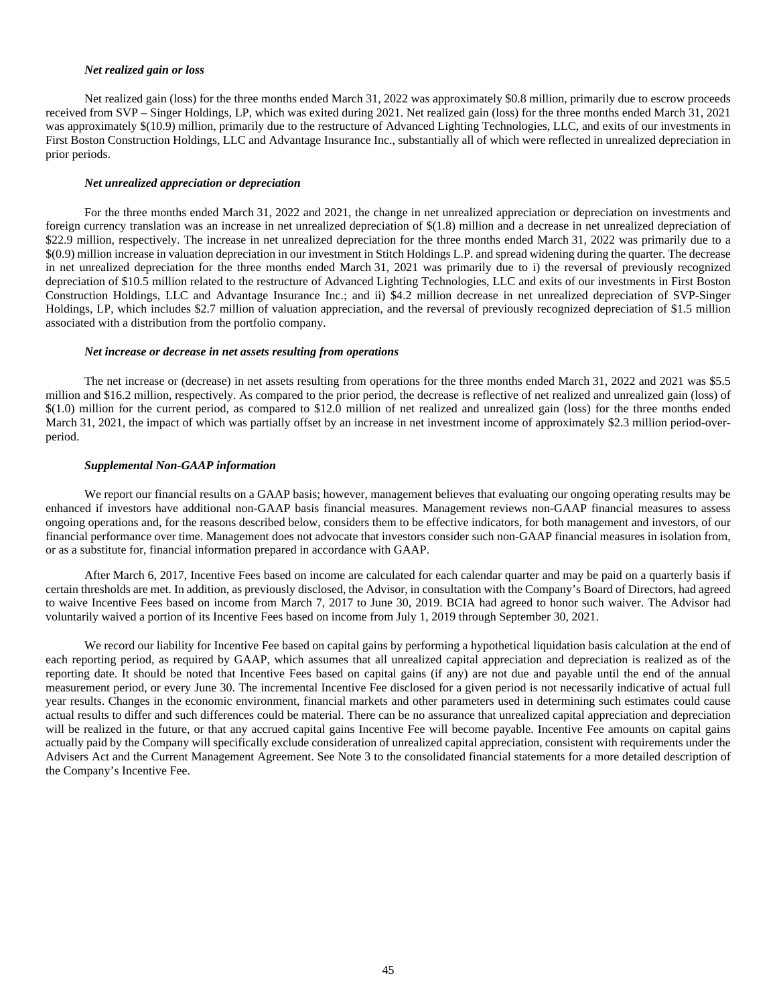#### *Net realized gain or loss*

Net realized gain (loss) for the three months ended March 31, 2022 was approximately \$0.8 million, primarily due to escrow proceeds received from SVP – Singer Holdings, LP, which was exited during 2021. Net realized gain (loss) for the three months ended March 31, 2021 was approximately \$(10.9) million, primarily due to the restructure of Advanced Lighting Technologies, LLC, and exits of our investments in First Boston Construction Holdings, LLC and Advantage Insurance Inc., substantially all of which were reflected in unrealized depreciation in prior periods.

#### *Net unrealized appreciation or depreciation*

For the three months ended March 31, 2022 and 2021, the change in net unrealized appreciation or depreciation on investments and foreign currency translation was an increase in net unrealized depreciation of \$(1.8) million and a decrease in net unrealized depreciation of \$22.9 million, respectively. The increase in net unrealized depreciation for the three months ended March 31, 2022 was primarily due to a \$(0.9) million increase in valuation depreciation in our investment in Stitch Holdings L.P. and spread widening during the quarter. The decrease in net unrealized depreciation for the three months ended March 31, 2021 was primarily due to i) the reversal of previously recognized depreciation of \$10.5 million related to the restructure of Advanced Lighting Technologies, LLC and exits of our investments in First Boston Construction Holdings, LLC and Advantage Insurance Inc.; and ii) \$4.2 million decrease in net unrealized depreciation of SVP-Singer Holdings, LP, which includes \$2.7 million of valuation appreciation, and the reversal of previously recognized depreciation of \$1.5 million associated with a distribution from the portfolio company.

#### *Net increase or decrease in net assets resulting from operations*

The net increase or (decrease) in net assets resulting from operations for the three months ended March 31, 2022 and 2021 was \$5.5 million and \$16.2 million, respectively. As compared to the prior period, the decrease is reflective of net realized and unrealized gain (loss) of \$(1.0) million for the current period, as compared to \$12.0 million of net realized and unrealized gain (loss) for the three months ended March 31, 2021, the impact of which was partially offset by an increase in net investment income of approximately \$2.3 million period-overperiod.

#### *Supplemental Non-GAAP information*

We report our financial results on a GAAP basis; however, management believes that evaluating our ongoing operating results may be enhanced if investors have additional non-GAAP basis financial measures. Management reviews non-GAAP financial measures to assess ongoing operations and, for the reasons described below, considers them to be effective indicators, for both management and investors, of our financial performance over time. Management does not advocate that investors consider such non-GAAP financial measures in isolation from, or as a substitute for, financial information prepared in accordance with GAAP.

After March 6, 2017, Incentive Fees based on income are calculated for each calendar quarter and may be paid on a quarterly basis if certain thresholds are met. In addition, as previously disclosed, the Advisor, in consultation with the Company's Board of Directors, had agreed to waive Incentive Fees based on income from March 7, 2017 to June 30, 2019. BCIA had agreed to honor such waiver. The Advisor had voluntarily waived a portion of its Incentive Fees based on income from July 1, 2019 through September 30, 2021.

We record our liability for Incentive Fee based on capital gains by performing a hypothetical liquidation basis calculation at the end of each reporting period, as required by GAAP, which assumes that all unrealized capital appreciation and depreciation is realized as of the reporting date. It should be noted that Incentive Fees based on capital gains (if any) are not due and payable until the end of the annual measurement period, or every June 30. The incremental Incentive Fee disclosed for a given period is not necessarily indicative of actual full year results. Changes in the economic environment, financial markets and other parameters used in determining such estimates could cause actual results to differ and such differences could be material. There can be no assurance that unrealized capital appreciation and depreciation will be realized in the future, or that any accrued capital gains Incentive Fee will become payable. Incentive Fee amounts on capital gains actually paid by the Company will specifically exclude consideration of unrealized capital appreciation, consistent with requirements under the Advisers Act and the Current Management Agreement. See Note 3 to the consolidated financial statements for a more detailed description of the Company's Incentive Fee.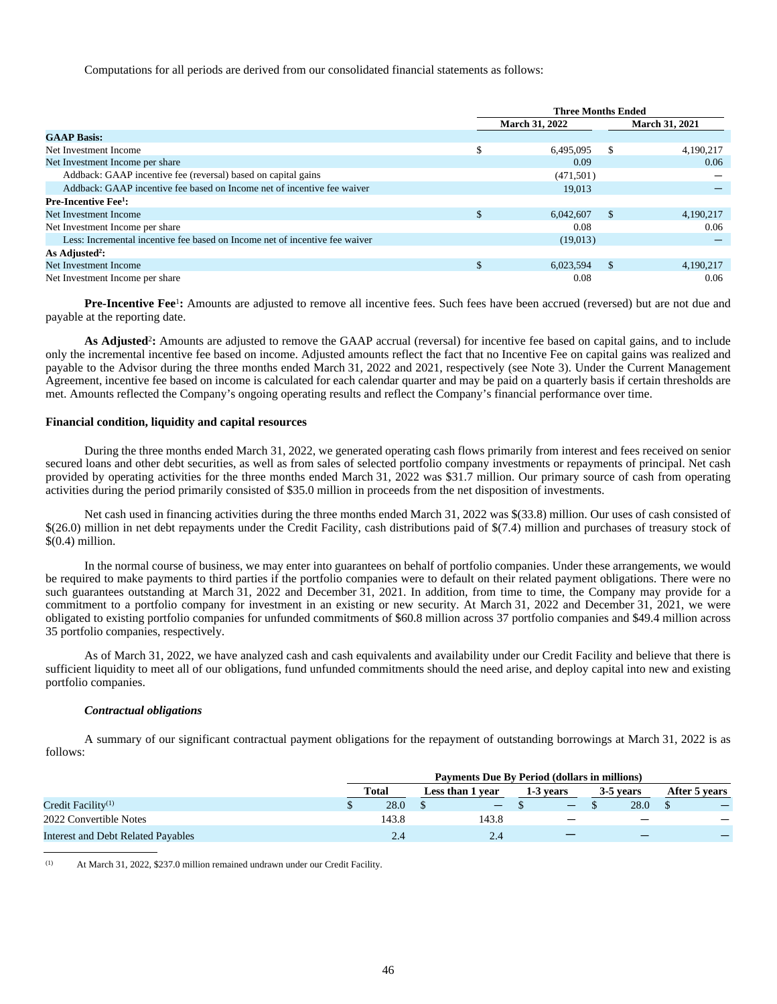Computations for all periods are derived from our consolidated financial statements as follows:

|                                                                             | <b>Three Months Ended</b> |            |      |                       |  |  |
|-----------------------------------------------------------------------------|---------------------------|------------|------|-----------------------|--|--|
|                                                                             | <b>March 31, 2022</b>     |            |      | <b>March 31, 2021</b> |  |  |
| <b>GAAP Basis:</b>                                                          |                           |            |      |                       |  |  |
| Net Investment Income                                                       | \$.                       | 6,495,095  | -S   | 4,190,217             |  |  |
| Net Investment Income per share                                             |                           | 0.09       |      | 0.06                  |  |  |
| Addback: GAAP incentive fee (reversal) based on capital gains               |                           | (471, 501) |      |                       |  |  |
| Addback: GAAP incentive fee based on Income net of incentive fee waiver     |                           | 19,013     |      |                       |  |  |
| <b>Pre-Incentive Fee<sup>1</sup>:</b>                                       |                           |            |      |                       |  |  |
| Net Investment Income                                                       | \$                        | 6,042,607  | - \$ | 4,190,217             |  |  |
| Net Investment Income per share                                             |                           | 0.08       |      | 0.06                  |  |  |
| Less: Incremental incentive fee based on Income net of incentive fee waiver |                           | (19,013)   |      |                       |  |  |
| As Adjusted <sup>2</sup> :                                                  |                           |            |      |                       |  |  |
| Net Investment Income                                                       |                           | 6,023,594  | - \$ | 4,190,217             |  |  |
| Net Investment Income per share                                             |                           | 0.08       |      | 0.06                  |  |  |

Pre-Incentive Fee<sup>1</sup>: Amounts are adjusted to remove all incentive fees. Such fees have been accrued (reversed) but are not due and payable at the reporting date.

As Adjusted<sup>2</sup>: Amounts are adjusted to remove the GAAP accrual (reversal) for incentive fee based on capital gains, and to include only the incremental incentive fee based on income. Adjusted amounts reflect the fact that no Incentive Fee on capital gains was realized and payable to the Advisor during the three months ended March 31, 2022 and 2021, respectively (see Note 3). Under the Current Management Agreement, incentive fee based on income is calculated for each calendar quarter and may be paid on a quarterly basis if certain thresholds are met. Amounts reflected the Company's ongoing operating results and reflect the Company's financial performance over time.

#### **Financial condition, liquidity and capital resources**

During the three months ended March 31, 2022, we generated operating cash flows primarily from interest and fees received on senior secured loans and other debt securities, as well as from sales of selected portfolio company investments or repayments of principal. Net cash provided by operating activities for the three months ended March 31, 2022 was \$31.7 million. Our primary source of cash from operating activities during the period primarily consisted of \$35.0 million in proceeds from the net disposition of investments.

Net cash used in financing activities during the three months ended March 31, 2022 was \$(33.8) million. Our uses of cash consisted of \$(26.0) million in net debt repayments under the Credit Facility, cash distributions paid of \$(7.4) million and purchases of treasury stock of \$(0.4) million.

In the normal course of business, we may enter into guarantees on behalf of portfolio companies. Under these arrangements, we would be required to make payments to third parties if the portfolio companies were to default on their related payment obligations. There were no such guarantees outstanding at March 31, 2022 and December 31, 2021. In addition, from time to time, the Company may provide for a commitment to a portfolio company for investment in an existing or new security. At March 31, 2022 and December 31, 2021, we were obligated to existing portfolio companies for unfunded commitments of \$60.8 million across 37 portfolio companies and \$49.4 million across 35 portfolio companies, respectively.

As of March 31, 2022, we have analyzed cash and cash equivalents and availability under our Credit Facility and believe that there is sufficient liquidity to meet all of our obligations, fund unfunded commitments should the need arise, and deploy capital into new and existing portfolio companies.

#### *Contractual obligations*

A summary of our significant contractual payment obligations for the repayment of outstanding borrowings at March 31, 2022 is as follows:

|                                    | Payments Due By Period (dollars in millions) |       |           |                          |           |  |               |      |  |  |
|------------------------------------|----------------------------------------------|-------|-----------|--------------------------|-----------|--|---------------|------|--|--|
|                                    | Total<br>Less than 1 year                    |       | 1-3 years |                          | 3-5 years |  | After 5 years |      |  |  |
| Credit Facility <sup>(1)</sup>     |                                              | 28.0  |           | $\overline{\phantom{0}}$ |           |  |               | 28.0 |  |  |
| 2022 Convertible Notes             |                                              | 143.8 |           | 143.8                    |           |  |               | _    |  |  |
| Interest and Debt Related Payables |                                              | 2.4   |           | 2.4                      |           |  |               |      |  |  |

(1) At March 31, 2022, \$237.0 million remained undrawn under our Credit Facility.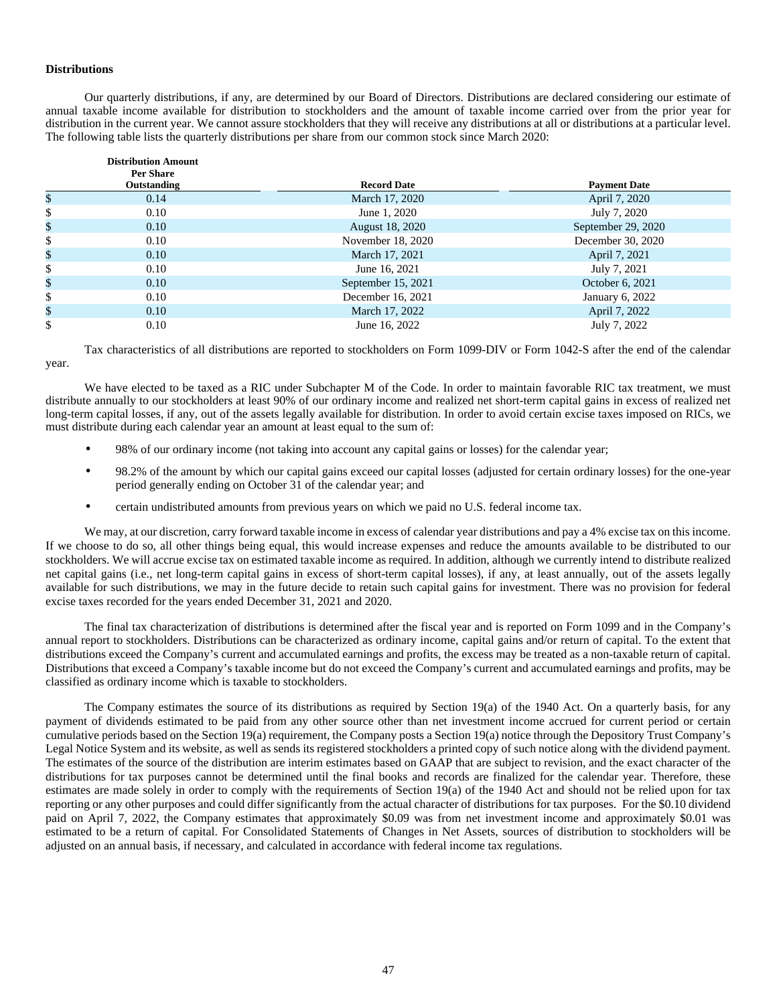#### **Distributions**

Our quarterly distributions, if any, are determined by our Board of Directors. Distributions are declared considering our estimate of annual taxable income available for distribution to stockholders and the amount of taxable income carried over from the prior year for distribution in the current year. We cannot assure stockholders that they will receive any distributions at all or distributions at a particular level. The following table lists the quarterly distributions per share from our common stock since March 2020:

| <b>Distribution Amount</b><br><b>Per Share</b> |                    |                     |
|------------------------------------------------|--------------------|---------------------|
| Outstanding                                    | <b>Record Date</b> | <b>Payment Date</b> |
| \$<br>0.14                                     | March 17, 2020     | April 7, 2020       |
| \$<br>0.10                                     | June 1, 2020       | July 7, 2020        |
| \$<br>0.10                                     | August 18, 2020    | September 29, 2020  |
| \$<br>0.10                                     | November 18, 2020  | December 30, 2020   |
| \$<br>0.10                                     | March 17, 2021     | April 7, 2021       |
| \$<br>0.10                                     | June 16, 2021      | July 7, 2021        |
| \$<br>0.10                                     | September 15, 2021 | October 6, 2021     |
| \$<br>0.10                                     | December 16, 2021  | January 6, 2022     |
| \$<br>0.10                                     | March 17, 2022     | April 7, 2022       |
| \$<br>0.10                                     | June 16, 2022      | July 7, 2022        |

Tax characteristics of all distributions are reported to stockholders on Form 1099-DIV or Form 1042-S after the end of the calendar year.

We have elected to be taxed as a RIC under Subchapter M of the Code. In order to maintain favorable RIC tax treatment, we must distribute annually to our stockholders at least 90% of our ordinary income and realized net short-term capital gains in excess of realized net long-term capital losses, if any, out of the assets legally available for distribution. In order to avoid certain excise taxes imposed on RICs, we must distribute during each calendar year an amount at least equal to the sum of:

- 98% of our ordinary income (not taking into account any capital gains or losses) for the calendar year;
- 98.2% of the amount by which our capital gains exceed our capital losses (adjusted for certain ordinary losses) for the one-year period generally ending on October 31 of the calendar year; and
- certain undistributed amounts from previous years on which we paid no U.S. federal income tax.

We may, at our discretion, carry forward taxable income in excess of calendar year distributions and pay a 4% excise tax on this income. If we choose to do so, all other things being equal, this would increase expenses and reduce the amounts available to be distributed to our stockholders. We will accrue excise tax on estimated taxable income as required. In addition, although we currently intend to distribute realized net capital gains (i.e., net long-term capital gains in excess of short-term capital losses), if any, at least annually, out of the assets legally available for such distributions, we may in the future decide to retain such capital gains for investment. There was no provision for federal excise taxes recorded for the years ended December 31, 2021 and 2020.

The final tax characterization of distributions is determined after the fiscal year and is reported on Form 1099 and in the Company's annual report to stockholders. Distributions can be characterized as ordinary income, capital gains and/or return of capital. To the extent that distributions exceed the Company's current and accumulated earnings and profits, the excess may be treated as a non-taxable return of capital. Distributions that exceed a Company's taxable income but do not exceed the Company's current and accumulated earnings and profits, may be classified as ordinary income which is taxable to stockholders.

The Company estimates the source of its distributions as required by Section 19(a) of the 1940 Act. On a quarterly basis, for any payment of dividends estimated to be paid from any other source other than net investment income accrued for current period or certain cumulative periods based on the Section 19(a) requirement, the Company posts a Section 19(a) notice through the Depository Trust Company's Legal Notice System and its website, as well as sends its registered stockholders a printed copy of such notice along with the dividend payment. The estimates of the source of the distribution are interim estimates based on GAAP that are subject to revision, and the exact character of the distributions for tax purposes cannot be determined until the final books and records are finalized for the calendar year. Therefore, these estimates are made solely in order to comply with the requirements of Section 19(a) of the 1940 Act and should not be relied upon for tax reporting or any other purposes and could differ significantly from the actual character of distributions for tax purposes. For the \$0.10 dividend paid on April 7, 2022, the Company estimates that approximately \$0.09 was from net investment income and approximately \$0.01 was estimated to be a return of capital. For Consolidated Statements of Changes in Net Assets, sources of distribution to stockholders will be adjusted on an annual basis, if necessary, and calculated in accordance with federal income tax regulations.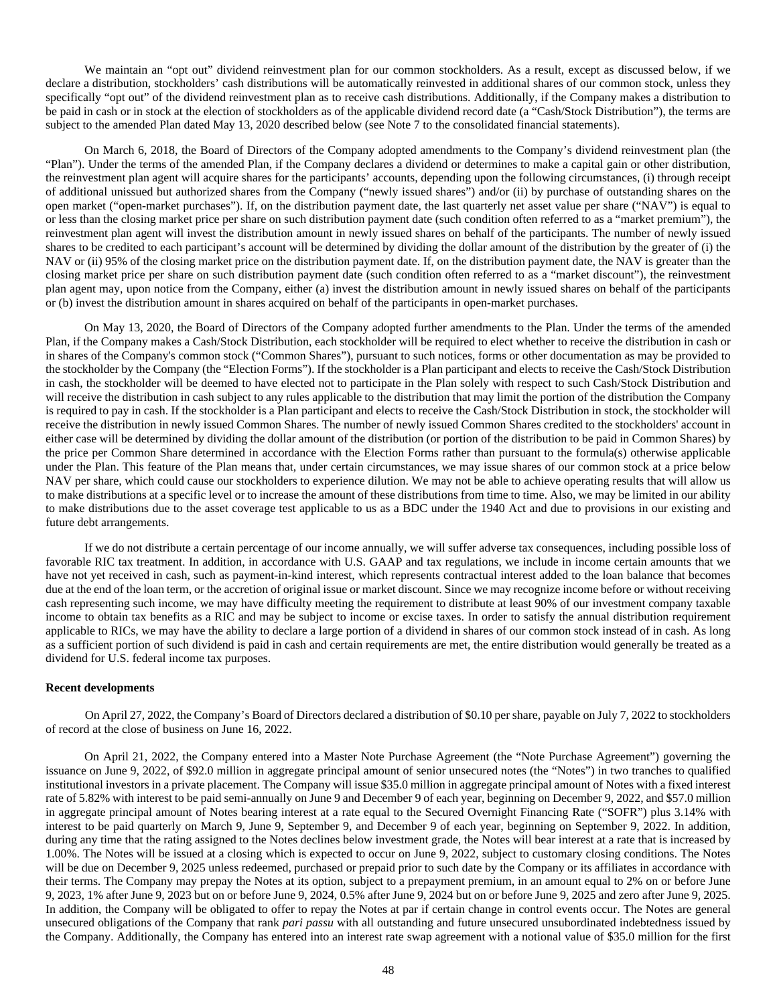We maintain an "opt out" dividend reinvestment plan for our common stockholders. As a result, except as discussed below, if we declare a distribution, stockholders' cash distributions will be automatically reinvested in additional shares of our common stock, unless they specifically "opt out" of the dividend reinvestment plan as to receive cash distributions. Additionally, if the Company makes a distribution to be paid in cash or in stock at the election of stockholders as of the applicable dividend record date (a "Cash/Stock Distribution"), the terms are subject to the amended Plan dated May 13, 2020 described below (see Note 7 to the consolidated financial statements).

On March 6, 2018, the Board of Directors of the Company adopted amendments to the Company's dividend reinvestment plan (the "Plan"). Under the terms of the amended Plan, if the Company declares a dividend or determines to make a capital gain or other distribution, the reinvestment plan agent will acquire shares for the participants' accounts, depending upon the following circumstances, (i) through receipt of additional unissued but authorized shares from the Company ("newly issued shares") and/or (ii) by purchase of outstanding shares on the open market ("open-market purchases"). If, on the distribution payment date, the last quarterly net asset value per share ("NAV") is equal to or less than the closing market price per share on such distribution payment date (such condition often referred to as a "market premium"), the reinvestment plan agent will invest the distribution amount in newly issued shares on behalf of the participants. The number of newly issued shares to be credited to each participant's account will be determined by dividing the dollar amount of the distribution by the greater of (i) the NAV or (ii) 95% of the closing market price on the distribution payment date. If, on the distribution payment date, the NAV is greater than the closing market price per share on such distribution payment date (such condition often referred to as a "market discount"), the reinvestment plan agent may, upon notice from the Company, either (a) invest the distribution amount in newly issued shares on behalf of the participants or (b) invest the distribution amount in shares acquired on behalf of the participants in open-market purchases.

On May 13, 2020, the Board of Directors of the Company adopted further amendments to the Plan. Under the terms of the amended Plan, if the Company makes a Cash/Stock Distribution, each stockholder will be required to elect whether to receive the distribution in cash or in shares of the Company's common stock ("Common Shares"), pursuant to such notices, forms or other documentation as may be provided to the stockholder by the Company (the "Election Forms"). If the stockholder is a Plan participant and elects to receive the Cash/Stock Distribution in cash, the stockholder will be deemed to have elected not to participate in the Plan solely with respect to such Cash/Stock Distribution and will receive the distribution in cash subject to any rules applicable to the distribution that may limit the portion of the distribution the Company is required to pay in cash. If the stockholder is a Plan participant and elects to receive the Cash/Stock Distribution in stock, the stockholder will receive the distribution in newly issued Common Shares. The number of newly issued Common Shares credited to the stockholders' account in either case will be determined by dividing the dollar amount of the distribution (or portion of the distribution to be paid in Common Shares) by the price per Common Share determined in accordance with the Election Forms rather than pursuant to the formula(s) otherwise applicable under the Plan. This feature of the Plan means that, under certain circumstances, we may issue shares of our common stock at a price below NAV per share, which could cause our stockholders to experience dilution. We may not be able to achieve operating results that will allow us to make distributions at a specific level or to increase the amount of these distributions from time to time. Also, we may be limited in our ability to make distributions due to the asset coverage test applicable to us as a BDC under the 1940 Act and due to provisions in our existing and future debt arrangements.

If we do not distribute a certain percentage of our income annually, we will suffer adverse tax consequences, including possible loss of favorable RIC tax treatment. In addition, in accordance with U.S. GAAP and tax regulations, we include in income certain amounts that we have not yet received in cash, such as payment-in-kind interest, which represents contractual interest added to the loan balance that becomes due at the end of the loan term, or the accretion of original issue or market discount. Since we may recognize income before or without receiving cash representing such income, we may have difficulty meeting the requirement to distribute at least 90% of our investment company taxable income to obtain tax benefits as a RIC and may be subject to income or excise taxes. In order to satisfy the annual distribution requirement applicable to RICs, we may have the ability to declare a large portion of a dividend in shares of our common stock instead of in cash. As long as a sufficient portion of such dividend is paid in cash and certain requirements are met, the entire distribution would generally be treated as a dividend for U.S. federal income tax purposes.

#### **Recent developments**

On April 27, 2022, the Company's Board of Directors declared a distribution of \$0.10 per share, payable on July 7, 2022 to stockholders of record at the close of business on June 16, 2022.

On April 21, 2022, the Company entered into a Master Note Purchase Agreement (the "Note Purchase Agreement") governing the issuance on June 9, 2022, of \$92.0 million in aggregate principal amount of senior unsecured notes (the "Notes") in two tranches to qualified institutional investors in a private placement. The Company will issue \$35.0 million in aggregate principal amount of Notes with a fixed interest rate of 5.82% with interest to be paid semi-annually on June 9 and December 9 of each year, beginning on December 9, 2022, and \$57.0 million in aggregate principal amount of Notes bearing interest at a rate equal to the Secured Overnight Financing Rate ("SOFR") plus 3.14% with interest to be paid quarterly on March 9, June 9, September 9, and December 9 of each year, beginning on September 9, 2022. In addition, during any time that the rating assigned to the Notes declines below investment grade, the Notes will bear interest at a rate that is increased by 1.00%. The Notes will be issued at a closing which is expected to occur on June 9, 2022, subject to customary closing conditions. The Notes will be due on December 9, 2025 unless redeemed, purchased or prepaid prior to such date by the Company or its affiliates in accordance with their terms. The Company may prepay the Notes at its option, subject to a prepayment premium, in an amount equal to 2% on or before June 9, 2023, 1% after June 9, 2023 but on or before June 9, 2024, 0.5% after June 9, 2024 but on or before June 9, 2025 and zero after June 9, 2025. In addition, the Company will be obligated to offer to repay the Notes at par if certain change in control events occur. The Notes are general unsecured obligations of the Company that rank *pari passu* with all outstanding and future unsecured unsubordinated indebtedness issued by the Company. Additionally, the Company has entered into an interest rate swap agreement with a notional value of \$35.0 million for the first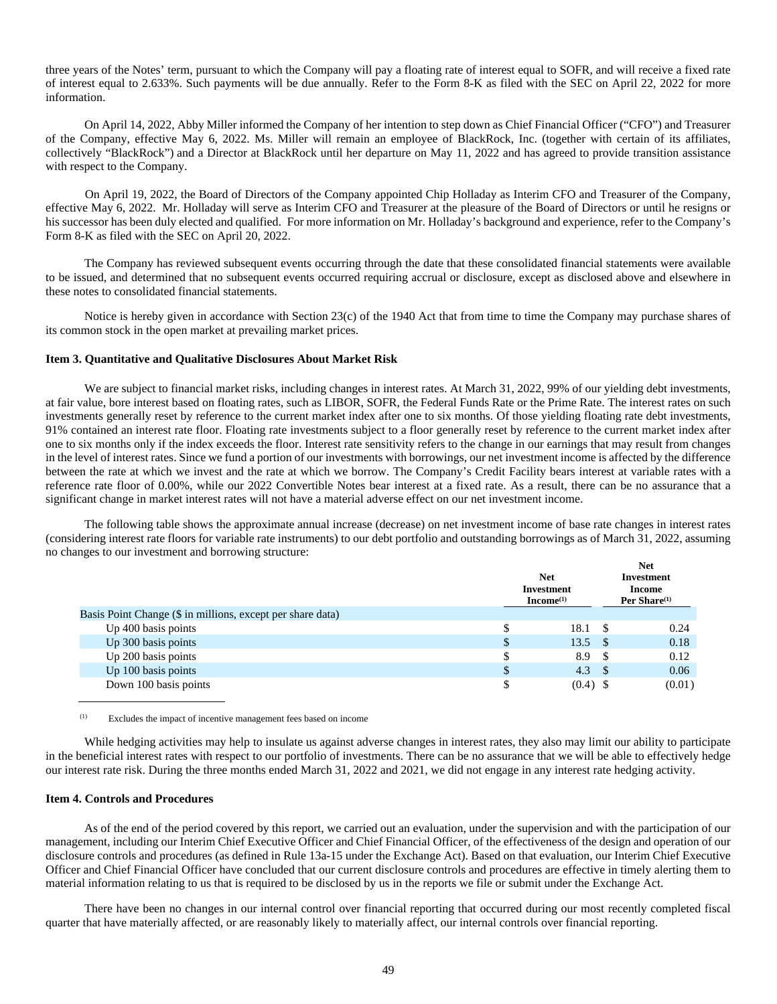three years of the Notes' term, pursuant to which the Company will pay a floating rate of interest equal to SOFR, and will receive a fixed rate of interest equal to 2.633%. Such payments will be due annually. Refer to the Form 8-K as filed with the SEC on April 22, 2022 for more information.

On April 14, 2022, Abby Miller informed the Company of her intention to step down as Chief Financial Officer ("CFO") and Treasurer of the Company, effective May 6, 2022. Ms. Miller will remain an employee of BlackRock, Inc. (together with certain of its affiliates, collectively "BlackRock") and a Director at BlackRock until her departure on May 11, 2022 and has agreed to provide transition assistance with respect to the Company.

On April 19, 2022, the Board of Directors of the Company appointed Chip Holladay as Interim CFO and Treasurer of the Company, effective May 6, 2022. Mr. Holladay will serve as Interim CFO and Treasurer at the pleasure of the Board of Directors or until he resigns or his successor has been duly elected and qualified. For more information on Mr. Holladay's background and experience, refer to the Company's Form 8-K as filed with the SEC on April 20, 2022.

The Company has reviewed subsequent events occurring through the date that these consolidated financial statements were available to be issued, and determined that no subsequent events occurred requiring accrual or disclosure, except as disclosed above and elsewhere in these notes to consolidated financial statements.

Notice is hereby given in accordance with Section 23(c) of the 1940 Act that from time to time the Company may purchase shares of its common stock in the open market at prevailing market prices.

#### <span id="page-48-0"></span>**Item 3. Quantitative and Qualitative Disclosures About Market Risk**

We are subject to financial market risks, including changes in interest rates. At March 31, 2022, 99% of our yielding debt investments, at fair value, bore interest based on floating rates, such as LIBOR, SOFR, the Federal Funds Rate or the Prime Rate. The interest rates on such investments generally reset by reference to the current market index after one to six months. Of those yielding floating rate debt investments, 91% contained an interest rate floor. Floating rate investments subject to a floor generally reset by reference to the current market index after one to six months only if the index exceeds the floor. Interest rate sensitivity refers to the change in our earnings that may result from changes in the level of interest rates. Since we fund a portion of our investments with borrowings, our net investment income is affected by the difference between the rate at which we invest and the rate at which we borrow. The Company's Credit Facility bears interest at variable rates with a reference rate floor of 0.00%, while our 2022 Convertible Notes bear interest at a fixed rate. As a result, there can be no assurance that a significant change in market interest rates will not have a material adverse effect on our net investment income.

The following table shows the approximate annual increase (decrease) on net investment income of base rate changes in interest rates (considering interest rate floors for variable rate instruments) to our debt portfolio and outstanding borrowings as of March 31, 2022, assuming no changes to our investment and borrowing structure:

|                                                            |     | <b>Net</b><br>Investment<br>$Income(1)$ | <b>Net</b><br>Investment<br>Income<br>Per Share <sup>(1)</sup> |        |  |
|------------------------------------------------------------|-----|-----------------------------------------|----------------------------------------------------------------|--------|--|
| Basis Point Change (\$ in millions, except per share data) |     |                                         |                                                                |        |  |
| Up 400 basis points                                        |     | 18.1                                    | - \$                                                           | 0.24   |  |
| Up 300 basis points                                        | \$. | 13.5                                    | $\mathcal{S}$                                                  | 0.18   |  |
| Up 200 basis points                                        | \$  | 8.9                                     | - \$                                                           | 0.12   |  |
| Up 100 basis points                                        | \$  | 4.3                                     | $\mathbf{s}$                                                   | 0.06   |  |
| Down 100 basis points                                      |     | $(0.4)$ \$                              |                                                                | (0.01) |  |

<span id="page-48-1"></span>(1) Excludes the impact of incentive management fees based on income

While hedging activities may help to insulate us against adverse changes in interest rates, they also may limit our ability to participate in the beneficial interest rates with respect to our portfolio of investments. There can be no assurance that we will be able to effectively hedge our interest rate risk. During the three months ended March 31, 2022 and 2021, we did not engage in any interest rate hedging activity.

#### **Item 4. Controls and Procedures**

As of the end of the period covered by this report, we carried out an evaluation, under the supervision and with the participation of our management, including our Interim Chief Executive Officer and Chief Financial Officer, of the effectiveness of the design and operation of our disclosure controls and procedures (as defined in Rule 13a-15 under the Exchange Act). Based on that evaluation, our Interim Chief Executive Officer and Chief Financial Officer have concluded that our current disclosure controls and procedures are effective in timely alerting them to material information relating to us that is required to be disclosed by us in the reports we file or submit under the Exchange Act.

There have been no changes in our internal control over financial reporting that occurred during our most recently completed fiscal quarter that have materially affected, or are reasonably likely to materially affect, our internal controls over financial reporting.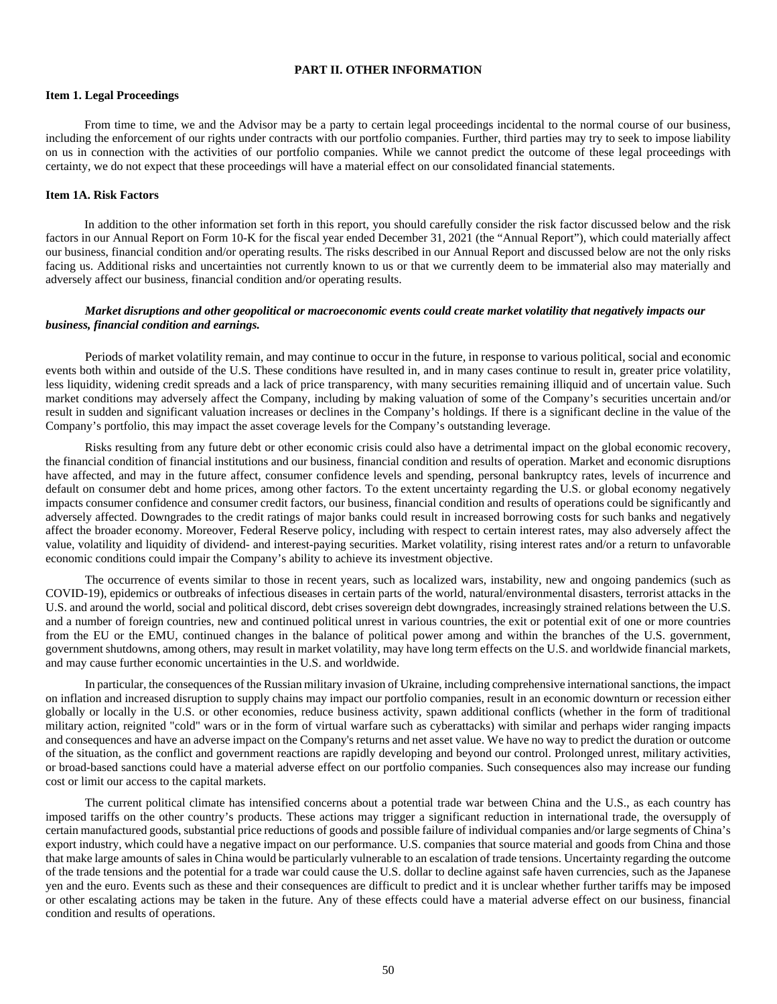#### <span id="page-49-0"></span>**PART II. OTHER INFORMATION**

#### <span id="page-49-1"></span>**Item 1. Legal Proceedings**

From time to time, we and the Advisor may be a party to certain legal proceedings incidental to the normal course of our business, including the enforcement of our rights under contracts with our portfolio companies. Further, third parties may try to seek to impose liability on us in connection with the activities of our portfolio companies. While we cannot predict the outcome of these legal proceedings with certainty, we do not expect that these proceedings will have a material effect on our consolidated financial statements.

## <span id="page-49-2"></span>**Item 1A. Risk Factors**

In addition to the other information set forth in this report, you should carefully consider the risk factor discussed below and the risk factors in our Annual Report on Form 10-K for the fiscal year ended December 31, 2021 (the "Annual Report"), which could materially affect our business, financial condition and/or operating results. The risks described in our Annual Report and discussed below are not the only risks facing us. Additional risks and uncertainties not currently known to us or that we currently deem to be immaterial also may materially and adversely affect our business, financial condition and/or operating results.

## *Market disruptions and other geopolitical or macroeconomic events could create market volatility that negatively impacts our business, financial condition and earnings.*

Periods of market volatility remain, and may continue to occur in the future, in response to various political, social and economic events both within and outside of the U.S. These conditions have resulted in, and in many cases continue to result in, greater price volatility, less liquidity, widening credit spreads and a lack of price transparency, with many securities remaining illiquid and of uncertain value. Such market conditions may adversely affect the Company, including by making valuation of some of the Company's securities uncertain and/or result in sudden and significant valuation increases or declines in the Company's holdings. If there is a significant decline in the value of the Company's portfolio, this may impact the asset coverage levels for the Company's outstanding leverage.

Risks resulting from any future debt or other economic crisis could also have a detrimental impact on the global economic recovery, the financial condition of financial institutions and our business, financial condition and results of operation. Market and economic disruptions have affected, and may in the future affect, consumer confidence levels and spending, personal bankruptcy rates, levels of incurrence and default on consumer debt and home prices, among other factors. To the extent uncertainty regarding the U.S. or global economy negatively impacts consumer confidence and consumer credit factors, our business, financial condition and results of operations could be significantly and adversely affected. Downgrades to the credit ratings of major banks could result in increased borrowing costs for such banks and negatively affect the broader economy. Moreover, Federal Reserve policy, including with respect to certain interest rates, may also adversely affect the value, volatility and liquidity of dividend- and interest-paying securities. Market volatility, rising interest rates and/or a return to unfavorable economic conditions could impair the Company's ability to achieve its investment objective.

The occurrence of events similar to those in recent years, such as localized wars, instability, new and ongoing pandemics (such as COVID-19), epidemics or outbreaks of infectious diseases in certain parts of the world, natural/environmental disasters, terrorist attacks in the U.S. and around the world, social and political discord, debt crises sovereign debt downgrades, increasingly strained relations between the U.S. and a number of foreign countries, new and continued political unrest in various countries, the exit or potential exit of one or more countries from the EU or the EMU, continued changes in the balance of political power among and within the branches of the U.S. government, government shutdowns, among others, may result in market volatility, may have long term effects on the U.S. and worldwide financial markets, and may cause further economic uncertainties in the U.S. and worldwide.

In particular, the consequences of the Russian military invasion of Ukraine, including comprehensive international sanctions, the impact on inflation and increased disruption to supply chains may impact our portfolio companies, result in an economic downturn or recession either globally or locally in the U.S. or other economies, reduce business activity, spawn additional conflicts (whether in the form of traditional military action, reignited "cold" wars or in the form of virtual warfare such as cyberattacks) with similar and perhaps wider ranging impacts and consequences and have an adverse impact on the Company's returns and net asset value. We have no way to predict the duration or outcome of the situation, as the conflict and government reactions are rapidly developing and beyond our control. Prolonged unrest, military activities, or broad-based sanctions could have a material adverse effect on our portfolio companies. Such consequences also may increase our funding cost or limit our access to the capital markets.

The current political climate has intensified concerns about a potential trade war between China and the U.S., as each country has imposed tariffs on the other country's products. These actions may trigger a significant reduction in international trade, the oversupply of certain manufactured goods, substantial price reductions of goods and possible failure of individual companies and/or large segments of China's export industry, which could have a negative impact on our performance. U.S. companies that source material and goods from China and those that make large amounts of sales in China would be particularly vulnerable to an escalation of trade tensions. Uncertainty regarding the outcome of the trade tensions and the potential for a trade war could cause the U.S. dollar to decline against safe haven currencies, such as the Japanese yen and the euro. Events such as these and their consequences are difficult to predict and it is unclear whether further tariffs may be imposed or other escalating actions may be taken in the future. Any of these effects could have a material adverse effect on our business, financial condition and results of operations.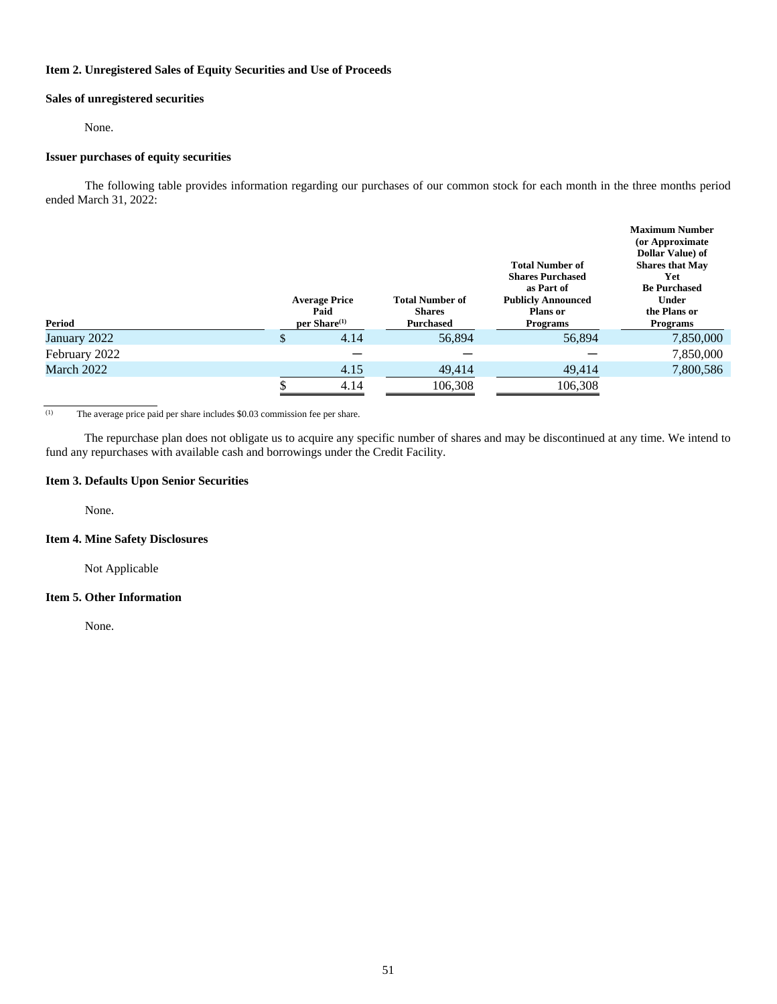## **Item 2. Unregistered Sales of Equity Securities and Use of Proceeds**

## **Sales of unregistered securities**

## <span id="page-50-0"></span>None.

#### **Issuer purchases of equity securities**

The following table provides information regarding our purchases of our common stock for each month in the three months period ended March 31, 2022:

|               |                   | <b>Average Price</b><br>Paid | <b>Total Number of</b><br><b>Shares</b> | <b>Total Number of</b><br><b>Shares Purchased</b><br>as Part of<br><b>Publicly Announced</b><br><b>Plans or</b> | <b>Maximum Number</b><br>(or Approximate)<br>Dollar Value) of<br><b>Shares that May</b><br>Yet<br><b>Be Purchased</b><br><b>Under</b><br>the Plans or |  |
|---------------|-------------------|------------------------------|-----------------------------------------|-----------------------------------------------------------------------------------------------------------------|-------------------------------------------------------------------------------------------------------------------------------------------------------|--|
| Period        | $per Share^{(1)}$ |                              | <b>Purchased</b>                        | <b>Programs</b>                                                                                                 | <b>Programs</b>                                                                                                                                       |  |
| January 2022  | J.                | 4.14                         | 56,894                                  | 56,894                                                                                                          | 7,850,000                                                                                                                                             |  |
| February 2022 |                   |                              |                                         |                                                                                                                 | 7,850,000                                                                                                                                             |  |
| March 2022    |                   | 4.15                         | 49,414                                  | 49,414                                                                                                          | 7,800,586                                                                                                                                             |  |
|               |                   | 4.14                         | 106,308                                 | 106,308                                                                                                         |                                                                                                                                                       |  |

 $\overline{1}$  The average price paid per share includes \$0.03 commission fee per share.

The repurchase plan does not obligate us to acquire any specific number of shares and may be discontinued at any time. We intend to fund any repurchases with available cash and borrowings under the Credit Facility.

## **Item 3. Defaults Upon Senior Securities**

<span id="page-50-2"></span><span id="page-50-1"></span>None.

## **Item 4. Mine Safety Disclosures**

<span id="page-50-3"></span>Not Applicable

## **Item 5. Other Information**

None.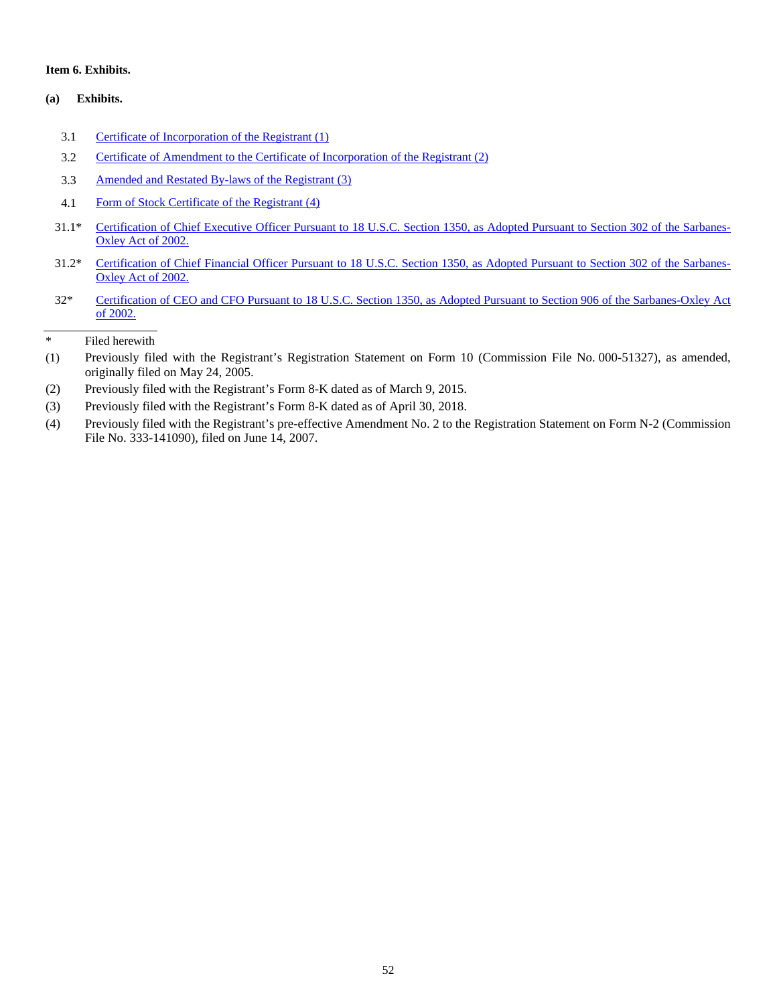## <span id="page-51-0"></span>**Item 6. Exhibits.**

## **(a) Exhibits.**

- 3.1 [Certificate of Incorporation of the Registrant \(1\)](https://www.sec.gov/Archives/edgar/data/0001326003/000095017205001686/nyc951238.txt)
- 3.2 [Certificate of Amendment to the Certificate of Incorporation of the Registrant \(2\)](https://www.sec.gov/Archives/edgar/data/0001326003/000119312515083171/d885354dex992.htm)
- 3.3 [Amended and Restated By-laws of the Registrant \(3\)](https://www.sec.gov/Archives/edgar/data/1326003/000119312518144042/d570147dex31.htm)
- 4.1 [Form of Stock Certificate of the Registrant \(4\)](https://www.sec.gov/Archives/edgar/data/1326003/000119312507135385/dex99d.htm)
- 31.1\* [Certification of Chief Executive Officer Pursuant to 18 U.S.C. Section 1350, as Adopted Pursuant to Section 302 of the Sarbanes-](bkcc-ex311_6.htm)[Oxley Act of 2002.](bkcc-ex311_6.htm)
- 31.2\* [Certification of Chief Financial Officer Pursuant to 18 U.S.C. Section 1350, as Adopted Pursuant to Section 302 of the Sarbanes-](bkcc-ex312_7.htm)[Oxley Act of 2002.](bkcc-ex312_7.htm)
- 32\* [Certification of CEO and CFO Pursuant to 18 U.S.C. Section 1350, as Adopted Pursuant to Section 906 of the Sarbanes-Oxley Act](bkcc-ex32_8.htm)  [of 2002.](bkcc-ex32_8.htm)

## \* Filed herewith

- (1) Previously filed with the Registrant's Registration Statement on Form 10 (Commission File No. 000-51327), as amended, originally filed on May 24, 2005.
- (2) Previously filed with the Registrant's Form 8-K dated as of March 9, 2015.
- (3) Previously filed with the Registrant's Form 8-K dated as of April 30, 2018.
- (4) Previously filed with the Registrant's pre-effective Amendment No. 2 to the Registration Statement on Form N-2 (Commission File No. 333-141090), filed on June 14, 2007.